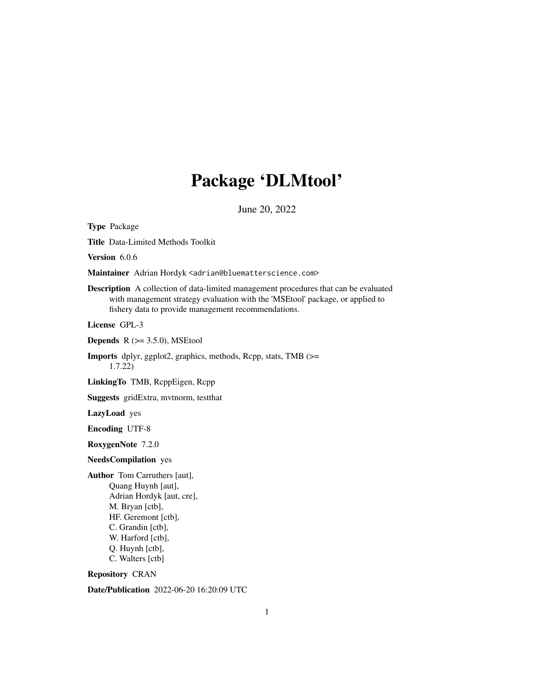# Package 'DLMtool'

June 20, 2022

<span id="page-0-0"></span>Type Package Title Data-Limited Methods Toolkit Version 6.0.6 Maintainer Adrian Hordyk <adrian@bluematterscience.com> Description A collection of data-limited management procedures that can be evaluated with management strategy evaluation with the 'MSEtool' package, or applied to fishery data to provide management recommendations. License GPL-3 **Depends**  $R$  ( $>= 3.5.0$ ), MSEtool Imports dplyr, ggplot2, graphics, methods, Rcpp, stats, TMB (>= 1.7.22) LinkingTo TMB, RcppEigen, Rcpp Suggests gridExtra, mvtnorm, testthat LazyLoad yes Encoding UTF-8 RoxygenNote 7.2.0 NeedsCompilation yes Author Tom Carruthers [aut], Quang Huynh [aut], Adrian Hordyk [aut, cre], M. Bryan [ctb], HF. Geremont [ctb], C. Grandin [ctb], W. Harford [ctb], Q. Huynh [ctb], C. Walters [ctb]

Repository CRAN

Date/Publication 2022-06-20 16:20:09 UTC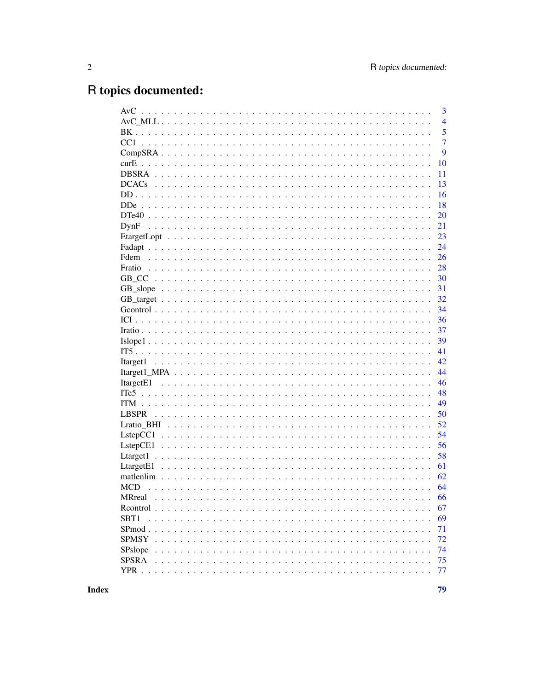# R topics documented:

|                                  | 3              |
|----------------------------------|----------------|
|                                  | $\overline{4}$ |
|                                  | 5              |
|                                  | $\overline{7}$ |
|                                  | 9              |
|                                  | 10             |
|                                  | 11             |
|                                  | 13             |
|                                  | 16             |
|                                  | 18             |
|                                  | 20             |
|                                  | 21             |
|                                  | 23             |
|                                  | 24             |
|                                  | 26             |
|                                  | 28             |
|                                  | 30             |
|                                  | 31             |
|                                  | 32             |
|                                  | 34             |
|                                  | 36             |
|                                  | 37             |
| $Islope 1                      $ | 39             |
|                                  | 41             |
|                                  | 42             |
|                                  | 44             |
|                                  | 46             |
|                                  | 48             |
|                                  | 49             |
| <b>LBSPR</b>                     | 50             |
|                                  | 52             |
|                                  | 54             |
|                                  | 56             |
|                                  | 58             |
|                                  | 61             |
|                                  | 62             |
| <b>MCD</b>                       | 64             |
| MRreal                           | 66             |
| Rcontrol                         | 67             |
| SBT <sub>1</sub>                 | 69             |
| SPmod.                           | 71             |
| <b>SPMSY</b>                     | 72             |
| SPslope                          | 74             |
| <b>SPSRA</b>                     | 75             |
| $YPR$ .                          | 77             |
|                                  |                |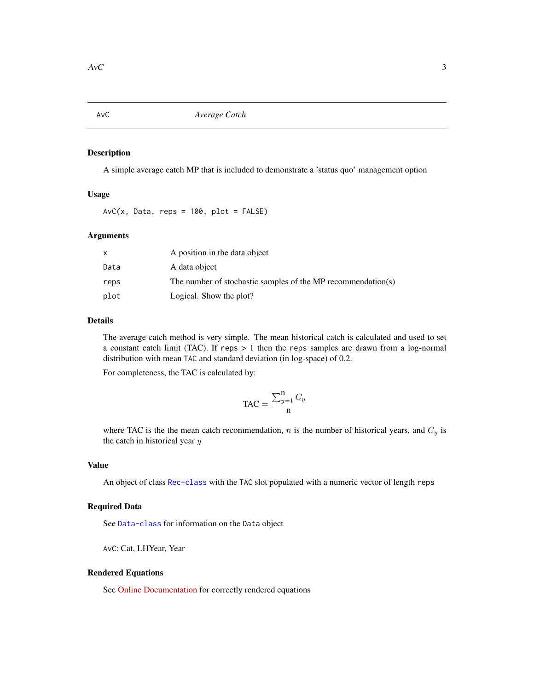<span id="page-2-1"></span><span id="page-2-0"></span>AvC *Average Catch*

# Description

A simple average catch MP that is included to demonstrate a 'status quo' management option

# Usage

 $AvC(x, Data, reps = 100, plot = FALSE)$ 

#### Arguments

|      | A position in the data object                                |
|------|--------------------------------------------------------------|
| Data | A data object                                                |
| reps | The number of stochastic samples of the MP recommendation(s) |
| plot | Logical. Show the plot?                                      |

# Details

The average catch method is very simple. The mean historical catch is calculated and used to set a constant catch limit (TAC). If reps > 1 then the reps samples are drawn from a log-normal distribution with mean TAC and standard deviation (in log-space) of 0.2.

For completeness, the TAC is calculated by:

$$
\text{TAC} = \frac{\sum_{y=1}^{n} C_y}{n}
$$

where TAC is the the mean catch recommendation,  $n$  is the number of historical years, and  $C_y$  is the catch in historical year  $y$ 

# Value

An object of class [Rec-class](#page-0-0) with the TAC slot populated with a numeric vector of length reps

#### Required Data

See [Data-class](#page-0-0) for information on the Data object

AvC: Cat, LHYear, Year

#### Rendered Equations

See [Online Documentation](https://dlmtool.openmse.com/reference/AvC.html) for correctly rendered equations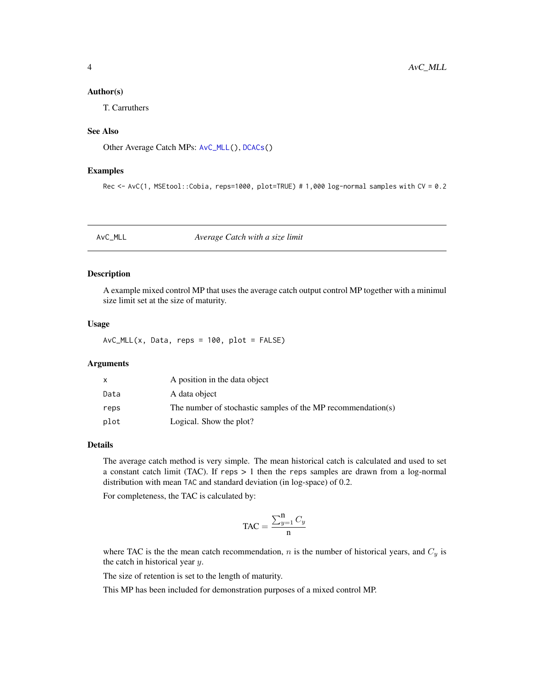#### <span id="page-3-0"></span>Author(s)

T. Carruthers

# See Also

Other Average Catch MPs: [AvC\\_MLL\(](#page-3-1)), [DCACs\(](#page-12-1))

# Examples

Rec <- AvC(1, MSEtool::Cobia, reps=1000, plot=TRUE) # 1,000 log-normal samples with CV = 0.2

<span id="page-3-1"></span>AvC\_MLL *Average Catch with a size limit*

# Description

A example mixed control MP that uses the average catch output control MP together with a minimul size limit set at the size of maturity.

#### Usage

 $AvC_MLL(x, Data, reps = 100, plot = FALSE)$ 

# Arguments

| x    | A position in the data object                                |
|------|--------------------------------------------------------------|
| Data | A data object                                                |
| reps | The number of stochastic samples of the MP recommendation(s) |
| plot | Logical. Show the plot?                                      |

# Details

The average catch method is very simple. The mean historical catch is calculated and used to set a constant catch limit (TAC). If reps  $> 1$  then the reps samples are drawn from a log-normal distribution with mean TAC and standard deviation (in log-space) of 0.2.

For completeness, the TAC is calculated by:

$$
\text{TAC} = \frac{\sum_{y=1}^{n} C_y}{n}
$$

where TAC is the the mean catch recommendation,  $n$  is the number of historical years, and  $C_y$  is the catch in historical year  $y$ .

The size of retention is set to the length of maturity.

This MP has been included for demonstration purposes of a mixed control MP.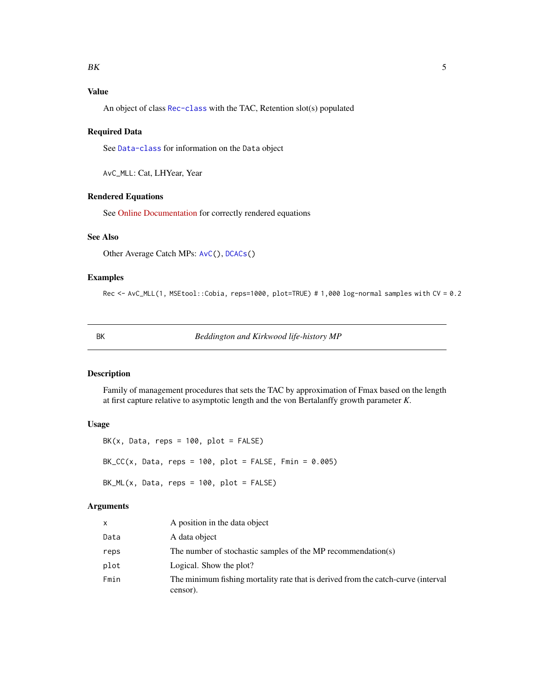# <span id="page-4-0"></span>Value

An object of class [Rec-class](#page-0-0) with the TAC, Retention slot(s) populated

# Required Data

See [Data-class](#page-0-0) for information on the Data object

AvC\_MLL: Cat, LHYear, Year

# Rendered Equations

See [Online Documentation](https://dlmtool.openmse.com/reference/AvC_MLL.html) for correctly rendered equations

#### See Also

Other Average Catch MPs: [AvC\(](#page-2-1)), [DCACs\(](#page-12-1))

# Examples

Rec <- AvC\_MLL(1, MSEtool::Cobia, reps=1000, plot=TRUE) # 1,000 log-normal samples with CV = 0.2

BK *Beddington and Kirkwood life-history MP*

# Description

Family of management procedures that sets the TAC by approximation of Fmax based on the length at first capture relative to asymptotic length and the von Bertalanffy growth parameter *K*.

# Usage

 $BK(x, Data, reps = 100, plot = FALSE)$  $BK_CC(x, Data, reps = 100, plot = FALSE, Fmin = 0.005)$  $BK_ML(x, Data, reps = 100, plot = FALSE)$ 

# Arguments

| X    | A position in the data object                                                                 |
|------|-----------------------------------------------------------------------------------------------|
| Data | A data object                                                                                 |
| reps | The number of stochastic samples of the MP recommendation(s)                                  |
| plot | Logical. Show the plot?                                                                       |
| Fmin | The minimum fishing mortality rate that is derived from the catch-curve (interval<br>censor). |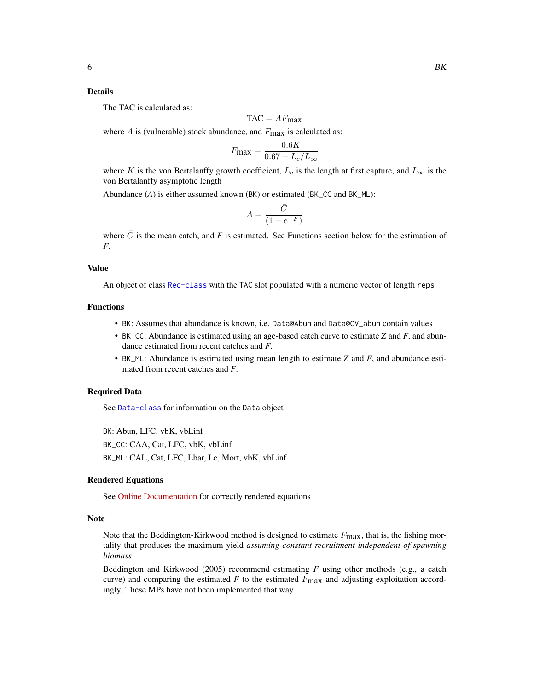#### Details

The TAC is calculated as:

$$
TAC = AF_{\text{max}}
$$

where  $A$  is (vulnerable) stock abundance, and  $F_{\text{max}}$  is calculated as:

$$
F_{\text{max}} = \frac{0.6K}{0.67 - L_c/L_{\infty}}
$$

where K is the von Bertalanffy growth coefficient,  $L_c$  is the length at first capture, and  $L_{\infty}$  is the von Bertalanffy asymptotic length

Abundance (*A*) is either assumed known (BK) or estimated (BK\_CC and BK\_ML):

$$
A = \frac{\bar{C}}{(1 - e^{-F})}
$$

where  $\bar{C}$  is the mean catch, and *F* is estimated. See Functions section below for the estimation of *F*.

# Value

An object of class [Rec-class](#page-0-0) with the TAC slot populated with a numeric vector of length reps

# Functions

- BK: Assumes that abundance is known, i.e. Data@Abun and Data@CV\_abun contain values
- BK\_CC: Abundance is estimated using an age-based catch curve to estimate *Z* and *F*, and abundance estimated from recent catches and *F*.
- BK\_ML: Abundance is estimated using mean length to estimate *Z* and *F*, and abundance estimated from recent catches and *F*.

# Required Data

See [Data-class](#page-0-0) for information on the Data object

BK: Abun, LFC, vbK, vbLinf BK\_CC: CAA, Cat, LFC, vbK, vbLinf BK\_ML: CAL, Cat, LFC, Lbar, Lc, Mort, vbK, vbLinf

#### Rendered Equations

See [Online Documentation](https://dlmtool.openmse.com/reference/BK.html) for correctly rendered equations

#### Note

Note that the Beddington-Kirkwood method is designed to estimate  $F_{\text{max}}$ , that is, the fishing mortality that produces the maximum yield *assuming constant recruitment independent of spawning biomass*.

Beddington and Kirkwood (2005) recommend estimating  $F$  using other methods (e.g., a catch curve) and comparing the estimated  $F$  to the estimated  $F_{\text{max}}$  and adjusting exploitation accordingly. These MPs have not been implemented that way.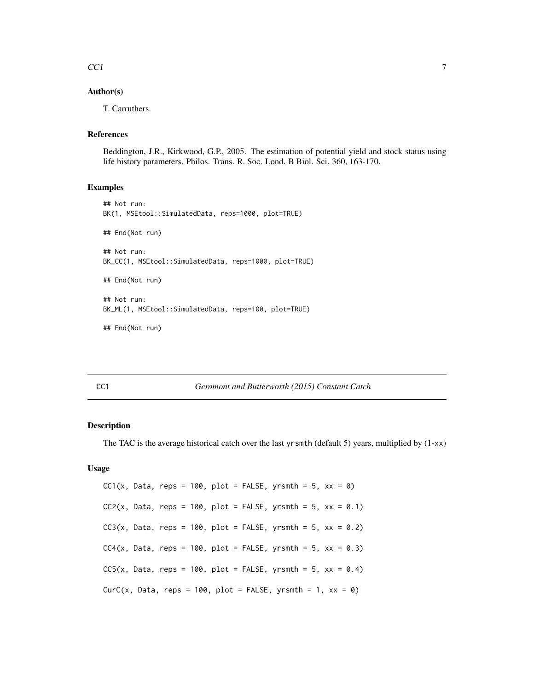# <span id="page-6-0"></span> $\mathcal{C}$ Cl  $\mathcal{T}$

# Author(s)

T. Carruthers.

# References

Beddington, J.R., Kirkwood, G.P., 2005. The estimation of potential yield and stock status using life history parameters. Philos. Trans. R. Soc. Lond. B Biol. Sci. 360, 163-170.

# Examples

```
## Not run:
BK(1, MSEtool::SimulatedData, reps=1000, plot=TRUE)
## End(Not run)
## Not run:
BK_CC(1, MSEtool::SimulatedData, reps=1000, plot=TRUE)
## End(Not run)
## Not run:
BK_ML(1, MSEtool::SimulatedData, reps=100, plot=TRUE)
## End(Not run)
```
#### <span id="page-6-1"></span>CC1 *Geromont and Butterworth (2015) Constant Catch*

# Description

The TAC is the average historical catch over the last yrsmth (default 5) years, multiplied by  $(1-xx)$ 

#### Usage

```
CC1(x, Data, reps = 100, plot = FALSE, yrsmth = 5, xx = 0)CC2(x, Data, reps = 100, plot = FALSE, yrsmth = 5, xx = 0.1)CC3(x, Data, reps = 100, plot = FALSE, yrsmth = 5, xx = 0.2)CC4(x, Data, reps = 100, plot = FALSE, yrsmth = 5, xx = 0.3)CC5(x, Data, reps = 100, plot = FALSE, yrsmth = 5, xx = 0.4)CurC(x, Data, reps = 100, plot = FALSE, yrsmth = 1, xx = 0)
```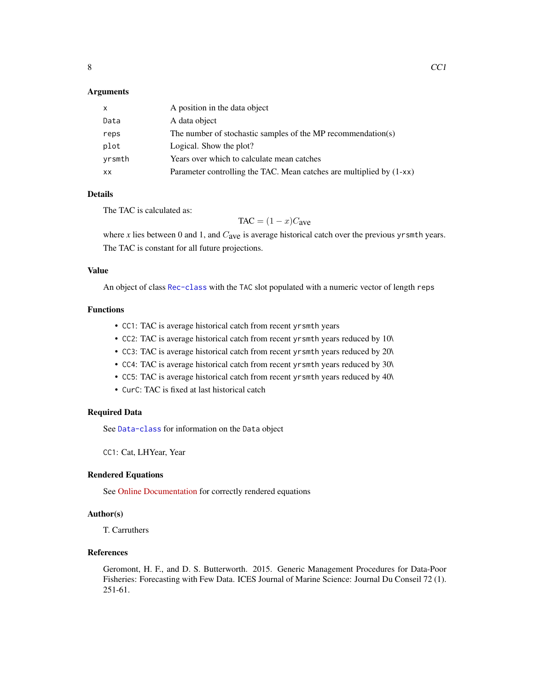# **Arguments**

| X         | A position in the data object                                        |
|-----------|----------------------------------------------------------------------|
| Data      | A data object                                                        |
| reps      | The number of stochastic samples of the MP recommendation(s)         |
| plot      | Logical. Show the plot?                                              |
| yrsmth    | Years over which to calculate mean catches                           |
| <b>XX</b> | Parameter controlling the TAC. Mean catches are multiplied by (1-xx) |

# Details

The TAC is calculated as:

 $TAC = (1 - x)C<sub>ave</sub>$ 

where *x* lies between 0 and 1, and  $C_{ave}$  is average historical catch over the previous yrsmth years. The TAC is constant for all future projections.

# Value

An object of class [Rec-class](#page-0-0) with the TAC slot populated with a numeric vector of length reps

#### Functions

- CC1: TAC is average historical catch from recent yrsmth years
- CC2: TAC is average historical catch from recent yrsmth years reduced by 10\
- CC3: TAC is average historical catch from recent yrsmth years reduced by 20\
- CC4: TAC is average historical catch from recent yrsmth years reduced by 30\
- CC5: TAC is average historical catch from recent yrsmth years reduced by 40\
- CurC: TAC is fixed at last historical catch

# Required Data

See [Data-class](#page-0-0) for information on the Data object

CC1: Cat, LHYear, Year

# Rendered Equations

See [Online Documentation](https://dlmtool.openmse.com/reference/CC1.html) for correctly rendered equations

# Author(s)

T. Carruthers

# References

Geromont, H. F., and D. S. Butterworth. 2015. Generic Management Procedures for Data-Poor Fisheries: Forecasting with Few Data. ICES Journal of Marine Science: Journal Du Conseil 72 (1). 251-61.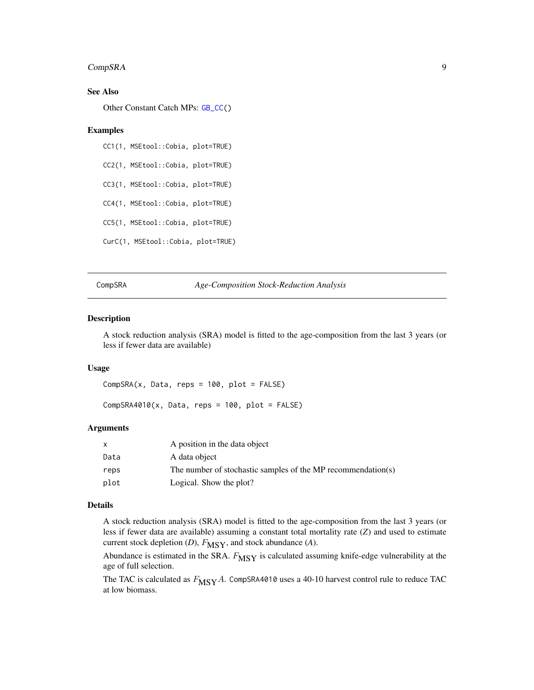# <span id="page-8-0"></span>CompSRA 9

# See Also

Other Constant Catch MPs: [GB\\_CC\(](#page-29-1))

# Examples

```
CC1(1, MSEtool::Cobia, plot=TRUE)
CC2(1, MSEtool::Cobia, plot=TRUE)
CC3(1, MSEtool::Cobia, plot=TRUE)
CC4(1, MSEtool::Cobia, plot=TRUE)
CC5(1, MSEtool::Cobia, plot=TRUE)
CurC(1, MSEtool::Cobia, plot=TRUE)
```
CompSRA *Age-Composition Stock-Reduction Analysis*

#### Description

A stock reduction analysis (SRA) model is fitted to the age-composition from the last 3 years (or less if fewer data are available)

# Usage

 $CompSRA(x, Data, reps = 100, plot = FALSE)$ 

 $CompSRA4010(x, Data, reps = 100, plot = FALSE)$ 

#### Arguments

| X    | A position in the data object                                |
|------|--------------------------------------------------------------|
| Data | A data object                                                |
| reps | The number of stochastic samples of the MP recommendation(s) |
| plot | Logical. Show the plot?                                      |

# Details

A stock reduction analysis (SRA) model is fitted to the age-composition from the last 3 years (or less if fewer data are available) assuming a constant total mortality rate (*Z*) and used to estimate current stock depletion  $(D)$ ,  $F_{\text{MSY}}$ , and stock abundance  $(A)$ .

Abundance is estimated in the SRA.  $F_{\text{MSY}}$  is calculated assuming knife-edge vulnerability at the age of full selection.

The TAC is calculated as  $F_{\text{MSY}}A$ . CompSRA4010 uses a 40-10 harvest control rule to reduce TAC at low biomass.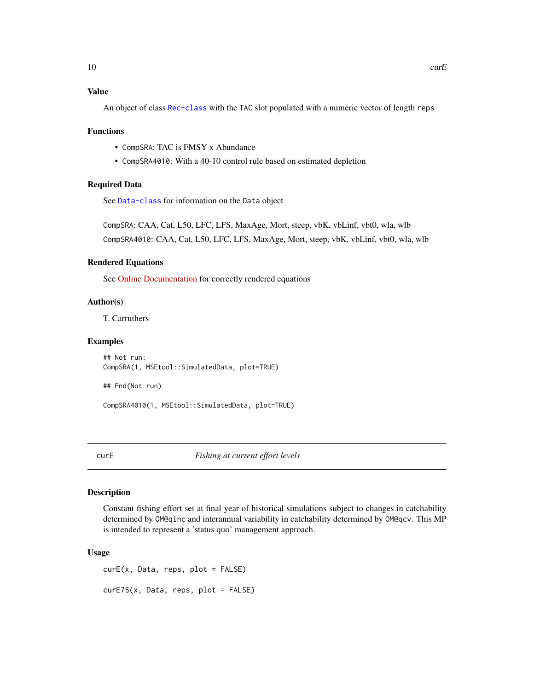<span id="page-9-0"></span>An object of class [Rec-class](#page-0-0) with the TAC slot populated with a numeric vector of length reps

#### Functions

- CompSRA: TAC is FMSY x Abundance
- CompSRA4010: With a 40-10 control rule based on estimated depletion

# Required Data

See [Data-class](#page-0-0) for information on the Data object

CompSRA: CAA, Cat, L50, LFC, LFS, MaxAge, Mort, steep, vbK, vbLinf, vbt0, wla, wlb CompSRA4010: CAA, Cat, L50, LFC, LFS, MaxAge, Mort, steep, vbK, vbLinf, vbt0, wla, wlb

# Rendered Equations

See [Online Documentation](https://dlmtool.openmse.com/reference/CompSRA.html) for correctly rendered equations

# Author(s)

T. Carruthers

#### Examples

```
## Not run:
CompSRA(1, MSEtool::SimulatedData, plot=TRUE)
```
## End(Not run)

CompSRA4010(1, MSEtool::SimulatedData, plot=TRUE)

curE *Fishing at current effort levels*

# Description

Constant fishing effort set at final year of historical simulations subject to changes in catchability determined by OM@qinc and interannual variability in catchability determined by OM@qcv. This MP is intended to represent a 'status quo' management approach.

#### Usage

curE(x, Data, reps, plot = FALSE) curE75(x, Data, reps, plot = FALSE)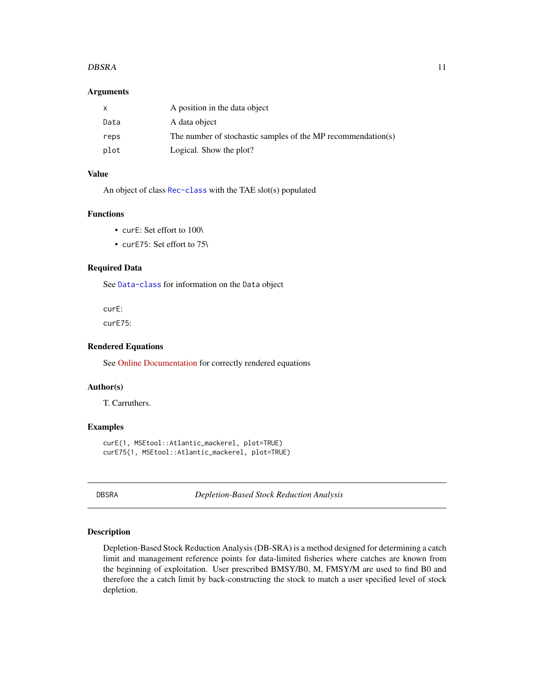#### <span id="page-10-0"></span>DBSRA 11

# **Arguments**

| X    | A position in the data object                                |
|------|--------------------------------------------------------------|
| Data | A data object                                                |
| reps | The number of stochastic samples of the MP recommendation(s) |
| plot | Logical. Show the plot?                                      |

# Value

An object of class [Rec-class](#page-0-0) with the TAE slot(s) populated

# Functions

- curE: Set effort to 100\
- curE75: Set effort to 75\

# Required Data

See [Data-class](#page-0-0) for information on the Data object

curE:

curE75:

# Rendered Equations

See [Online Documentation](https://dlmtool.openmse.com/reference/curE.html) for correctly rendered equations

# Author(s)

T. Carruthers.

# Examples

```
curE(1, MSEtool::Atlantic_mackerel, plot=TRUE)
curE75(1, MSEtool::Atlantic_mackerel, plot=TRUE)
```
DBSRA *Depletion-Based Stock Reduction Analysis*

# Description

Depletion-Based Stock Reduction Analysis (DB-SRA) is a method designed for determining a catch limit and management reference points for data-limited fisheries where catches are known from the beginning of exploitation. User prescribed BMSY/B0, M, FMSY/M are used to find B0 and therefore the a catch limit by back-constructing the stock to match a user specified level of stock depletion.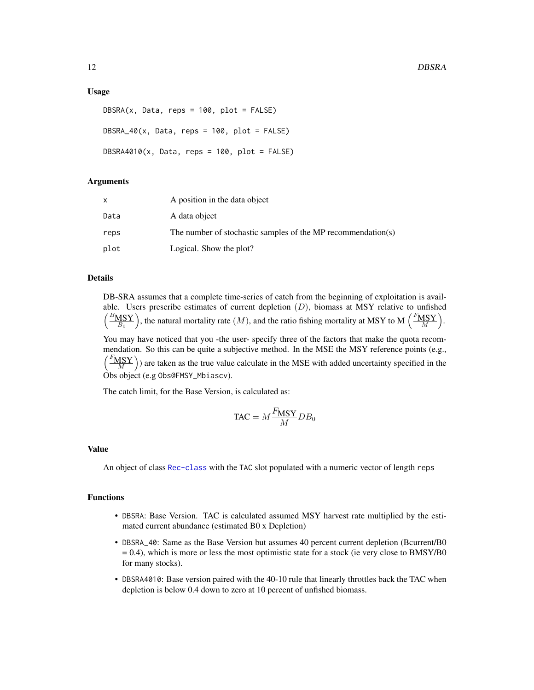# Usage

```
DBSRA(x, Data, reps = 100, plot = FALSE)DBSRA_40(x, Data, reps = 100, plot = FALSE)DBSRA4010(x, Data, reps = 100, plot = FALSE)
```
# Arguments

|      | A position in the data object                                |
|------|--------------------------------------------------------------|
| Data | A data object                                                |
| reps | The number of stochastic samples of the MP recommendation(s) |
| plot | Logical. Show the plot?                                      |

# Details

DB-SRA assumes that a complete time-series of catch from the beginning of exploitation is available. Users prescribe estimates of current depletion  $(D)$ , biomass at MSY relative to unfished  $\left(\frac{B_{\text{MSY}}}{B_0}\right)$ , the natural mortality rate  $(M)$ , and the ratio fishing mortality at MSY to M  $\left(\frac{F_{\text{MSY}}}{M}\right)$ .

You may have noticed that you -the user- specify three of the factors that make the quota recommendation. So this can be quite a subjective method. In the MSE the MSY reference points (e.g.,  $\left(\frac{F_{\text{MSY}}}{M}\right)$ ) are taken as the true value calculate in the MSE with added uncertainty specified in the Obs object (e.g Obs@FMSY\_Mbiascv).

The catch limit, for the Base Version, is calculated as:

$$
\text{TAC} = M \frac{F_{\text{MSY}}}{M} DB_0
$$

#### Value

An object of class [Rec-class](#page-0-0) with the TAC slot populated with a numeric vector of length reps

#### Functions

- DBSRA: Base Version. TAC is calculated assumed MSY harvest rate multiplied by the estimated current abundance (estimated B0 x Depletion)
- DBSRA\_40: Same as the Base Version but assumes 40 percent current depletion (Bcurrent/B0  $= 0.4$ ), which is more or less the most optimistic state for a stock (ie very close to BMSY/B0 for many stocks).
- DBSRA4010: Base version paired with the 40-10 rule that linearly throttles back the TAC when depletion is below 0.4 down to zero at 10 percent of unfished biomass.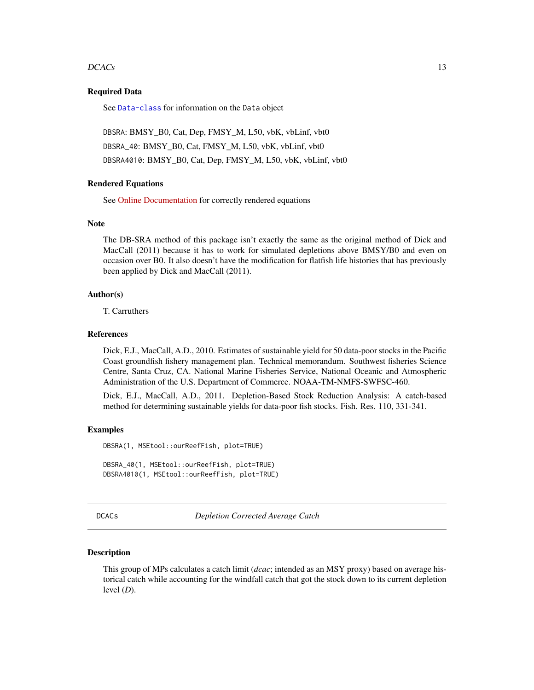#### <span id="page-12-0"></span> $DCACs$  and the set of  $13$

# Required Data

See [Data-class](#page-0-0) for information on the Data object

DBSRA: BMSY\_B0, Cat, Dep, FMSY\_M, L50, vbK, vbLinf, vbt0 DBSRA\_40: BMSY\_B0, Cat, FMSY\_M, L50, vbK, vbLinf, vbt0 DBSRA4010: BMSY\_B0, Cat, Dep, FMSY\_M, L50, vbK, vbLinf, vbt0

# Rendered Equations

See [Online Documentation](https://dlmtool.openmse.com/reference/DBSRA.html) for correctly rendered equations

#### **Note**

The DB-SRA method of this package isn't exactly the same as the original method of Dick and MacCall (2011) because it has to work for simulated depletions above BMSY/B0 and even on occasion over B0. It also doesn't have the modification for flatfish life histories that has previously been applied by Dick and MacCall (2011).

#### Author(s)

T. Carruthers

# References

Dick, E.J., MacCall, A.D., 2010. Estimates of sustainable yield for 50 data-poor stocks in the Pacific Coast groundfish fishery management plan. Technical memorandum. Southwest fisheries Science Centre, Santa Cruz, CA. National Marine Fisheries Service, National Oceanic and Atmospheric Administration of the U.S. Department of Commerce. NOAA-TM-NMFS-SWFSC-460.

Dick, E.J., MacCall, A.D., 2011. Depletion-Based Stock Reduction Analysis: A catch-based method for determining sustainable yields for data-poor fish stocks. Fish. Res. 110, 331-341.

# Examples

DBSRA(1, MSEtool::ourReefFish, plot=TRUE) DBSRA\_40(1, MSEtool::ourReefFish, plot=TRUE) DBSRA4010(1, MSEtool::ourReefFish, plot=TRUE)

<span id="page-12-1"></span>DCACs *Depletion Corrected Average Catch*

#### Description

This group of MPs calculates a catch limit (*dcac*; intended as an MSY proxy) based on average historical catch while accounting for the windfall catch that got the stock down to its current depletion level (*D*).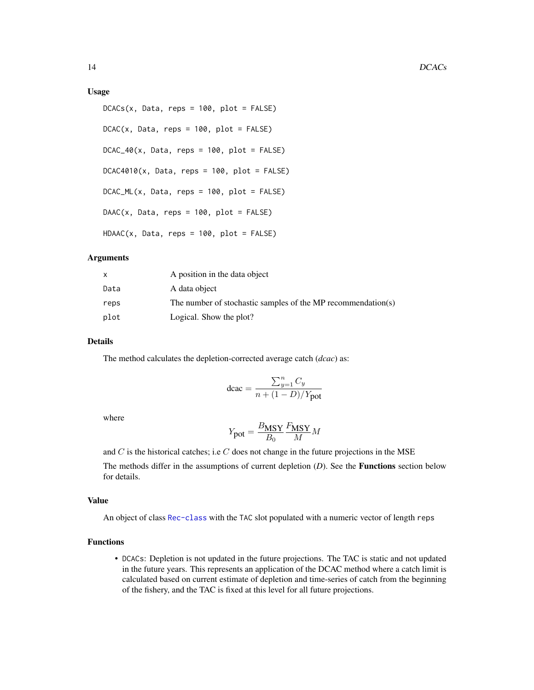#### Usage

```
DCACS(x, Data, reps = 100, plot = FALSE)DCAC(x, Data, reps = 100, plot = FALSE)DCAC_40(x, Data, reps = 100, plot = FALSE)DCAC4010(x, Data, reps = 100, plot = FALSE)DCAC_ML(x, Data, reps = 100, plot = FALSE)DAAC(x, Data, reps = 100, plot = FALSE)HDAAC(x, Data, reps = 100, plot = FALSE)
```
# Arguments

|      | A position in the data object                                |
|------|--------------------------------------------------------------|
| Data | A data object                                                |
| reps | The number of stochastic samples of the MP recommendation(s) |
| plot | Logical. Show the plot?                                      |

# Details

The method calculates the depletion-corrected average catch (*dcac*) as:

$$
\text{dcac} = \frac{\sum_{y=1}^{n} C_y}{n + (1-D)/Y_{\text{pot}}}
$$

where

$$
Y_{\text{pot}} = \frac{B_{\text{MSY}}}{B_0} \frac{F_{\text{MSY}}}{M} M
$$

and  $C$  is the historical catches; i.e  $C$  does not change in the future projections in the MSE

The methods differ in the assumptions of current depletion (*D*). See the Functions section below for details.

#### Value

An object of class [Rec-class](#page-0-0) with the TAC slot populated with a numeric vector of length reps

# Functions

• DCACs: Depletion is not updated in the future projections. The TAC is static and not updated in the future years. This represents an application of the DCAC method where a catch limit is calculated based on current estimate of depletion and time-series of catch from the beginning of the fishery, and the TAC is fixed at this level for all future projections.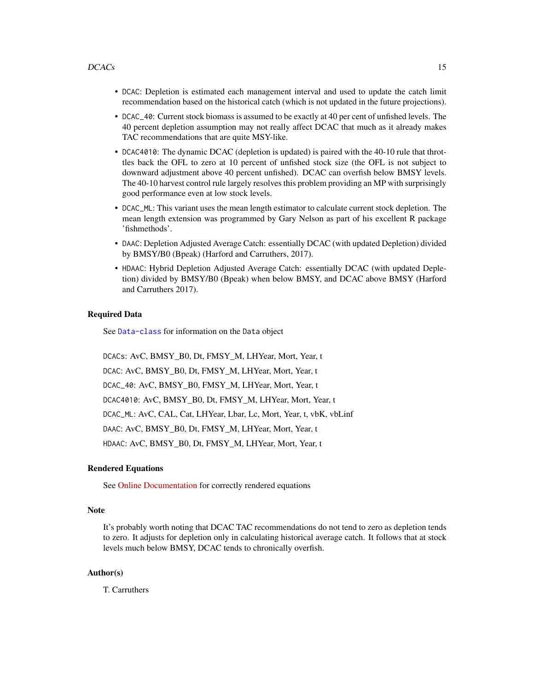- DCAC: Depletion is estimated each management interval and used to update the catch limit recommendation based on the historical catch (which is not updated in the future projections).
- DCAC\_40: Current stock biomass is assumed to be exactly at 40 per cent of unfished levels. The 40 percent depletion assumption may not really affect DCAC that much as it already makes TAC recommendations that are quite MSY-like.
- DCAC4010: The dynamic DCAC (depletion is updated) is paired with the 40-10 rule that throttles back the OFL to zero at 10 percent of unfished stock size (the OFL is not subject to downward adjustment above 40 percent unfished). DCAC can overfish below BMSY levels. The 40-10 harvest control rule largely resolves this problem providing an MP with surprisingly good performance even at low stock levels.
- DCAC\_ML: This variant uses the mean length estimator to calculate current stock depletion. The mean length extension was programmed by Gary Nelson as part of his excellent R package 'fishmethods'.
- DAAC: Depletion Adjusted Average Catch: essentially DCAC (with updated Depletion) divided by BMSY/B0 (Bpeak) (Harford and Carruthers, 2017).
- HDAAC: Hybrid Depletion Adjusted Average Catch: essentially DCAC (with updated Depletion) divided by BMSY/B0 (Bpeak) when below BMSY, and DCAC above BMSY (Harford and Carruthers 2017).

# Required Data

See [Data-class](#page-0-0) for information on the Data object

DCACs: AvC, BMSY\_B0, Dt, FMSY\_M, LHYear, Mort, Year, t DCAC: AvC, BMSY\_B0, Dt, FMSY\_M, LHYear, Mort, Year, t DCAC\_40: AvC, BMSY\_B0, FMSY\_M, LHYear, Mort, Year, t DCAC4010: AvC, BMSY\_B0, Dt, FMSY\_M, LHYear, Mort, Year, t DCAC\_ML: AvC, CAL, Cat, LHYear, Lbar, Lc, Mort, Year, t, vbK, vbLinf DAAC: AvC, BMSY\_B0, Dt, FMSY\_M, LHYear, Mort, Year, t HDAAC: AvC, BMSY\_B0, Dt, FMSY\_M, LHYear, Mort, Year, t

# Rendered Equations

See [Online Documentation](https://dlmtool.openmse.com/reference/DCAC.html) for correctly rendered equations

# **Note**

It's probably worth noting that DCAC TAC recommendations do not tend to zero as depletion tends to zero. It adjusts for depletion only in calculating historical average catch. It follows that at stock levels much below BMSY, DCAC tends to chronically overfish.

# Author(s)

T. Carruthers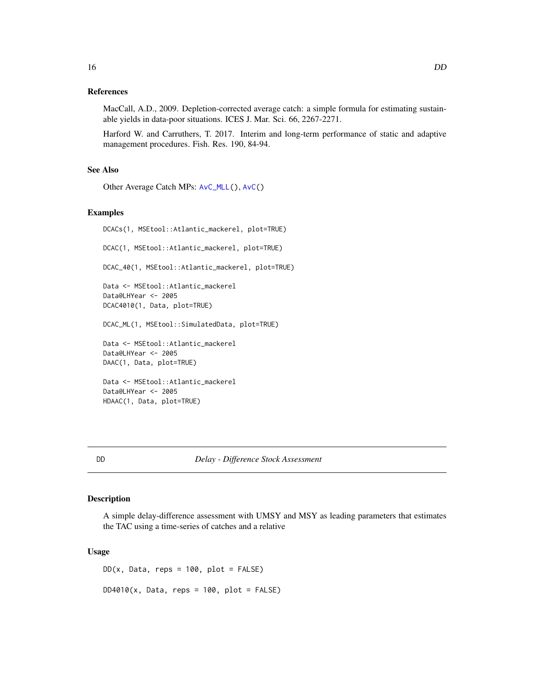# <span id="page-15-0"></span>References

MacCall, A.D., 2009. Depletion-corrected average catch: a simple formula for estimating sustainable yields in data-poor situations. ICES J. Mar. Sci. 66, 2267-2271.

Harford W. and Carruthers, T. 2017. Interim and long-term performance of static and adaptive management procedures. Fish. Res. 190, 84-94.

# See Also

Other Average Catch MPs: [AvC\\_MLL\(](#page-3-1)), [AvC\(](#page-2-1))

# Examples

```
DCACs(1, MSEtool::Atlantic_mackerel, plot=TRUE)
DCAC(1, MSEtool::Atlantic_mackerel, plot=TRUE)
DCAC_40(1, MSEtool::Atlantic_mackerel, plot=TRUE)
Data <- MSEtool::Atlantic_mackerel
Data@LHYear <- 2005
DCAC4010(1, Data, plot=TRUE)
DCAC_ML(1, MSEtool::SimulatedData, plot=TRUE)
Data <- MSEtool::Atlantic_mackerel
Data@LHYear <- 2005
DAAC(1, Data, plot=TRUE)
Data <- MSEtool::Atlantic_mackerel
Data@LHYear <- 2005
HDAAC(1, Data, plot=TRUE)
```
<span id="page-15-1"></span>

DD *Delay - Difference Stock Assessment*

#### Description

A simple delay-difference assessment with UMSY and MSY as leading parameters that estimates the TAC using a time-series of catches and a relative

#### Usage

 $DD(x, Data, reps = 100, plot = FALSE)$  $DD4010(x, Data, reps = 100, plot = FALSE)$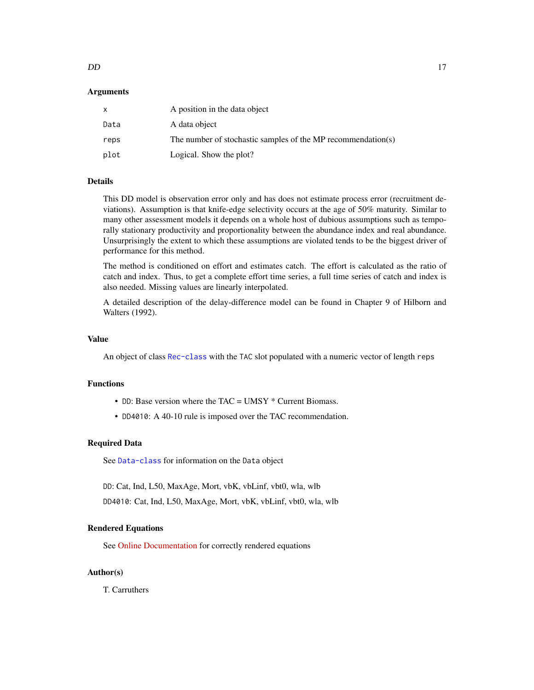#### $DD$  17

# Arguments

|      | A position in the data object                                |
|------|--------------------------------------------------------------|
| Data | A data object                                                |
| reps | The number of stochastic samples of the MP recommendation(s) |
| plot | Logical. Show the plot?                                      |

# Details

This DD model is observation error only and has does not estimate process error (recruitment deviations). Assumption is that knife-edge selectivity occurs at the age of 50% maturity. Similar to many other assessment models it depends on a whole host of dubious assumptions such as temporally stationary productivity and proportionality between the abundance index and real abundance. Unsurprisingly the extent to which these assumptions are violated tends to be the biggest driver of performance for this method.

The method is conditioned on effort and estimates catch. The effort is calculated as the ratio of catch and index. Thus, to get a complete effort time series, a full time series of catch and index is also needed. Missing values are linearly interpolated.

A detailed description of the delay-difference model can be found in Chapter 9 of Hilborn and Walters (1992).

# Value

An object of class [Rec-class](#page-0-0) with the TAC slot populated with a numeric vector of length reps

# Functions

- DD: Base version where the TAC = UMSY \* Current Biomass.
- DD4010: A 40-10 rule is imposed over the TAC recommendation.

#### Required Data

See [Data-class](#page-0-0) for information on the Data object

DD: Cat, Ind, L50, MaxAge, Mort, vbK, vbLinf, vbt0, wla, wlb

DD4010: Cat, Ind, L50, MaxAge, Mort, vbK, vbLinf, vbt0, wla, wlb

#### Rendered Equations

See [Online Documentation](https://dlmtool.openmse.com/reference/DD.html) for correctly rendered equations

# Author(s)

T. Carruthers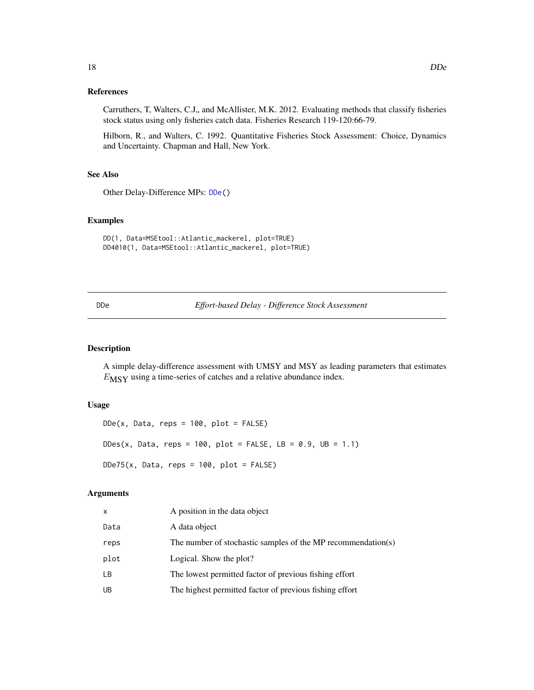# <span id="page-17-0"></span>References

Carruthers, T, Walters, C.J., and McAllister, M.K. 2012. Evaluating methods that classify fisheries stock status using only fisheries catch data. Fisheries Research 119-120:66-79.

Hilborn, R., and Walters, C. 1992. Quantitative Fisheries Stock Assessment: Choice, Dynamics and Uncertainty. Chapman and Hall, New York.

# See Also

Other Delay-Difference MPs: [DDe\(](#page-17-1))

# Examples

```
DD(1, Data=MSEtool::Atlantic_mackerel, plot=TRUE)
DD4010(1, Data=MSEtool::Atlantic_mackerel, plot=TRUE)
```
<span id="page-17-1"></span>DDe *Effort-based Delay - Difference Stock Assessment*

#### Description

A simple delay-difference assessment with UMSY and MSY as leading parameters that estimates  $E_{\text{MSY}}$  using a time-series of catches and a relative abundance index.

# Usage

```
DDe(x, Data, reps = 100, plot = FALSE)DDes(x, Data, reps = 100, plot = FALSE, LB = 0.9, UB = 1.1)DDe75(x, Data, reps = 100, plot = FALSE)
```
# Arguments

| x    | A position in the data object                                |
|------|--------------------------------------------------------------|
| Data | A data object                                                |
| reps | The number of stochastic samples of the MP recommendation(s) |
| plot | Logical. Show the plot?                                      |
| LВ   | The lowest permitted factor of previous fishing effort       |
| UB   | The highest permitted factor of previous fishing effort      |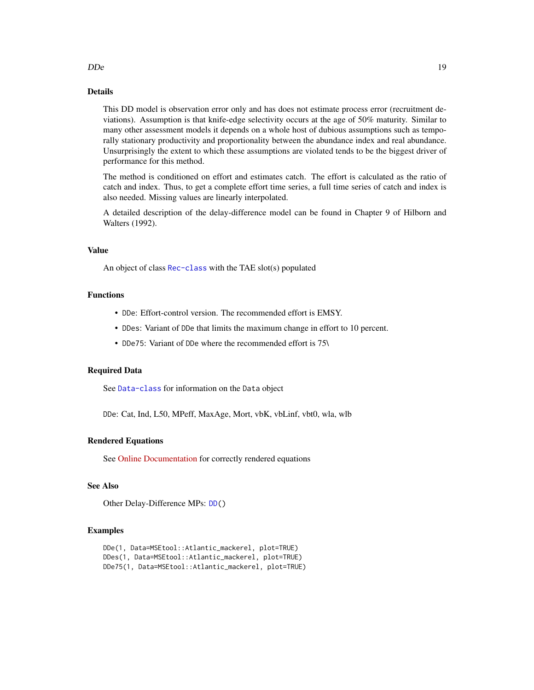# Details

This DD model is observation error only and has does not estimate process error (recruitment deviations). Assumption is that knife-edge selectivity occurs at the age of 50% maturity. Similar to many other assessment models it depends on a whole host of dubious assumptions such as temporally stationary productivity and proportionality between the abundance index and real abundance. Unsurprisingly the extent to which these assumptions are violated tends to be the biggest driver of performance for this method.

The method is conditioned on effort and estimates catch. The effort is calculated as the ratio of catch and index. Thus, to get a complete effort time series, a full time series of catch and index is also needed. Missing values are linearly interpolated.

A detailed description of the delay-difference model can be found in Chapter 9 of Hilborn and Walters (1992).

# Value

An object of class [Rec-class](#page-0-0) with the TAE slot(s) populated

# Functions

- DDe: Effort-control version. The recommended effort is EMSY.
- DDes: Variant of DDe that limits the maximum change in effort to 10 percent.
- DDe75: Variant of DDe where the recommended effort is 75\

# Required Data

See [Data-class](#page-0-0) for information on the Data object

DDe: Cat, Ind, L50, MPeff, MaxAge, Mort, vbK, vbLinf, vbt0, wla, wlb

# Rendered Equations

See [Online Documentation](https://dlmtool.openmse.com/reference/DDe.html) for correctly rendered equations

# See Also

Other Delay-Difference MPs: [DD\(](#page-15-1))

#### Examples

```
DDe(1, Data=MSEtool::Atlantic_mackerel, plot=TRUE)
DDes(1, Data=MSEtool::Atlantic_mackerel, plot=TRUE)
DDe75(1, Data=MSEtool::Atlantic_mackerel, plot=TRUE)
```
 $D$ De  $19$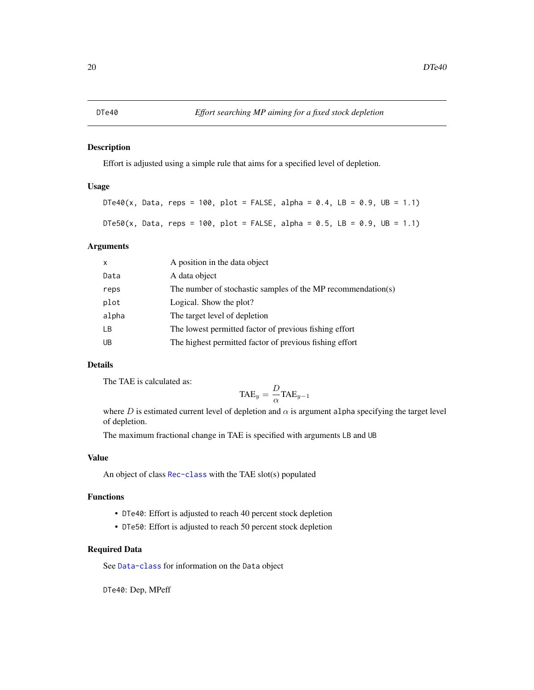# <span id="page-19-0"></span>Description

Effort is adjusted using a simple rule that aims for a specified level of depletion.

# Usage

```
DTe40(x, Data, reps = 100, plot = FALSE, alpha = 0.4, LB = 0.9, UB = 1.1)DTe50(x, Data, reps = 100, plot = FALSE, alpha = 0.5, LB = 0.9, UB = 1.1)
```
# Arguments

| $\mathsf{x}$ | A position in the data object                                |
|--------------|--------------------------------------------------------------|
| Data         | A data object                                                |
| reps         | The number of stochastic samples of the MP recommendation(s) |
| plot         | Logical. Show the plot?                                      |
| alpha        | The target level of depletion                                |
| LB           | The lowest permitted factor of previous fishing effort       |
| UB           | The highest permitted factor of previous fishing effort      |

# Details

The TAE is calculated as:

$$
\text{TAE}_y = \frac{D}{\alpha} \text{TAE}_{y-1}
$$

where  $D$  is estimated current level of depletion and  $\alpha$  is argument alpha specifying the target level of depletion.

The maximum fractional change in TAE is specified with arguments LB and UB

#### Value

An object of class [Rec-class](#page-0-0) with the TAE slot(s) populated

# Functions

- DTe40: Effort is adjusted to reach 40 percent stock depletion
- DTe50: Effort is adjusted to reach 50 percent stock depletion

# Required Data

See [Data-class](#page-0-0) for information on the Data object

DTe40: Dep, MPeff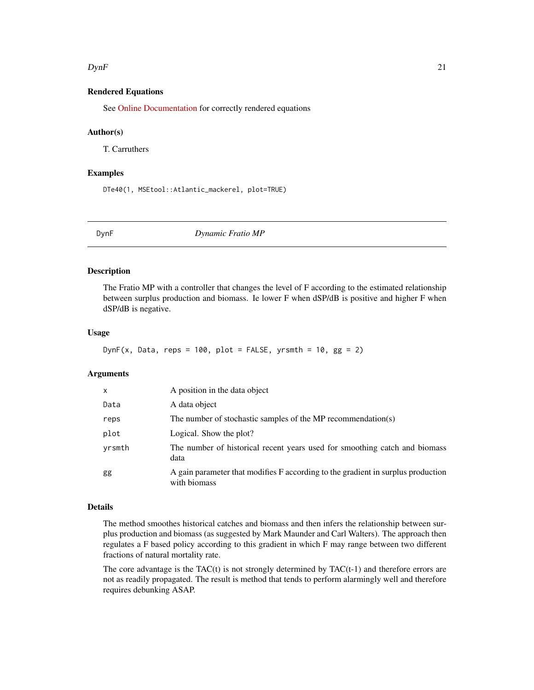#### <span id="page-20-0"></span> $DynF$  21

# Rendered Equations

See [Online Documentation](https://dlmtool.openmse.com/reference/DTe40.html) for correctly rendered equations

# Author(s)

T. Carruthers

# Examples

DTe40(1, MSEtool::Atlantic\_mackerel, plot=TRUE)

<span id="page-20-1"></span>

DynF *Dynamic Fratio MP*

#### **Description**

The Fratio MP with a controller that changes the level of F according to the estimated relationship between surplus production and biomass. Ie lower F when dSP/dB is positive and higher F when dSP/dB is negative.

# Usage

```
DynF(x, Data, reps = 100, plot = FALSE, yrsmth = 10, gg = 2)
```
# Arguments

| $\mathsf{x}$ | A position in the data object                                                                    |
|--------------|--------------------------------------------------------------------------------------------------|
| Data         | A data object                                                                                    |
| reps         | The number of stochastic samples of the MP recommendation(s)                                     |
| plot         | Logical. Show the plot?                                                                          |
| yrsmth       | The number of historical recent years used for smoothing catch and biomass<br>data               |
| gg           | A gain parameter that modifies F according to the gradient in surplus production<br>with biomass |

# Details

The method smoothes historical catches and biomass and then infers the relationship between surplus production and biomass (as suggested by Mark Maunder and Carl Walters). The approach then regulates a F based policy according to this gradient in which F may range between two different fractions of natural mortality rate.

The core advantage is the TAC $(t)$  is not strongly determined by TAC $(t-1)$  and therefore errors are not as readily propagated. The result is method that tends to perform alarmingly well and therefore requires debunking ASAP.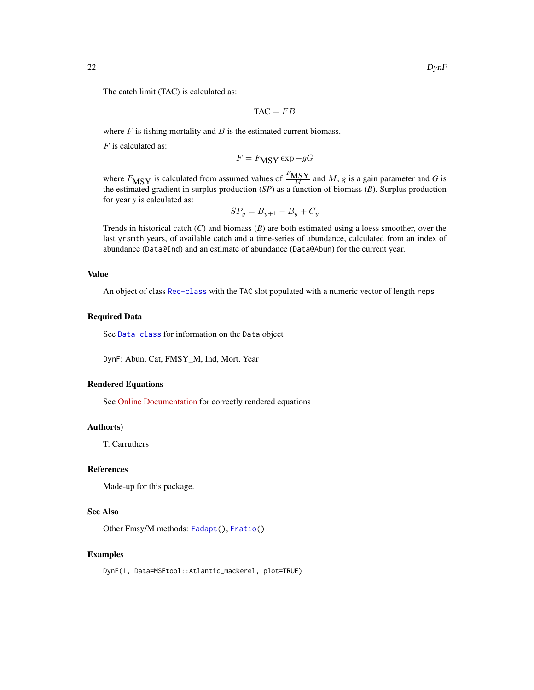The catch limit (TAC) is calculated as:

$$
TAC = FB
$$

where  $F$  is fishing mortality and  $B$  is the estimated current biomass.

 $F$  is calculated as:

$$
F = F_{\text{MSY}} \exp{-gG}
$$

where  $F_{\text{MSY}}$  is calculated from assumed values of  $\frac{F_{\text{MSY}}}{M}$  and M, *g* is a gain parameter and *G* is the estimated gradient in surplus production (*SP*) as a function of biomass (*B*). Surplus production for year *y* is calculated as:

$$
SP_y = B_{y+1} - B_y + C_y
$$

Trends in historical catch (*C*) and biomass (*B*) are both estimated using a loess smoother, over the last yrsmth years, of available catch and a time-series of abundance, calculated from an index of abundance (Data@Ind) and an estimate of abundance (Data@Abun) for the current year.

# Value

An object of class [Rec-class](#page-0-0) with the TAC slot populated with a numeric vector of length reps

#### Required Data

See [Data-class](#page-0-0) for information on the Data object

DynF: Abun, Cat, FMSY\_M, Ind, Mort, Year

#### Rendered Equations

See [Online Documentation](https://dlmtool.openmse.com/reference/DynF.html) for correctly rendered equations

# Author(s)

T. Carruthers

# References

Made-up for this package.

# See Also

Other Fmsy/M methods: [Fadapt\(](#page-23-1)), [Fratio\(](#page-27-1))

# Examples

DynF(1, Data=MSEtool::Atlantic\_mackerel, plot=TRUE)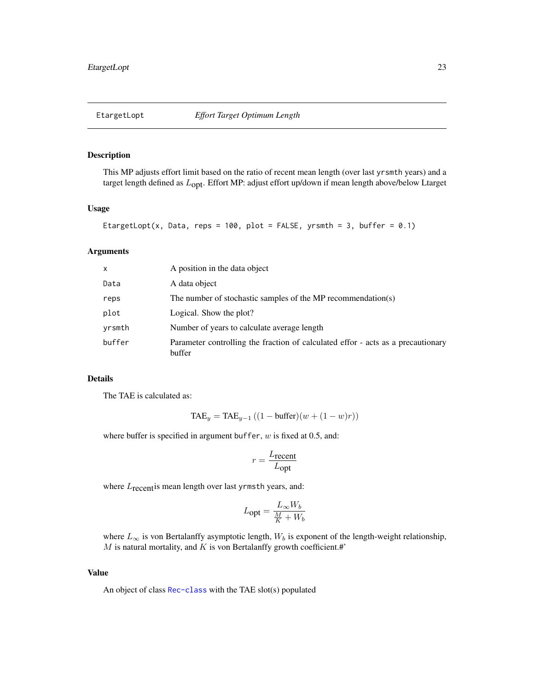<span id="page-22-0"></span>

# Description

This MP adjusts effort limit based on the ratio of recent mean length (over last yrsmth years) and a target length defined as  $L_{\text{opt}}$ . Effort MP: adjust effort up/down if mean length above/below Ltarget

# Usage

```
EtargetLopt(x, Data, reps = 100, plot = FALSE, yrsmth = 3, buffer = 0.1)
```
# Arguments

| $\mathsf{x}$ | A position in the data object                                                              |
|--------------|--------------------------------------------------------------------------------------------|
| Data         | A data object                                                                              |
| reps         | The number of stochastic samples of the MP recommendation(s)                               |
| plot         | Logical. Show the plot?                                                                    |
| yrsmth       | Number of years to calculate average length                                                |
| buffer       | Parameter controlling the fraction of calculated effor - acts as a precautionary<br>buffer |

# Details

The TAE is calculated as:

$$
TAE_y = TAE_{y-1} ((1 - \text{buffer})(w + (1 - w)r))
$$

where buffer is specified in argument buffer,  $w$  is fixed at 0.5, and:

$$
r = \frac{L_{\text{recent}}}{L_{\text{opt}}}
$$

where  $L_{\text{recent}}$  is mean length over last yrmsth years, and:

$$
L_{\text{opt}} = \frac{L_{\infty}W_b}{\frac{M}{K}+W_b}
$$

where  $L_{\infty}$  is von Bertalanffy asymptotic length,  $W_b$  is exponent of the length-weight relationship,  $M$  is natural mortality, and  $K$  is von Bertalanffy growth coefficient.#'

#### Value

An object of class [Rec-class](#page-0-0) with the TAE slot(s) populated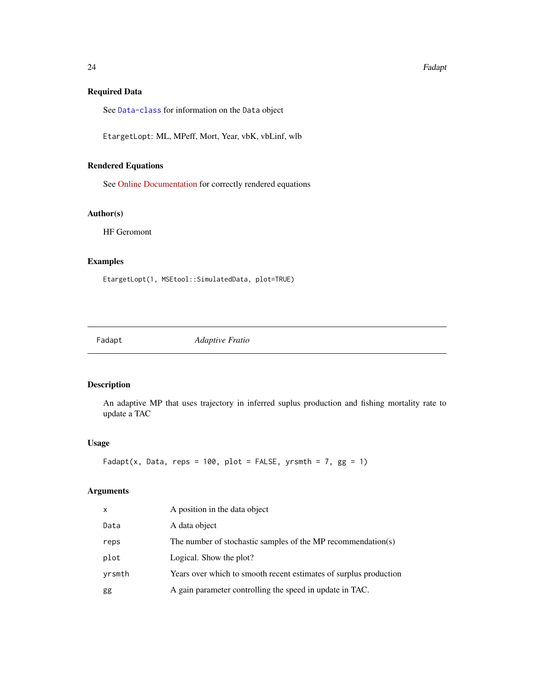# Required Data

See [Data-class](#page-0-0) for information on the Data object

EtargetLopt: ML, MPeff, Mort, Year, vbK, vbLinf, wlb

# Rendered Equations

See [Online Documentation](https://dlmtool.openmse.com/reference/EtargetLopt.html) for correctly rendered equations

# Author(s)

HF Geromont

# Examples

EtargetLopt(1, MSEtool::SimulatedData, plot=TRUE)

<span id="page-23-1"></span>Fadapt *Adaptive Fratio*

# Description

An adaptive MP that uses trajectory in inferred suplus production and fishing mortality rate to update a TAC

# Usage

```
Fadapt(x, Data, reps = 100, plot = FALSE, yrsmth = 7, gg = 1)
```
# Arguments

| x      | A position in the data object                                     |
|--------|-------------------------------------------------------------------|
| Data   | A data object                                                     |
| reps   | The number of stochastic samples of the MP recommendation(s)      |
| plot   | Logical. Show the plot?                                           |
| yrsmth | Years over which to smooth recent estimates of surplus production |
| gg     | A gain parameter controlling the speed in update in TAC.          |

<span id="page-23-0"></span>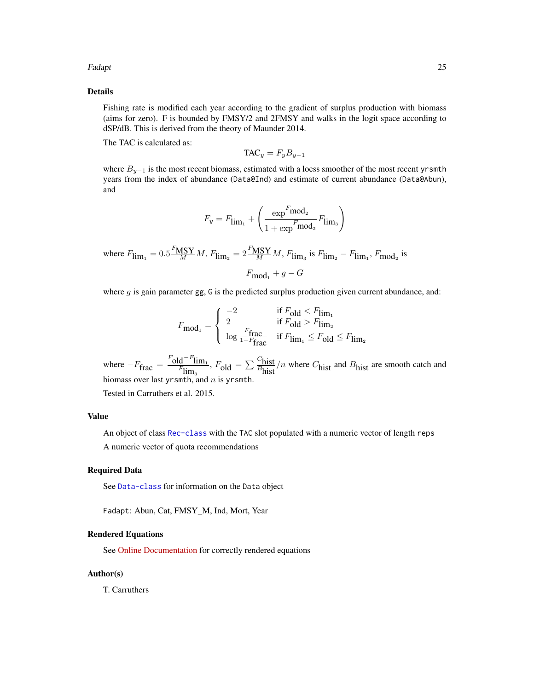# Fadapt 25

# Details

Fishing rate is modified each year according to the gradient of surplus production with biomass (aims for zero). F is bounded by FMSY/2 and 2FMSY and walks in the logit space according to dSP/dB. This is derived from the theory of Maunder 2014.

The TAC is calculated as:

$$
\mathrm{TAC}_y = F_y B_{y-1}
$$

where  $B_{y-1}$  is the most recent biomass, estimated with a loess smoother of the most recent yrsmth years from the index of abundance (Data@Ind) and estimate of current abundance (Data@Abun), and

$$
F_y = F_{\lim_1} + \left(\frac{\exp^F\!\text{mod}_2}{1+\exp^F\!\text{mod}_2}F_{\lim_3}\right)
$$

where  $F_{\lim_1} = 0.5 \frac{F_{\text{MSY}}}{M} M$ ,  $F_{\lim_2} = 2 \frac{F_{\text{MSY}}}{M} M$ ,  $F_{\lim_3}$  is  $F_{\lim_2} - F_{\lim_1}$ ,  $F_{\text{mod}_2}$  is  $F_{\text{mod}_1} + g - G$ 

where  $g$  is gain parameter gg,  $G$  is the predicted surplus production given current abundance, and:

$$
F_{\text{mod}_1} = \left\{ \begin{array}{ll} -2 & \text{if } F_{\text{old}} < F_{\lim_1} \\ 2 & \text{if } F_{\text{old}} > F_{\lim_2} \\ \log \frac{F_{\text{frac}}}{1 - F_{\text{frac}}} & \text{if } F_{\lim_1} \leq F_{\text{old}} \leq F_{\lim_2} \end{array} \right.
$$

where  $-F_{\text{frac}} = \frac{F_{\text{old}} - F_{\text{lim}_1}}{F_{\text{lim}_3}}$ ,  $F_{\text{old}} = \sum \frac{C_{\text{hist}}}{B_{\text{hist}}}$  $\frac{\text{m}_{\text{hist}}}{B_{\text{hist}}}$ /*n* where  $C_{\text{hist}}$  and  $B_{\text{hist}}$  are smooth catch and biomass over last yrsmth, and  $n$  is yrsmth.

Tested in Carruthers et al. 2015.

# Value

An object of class [Rec-class](#page-0-0) with the TAC slot populated with a numeric vector of length reps A numeric vector of quota recommendations

# Required Data

See [Data-class](#page-0-0) for information on the Data object

Fadapt: Abun, Cat, FMSY\_M, Ind, Mort, Year

# Rendered Equations

See [Online Documentation](https://dlmtool.openmse.com/reference/Fadapt.html) for correctly rendered equations

# Author(s)

T. Carruthers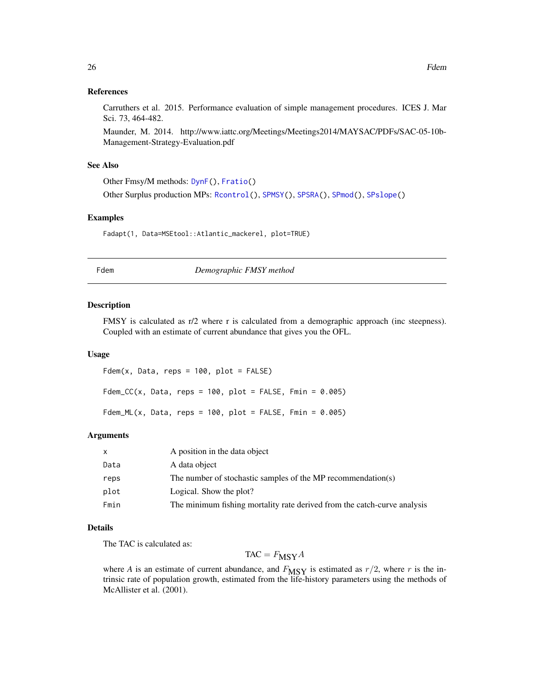# <span id="page-25-0"></span>References

Carruthers et al. 2015. Performance evaluation of simple management procedures. ICES J. Mar Sci. 73, 464-482.

Maunder, M. 2014. http://www.iattc.org/Meetings/Meetings2014/MAYSAC/PDFs/SAC-05-10b-Management-Strategy-Evaluation.pdf

#### See Also

Other Fmsy/M methods: [DynF\(](#page-20-1)), [Fratio\(](#page-27-1))

Other Surplus production MPs: [Rcontrol\(](#page-66-1)), [SPMSY\(](#page-71-1)), [SPSRA\(](#page-74-1)), [SPmod\(](#page-70-1)), [SPslope\(](#page-73-1))

#### Examples

Fadapt(1, Data=MSEtool::Atlantic\_mackerel, plot=TRUE)

Fdem *Demographic FMSY method*

#### Description

FMSY is calculated as r/2 where r is calculated from a demographic approach (inc steepness). Coupled with an estimate of current abundance that gives you the OFL.

#### Usage

 $Fdem(x, Data, reps = 100, plot = FALSE)$  $Fdem_CCC(x, Data, reps = 100, plot = FALSE, Fmin = 0.005)$ Fdem\_ML(x, Data, reps =  $100$ , plot = FALSE, Fmin =  $0.005$ )

#### Arguments

| X    | A position in the data object                                            |
|------|--------------------------------------------------------------------------|
| Data | A data object                                                            |
| reps | The number of stochastic samples of the MP recommendation(s)             |
| plot | Logical. Show the plot?                                                  |
| Fmin | The minimum fishing mortality rate derived from the catch-curve analysis |

# Details

The TAC is calculated as:

 $TAC = F_{\text{MSY}}A$ 

where *A* is an estimate of current abundance, and  $F_{\text{MSY}}$  is estimated as  $r/2$ , where *r* is the intrinsic rate of population growth, estimated from the life-history parameters using the methods of McAllister et al. (2001).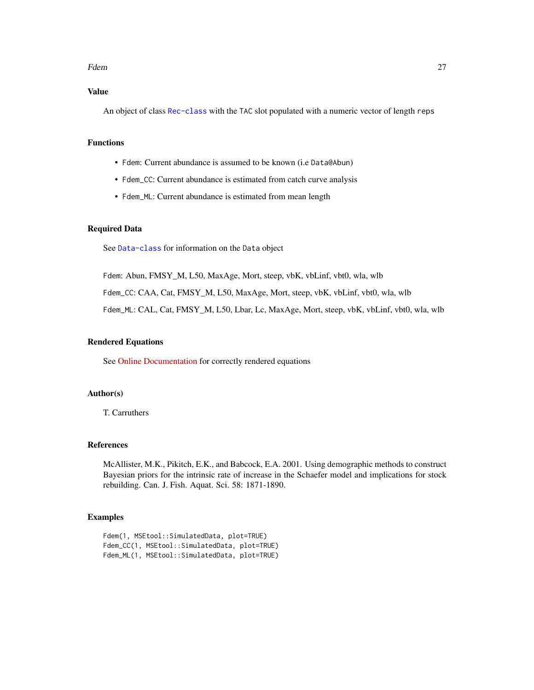#### Fdem 27

# Value

An object of class [Rec-class](#page-0-0) with the TAC slot populated with a numeric vector of length reps

# Functions

- Fdem: Current abundance is assumed to be known (i.e Data@Abun)
- Fdem\_CC: Current abundance is estimated from catch curve analysis
- Fdem\_ML: Current abundance is estimated from mean length

# Required Data

See [Data-class](#page-0-0) for information on the Data object

Fdem: Abun, FMSY\_M, L50, MaxAge, Mort, steep, vbK, vbLinf, vbt0, wla, wlb

Fdem\_CC: CAA, Cat, FMSY\_M, L50, MaxAge, Mort, steep, vbK, vbLinf, vbt0, wla, wlb

Fdem\_ML: CAL, Cat, FMSY\_M, L50, Lbar, Lc, MaxAge, Mort, steep, vbK, vbLinf, vbt0, wla, wlb

#### Rendered Equations

See [Online Documentation](https://dlmtool.openmse.com/reference/Fdem.html) for correctly rendered equations

#### Author(s)

T. Carruthers

# References

McAllister, M.K., Pikitch, E.K., and Babcock, E.A. 2001. Using demographic methods to construct Bayesian priors for the intrinsic rate of increase in the Schaefer model and implications for stock rebuilding. Can. J. Fish. Aquat. Sci. 58: 1871-1890.

# Examples

```
Fdem(1, MSEtool::SimulatedData, plot=TRUE)
Fdem_CC(1, MSEtool::SimulatedData, plot=TRUE)
Fdem_ML(1, MSEtool::SimulatedData, plot=TRUE)
```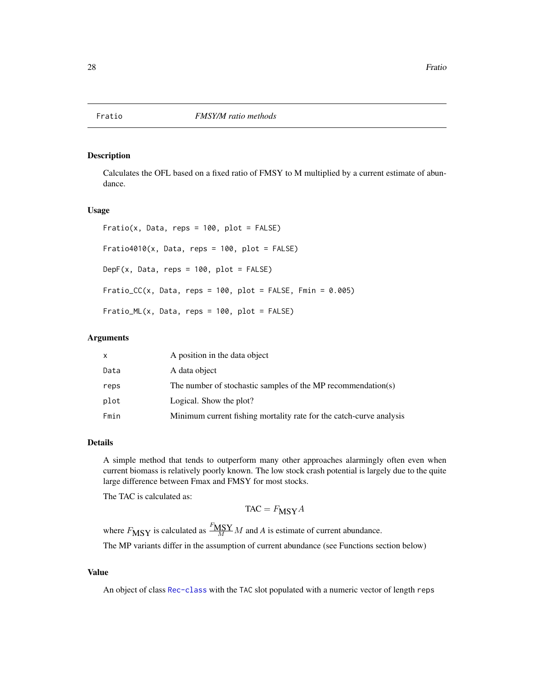<span id="page-27-1"></span><span id="page-27-0"></span>

# Description

Calculates the OFL based on a fixed ratio of FMSY to M multiplied by a current estimate of abundance.

# Usage

 $Fratio(x, Data, reps = 100, plot = FALSE)$  $Fratio4010(x, Data, reps = 100, plot = FALSE)$ DepF(x, Data, reps =  $100$ , plot = FALSE) Fratio\_CC(x, Data, reps =  $100$ , plot = FALSE, Fmin =  $0.005$ ) Fratio\_ML(x, Data, reps = 100, plot = FALSE)

# Arguments

| x    | A position in the data object                                       |
|------|---------------------------------------------------------------------|
| Data | A data object                                                       |
| reps | The number of stochastic samples of the MP recommendation(s)        |
| plot | Logical. Show the plot?                                             |
| Fmin | Minimum current fishing mortality rate for the catch-curve analysis |

# Details

A simple method that tends to outperform many other approaches alarmingly often even when current biomass is relatively poorly known. The low stock crash potential is largely due to the quite large difference between Fmax and FMSY for most stocks.

The TAC is calculated as:

$$
TAC = F_{\text{MSY}}A
$$

where  $F_{\text{MSY}}$  is calculated as  $\frac{F_{\text{MSY}}}{M} M$  and A is estimate of current abundance.

The MP variants differ in the assumption of current abundance (see Functions section below)

#### Value

An object of class [Rec-class](#page-0-0) with the TAC slot populated with a numeric vector of length reps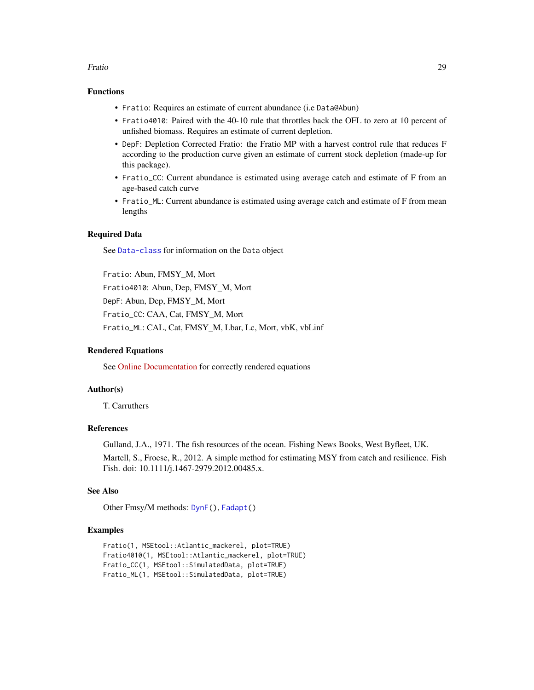#### Fratio 29

# Functions

- Fratio: Requires an estimate of current abundance (i.e Data@Abun)
- Fratio4010: Paired with the 40-10 rule that throttles back the OFL to zero at 10 percent of unfished biomass. Requires an estimate of current depletion.
- DepF: Depletion Corrected Fratio: the Fratio MP with a harvest control rule that reduces F according to the production curve given an estimate of current stock depletion (made-up for this package).
- Fratio\_CC: Current abundance is estimated using average catch and estimate of F from an age-based catch curve
- Fratio\_ML: Current abundance is estimated using average catch and estimate of F from mean lengths

# Required Data

See [Data-class](#page-0-0) for information on the Data object

Fratio: Abun, FMSY\_M, Mort Fratio4010: Abun, Dep, FMSY\_M, Mort DepF: Abun, Dep, FMSY\_M, Mort Fratio\_CC: CAA, Cat, FMSY\_M, Mort Fratio\_ML: CAL, Cat, FMSY\_M, Lbar, Lc, Mort, vbK, vbLinf

# Rendered Equations

See [Online Documentation](https://dlmtool.openmse.com/reference/Fratio.html) for correctly rendered equations

# Author(s)

T. Carruthers

# References

Gulland, J.A., 1971. The fish resources of the ocean. Fishing News Books, West Byfleet, UK. Martell, S., Froese, R., 2012. A simple method for estimating MSY from catch and resilience. Fish Fish. doi: 10.1111/j.1467-2979.2012.00485.x.

#### See Also

Other Fmsy/M methods: [DynF\(](#page-20-1)), [Fadapt\(](#page-23-1))

# Examples

```
Fratio(1, MSEtool::Atlantic_mackerel, plot=TRUE)
Fratio4010(1, MSEtool::Atlantic_mackerel, plot=TRUE)
Fratio_CC(1, MSEtool::SimulatedData, plot=TRUE)
Fratio_ML(1, MSEtool::SimulatedData, plot=TRUE)
```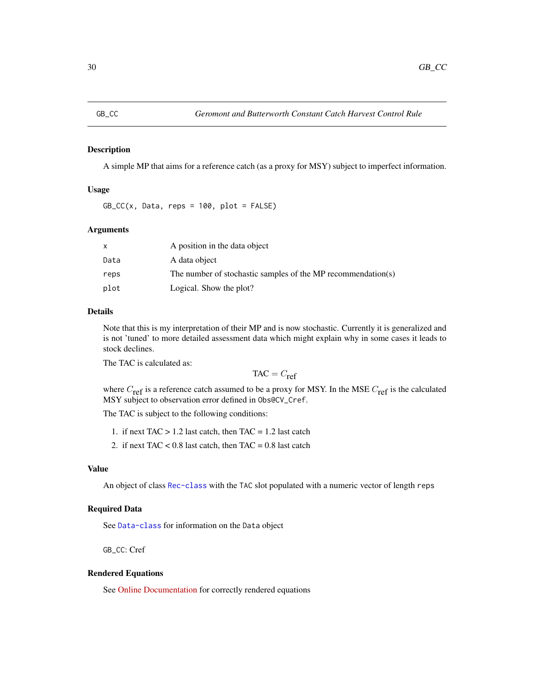<span id="page-29-1"></span><span id="page-29-0"></span>

# Description

A simple MP that aims for a reference catch (as a proxy for MSY) subject to imperfect information.

# Usage

 $GB\_CC(x, Data, reps = 100, plot = FALSE)$ 

# Arguments

|      | A position in the data object                                |
|------|--------------------------------------------------------------|
| Data | A data object                                                |
| reps | The number of stochastic samples of the MP recommendation(s) |
| plot | Logical. Show the plot?                                      |

# Details

Note that this is my interpretation of their MP and is now stochastic. Currently it is generalized and is not 'tuned' to more detailed assessment data which might explain why in some cases it leads to stock declines.

The TAC is calculated as:

 $TAC = C_{ref}$ 

where  $C_{\text{ref}}$  is a reference catch assumed to be a proxy for MSY. In the MSE  $C_{\text{ref}}$  is the calculated MSY subject to observation error defined in Obs@CV\_Cref.

The TAC is subject to the following conditions:

- 1. if next  $TAC > 1.2$  last catch, then  $TAC = 1.2$  last catch
- 2. if next TAC  $< 0.8$  last catch, then TAC = 0.8 last catch

#### Value

An object of class [Rec-class](#page-0-0) with the TAC slot populated with a numeric vector of length reps

# Required Data

See [Data-class](#page-0-0) for information on the Data object

GB\_CC: Cref

# Rendered Equations

See [Online Documentation](https://dlmtool.openmse.com/reference/GB_CC.html) for correctly rendered equations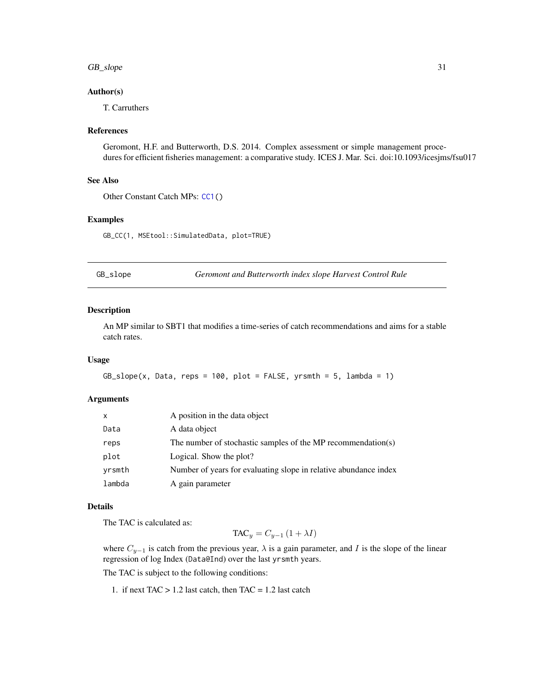#### <span id="page-30-0"></span> $GB\_slope$  31

# Author(s)

T. Carruthers

#### References

Geromont, H.F. and Butterworth, D.S. 2014. Complex assessment or simple management procedures for efficient fisheries management: a comparative study. ICES J. Mar. Sci. doi:10.1093/icesjms/fsu017

# See Also

Other Constant Catch MPs: [CC1\(](#page-6-1))

# Examples

GB\_CC(1, MSEtool::SimulatedData, plot=TRUE)

<span id="page-30-1"></span>GB\_slope *Geromont and Butterworth index slope Harvest Control Rule*

#### Description

An MP similar to SBT1 that modifies a time-series of catch recommendations and aims for a stable catch rates.

#### Usage

```
GB\_slope(x, Data, reps = 100, plot = FALSE, yrsmth = 5, lambda = 1)
```
# **Arguments**

| $\mathsf{x}$ | A position in the data object                                    |
|--------------|------------------------------------------------------------------|
| Data         | A data object                                                    |
| reps         | The number of stochastic samples of the MP recommendation(s)     |
| plot         | Logical. Show the plot?                                          |
| yrsmth       | Number of years for evaluating slope in relative abundance index |
| lambda       | A gain parameter                                                 |

# Details

The TAC is calculated as:

 $TAC_y = C_{y-1} (1 + \lambda I)$ 

where  $C_{y-1}$  is catch from the previous year,  $\lambda$  is a gain parameter, and I is the slope of the linear regression of log Index (Data@Ind) over the last yrsmth years.

The TAC is subject to the following conditions:

1. if next  $TAC > 1.2$  last catch, then  $TAC = 1.2$  last catch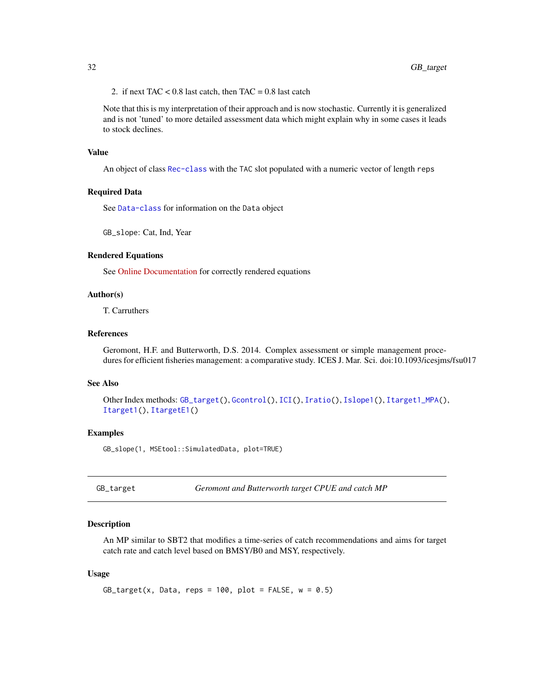<span id="page-31-0"></span>2. if next TAC <  $0.8$  last catch, then TAC =  $0.8$  last catch

Note that this is my interpretation of their approach and is now stochastic. Currently it is generalized and is not 'tuned' to more detailed assessment data which might explain why in some cases it leads to stock declines.

# Value

An object of class [Rec-class](#page-0-0) with the TAC slot populated with a numeric vector of length reps

# Required Data

See [Data-class](#page-0-0) for information on the Data object

GB\_slope: Cat, Ind, Year

# Rendered Equations

See [Online Documentation](https://dlmtool.openmse.com/reference/GB_slope.html) for correctly rendered equations

# Author(s)

T. Carruthers

# References

Geromont, H.F. and Butterworth, D.S. 2014. Complex assessment or simple management procedures for efficient fisheries management: a comparative study. ICES J. Mar. Sci. doi:10.1093/icesjms/fsu017

# See Also

```
Other Index methods: GB_target(), Gcontrol(), ICI(), Iratio(), Islope1(), Itarget1_MPA(),
Itarget1(), ItargetE1()
```
#### Examples

GB\_slope(1, MSEtool::SimulatedData, plot=TRUE)

<span id="page-31-1"></span>GB\_target *Geromont and Butterworth target CPUE and catch MP*

#### **Description**

An MP similar to SBT2 that modifies a time-series of catch recommendations and aims for target catch rate and catch level based on BMSY/B0 and MSY, respectively.

# Usage

```
GB\_target(x, Data, reps = 100, plot = FALSE, w = 0.5)
```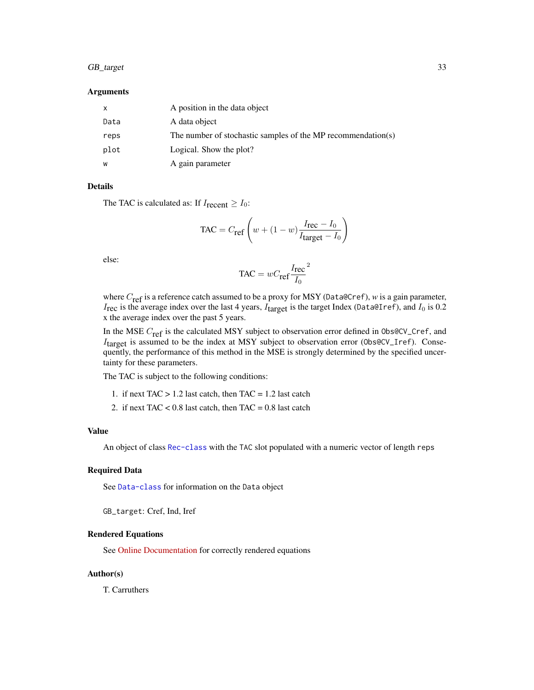# GB\_target 33

#### Arguments

| x    | A position in the data object                                |
|------|--------------------------------------------------------------|
| Data | A data object                                                |
| reps | The number of stochastic samples of the MP recommendation(s) |
| plot | Logical. Show the plot?                                      |
| w    | A gain parameter                                             |

# Details

The TAC is calculated as: If  $I_{\text{recent}} \geq I_0$ :

$$
\text{TAC} = C_{\text{ref}} \left( w + (1 - w) \frac{I_{\text{rec}} - I_0}{I_{\text{target}} - I_0} \right)
$$

else:

$$
TAC = wC_{\text{ref}}\frac{I_{\text{rec}}}{I_0}^2
$$

where C<sub>ref</sub> is a reference catch assumed to be a proxy for MSY (Data@Cref), *w* is a gain parameter,  $I_{\text{rec}}$  is the average index over the last 4 years,  $I_{\text{target}}$  is the target Index (Data@Iref), and  $I_0$  is 0.2 x the average index over the past 5 years.

In the MSE  $C_{\text{ref}}$  is the calculated MSY subject to observation error defined in 0bs@CV\_Cref, and  $I_{\text{target}}$  is assumed to be the index at MSY subject to observation error (0bs@CV\_Iref). Consequently, the performance of this method in the MSE is strongly determined by the specified uncertainty for these parameters.

The TAC is subject to the following conditions:

- 1. if next  $TAC > 1.2$  last catch, then  $TAC = 1.2$  last catch
- 2. if next TAC  $< 0.8$  last catch, then TAC = 0.8 last catch

# Value

An object of class [Rec-class](#page-0-0) with the TAC slot populated with a numeric vector of length reps

# Required Data

See [Data-class](#page-0-0) for information on the Data object

GB\_target: Cref, Ind, Iref

# Rendered Equations

See [Online Documentation](https://dlmtool.openmse.com/reference/GB_target.html) for correctly rendered equations

# Author(s)

T. Carruthers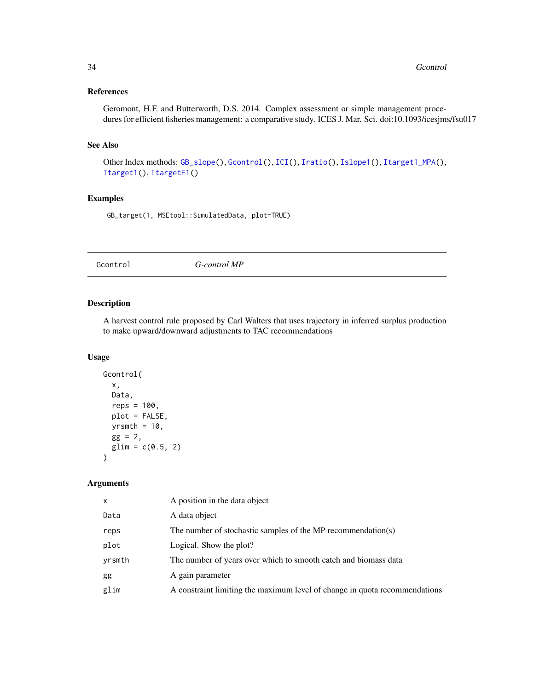# <span id="page-33-0"></span>References

Geromont, H.F. and Butterworth, D.S. 2014. Complex assessment or simple management procedures for efficient fisheries management: a comparative study. ICES J. Mar. Sci. doi:10.1093/icesjms/fsu017

# See Also

Other Index methods: [GB\\_slope\(](#page-30-1)), [Gcontrol\(](#page-33-1)), [ICI\(](#page-35-1)), [Iratio\(](#page-36-1)), [Islope1\(](#page-38-1)), [Itarget1\\_MPA\(](#page-43-1)), [Itarget1\(](#page-41-1)), [ItargetE1\(](#page-45-1))

# Examples

GB\_target(1, MSEtool::SimulatedData, plot=TRUE)

<span id="page-33-1"></span>Gcontrol *G-control MP*

# Description

A harvest control rule proposed by Carl Walters that uses trajectory in inferred surplus production to make upward/downward adjustments to TAC recommendations

# Usage

```
Gcontrol(
  x,
 Data,
  reps = 100,
 plot = FALSE,
 yrsmth = 10,
  gg = 2,glim = c(0.5, 2)\lambda
```
# Arguments

| $\mathsf{x}$ | A position in the data object                                              |
|--------------|----------------------------------------------------------------------------|
| Data         | A data object                                                              |
| reps         | The number of stochastic samples of the MP recommendation(s)               |
| plot         | Logical. Show the plot?                                                    |
| yrsmth       | The number of years over which to smooth catch and biomass data            |
| gg           | A gain parameter                                                           |
| glim         | A constraint limiting the maximum level of change in quota recommendations |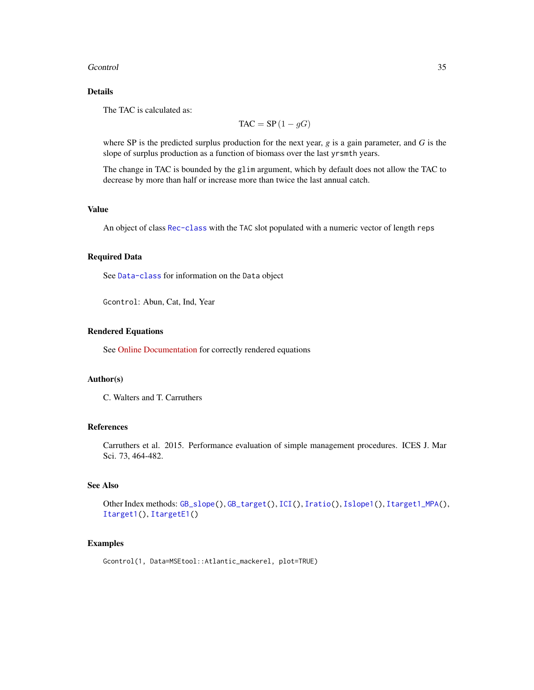# Geontrol 35

# Details

The TAC is calculated as:

$$
TAC = SP(1 - gG)
$$

where SP is the predicted surplus production for the next year, *g* is a gain parameter, and *G* is the slope of surplus production as a function of biomass over the last yrsmth years.

The change in TAC is bounded by the glim argument, which by default does not allow the TAC to decrease by more than half or increase more than twice the last annual catch.

# Value

An object of class [Rec-class](#page-0-0) with the TAC slot populated with a numeric vector of length reps

# Required Data

See [Data-class](#page-0-0) for information on the Data object

Gcontrol: Abun, Cat, Ind, Year

# Rendered Equations

See [Online Documentation](https://dlmtool.openmse.com/reference/Gcontrol.html) for correctly rendered equations

# Author(s)

C. Walters and T. Carruthers

# References

Carruthers et al. 2015. Performance evaluation of simple management procedures. ICES J. Mar Sci. 73, 464-482.

# See Also

Other Index methods: [GB\\_slope\(](#page-30-1)), [GB\\_target\(](#page-31-1)), [ICI\(](#page-35-1)), [Iratio\(](#page-36-1)), [Islope1\(](#page-38-1)), [Itarget1\\_MPA\(](#page-43-1)), [Itarget1\(](#page-41-1)), [ItargetE1\(](#page-45-1))

#### Examples

Gcontrol(1, Data=MSEtool::Atlantic\_mackerel, plot=TRUE)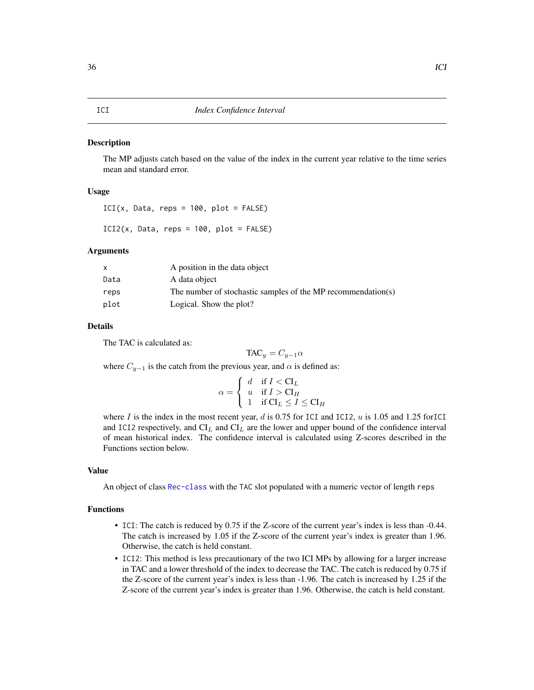#### <span id="page-35-1"></span><span id="page-35-0"></span>**Description**

The MP adjusts catch based on the value of the index in the current year relative to the time series mean and standard error.

# Usage

 $ICI(x, Data, reps = 100, plot = FALSE)$ 

 $ICI2(x, Data, reps = 100, plot = FALSE)$ 

# Arguments

| x    | A position in the data object                                |
|------|--------------------------------------------------------------|
| Data | A data object                                                |
| reps | The number of stochastic samples of the MP recommendation(s) |
| plot | Logical. Show the plot?                                      |

#### Details

The TAC is calculated as:

$$
TAC_y = C_{y-1}\alpha
$$

where  $C_{y-1}$  is the catch from the previous year, and  $\alpha$  is defined as:

$$
\alpha = \begin{cases} d & \text{if } I < \mathcal{C}I_L \\ u & \text{if } I > \mathcal{C}I_H \\ 1 & \text{if } \mathcal{C}I_L \le I \le \mathcal{C}I_H \end{cases}
$$

where  $I$  is the index in the most recent year,  $d$  is 0.75 for ICI and ICI2,  $u$  is 1.05 and 1.25 forICI and ICI2 respectively, and  $CI_L$  and  $CI_L$  are the lower and upper bound of the confidence interval of mean historical index. The confidence interval is calculated using Z-scores described in the Functions section below.

#### Value

An object of class [Rec-class](#page-0-0) with the TAC slot populated with a numeric vector of length reps

# Functions

- ICI: The catch is reduced by 0.75 if the Z-score of the current year's index is less than -0.44. The catch is increased by 1.05 if the Z-score of the current year's index is greater than 1.96. Otherwise, the catch is held constant.
- ICI2: This method is less precautionary of the two ICI MPs by allowing for a larger increase in TAC and a lower threshold of the index to decrease the TAC. The catch is reduced by 0.75 if the Z-score of the current year's index is less than -1.96. The catch is increased by 1.25 if the Z-score of the current year's index is greater than 1.96. Otherwise, the catch is held constant.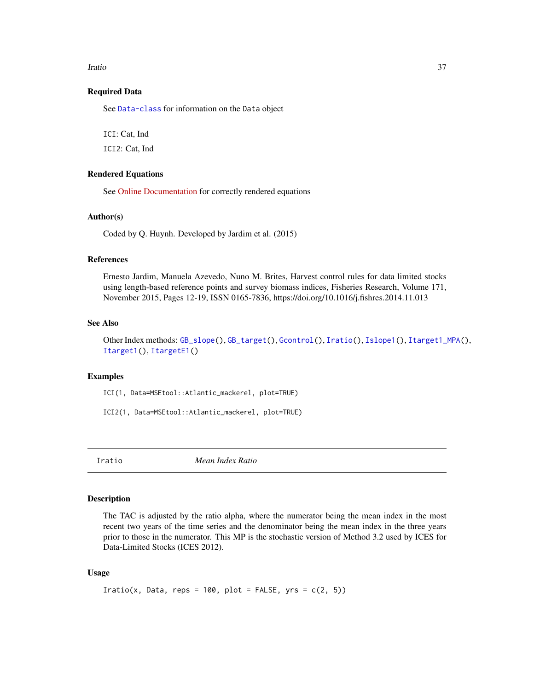#### Iratio 37

## Required Data

See [Data-class](#page-0-0) for information on the Data object

ICI: Cat, Ind

ICI2: Cat, Ind

## Rendered Equations

See [Online Documentation](https://dlmtool.openmse.com/reference/ICI.html) for correctly rendered equations

#### Author(s)

Coded by Q. Huynh. Developed by Jardim et al. (2015)

#### References

Ernesto Jardim, Manuela Azevedo, Nuno M. Brites, Harvest control rules for data limited stocks using length-based reference points and survey biomass indices, Fisheries Research, Volume 171, November 2015, Pages 12-19, ISSN 0165-7836, https://doi.org/10.1016/j.fishres.2014.11.013

#### See Also

Other Index methods: [GB\\_slope\(](#page-30-0)), [GB\\_target\(](#page-31-0)), [Gcontrol\(](#page-33-0)), [Iratio\(](#page-36-0)), [Islope1\(](#page-38-0)), [Itarget1\\_MPA\(](#page-43-0)), [Itarget1\(](#page-41-0)), [ItargetE1\(](#page-45-0))

#### Examples

ICI(1, Data=MSEtool::Atlantic\_mackerel, plot=TRUE)

ICI2(1, Data=MSEtool::Atlantic\_mackerel, plot=TRUE)

<span id="page-36-0"></span>Iratio *Mean Index Ratio*

#### Description

The TAC is adjusted by the ratio alpha, where the numerator being the mean index in the most recent two years of the time series and the denominator being the mean index in the three years prior to those in the numerator. This MP is the stochastic version of Method 3.2 used by ICES for Data-Limited Stocks (ICES 2012).

#### Usage

```
Iratio(x, Data, reps = 100, plot = FALSE, yrs = c(2, 5))
```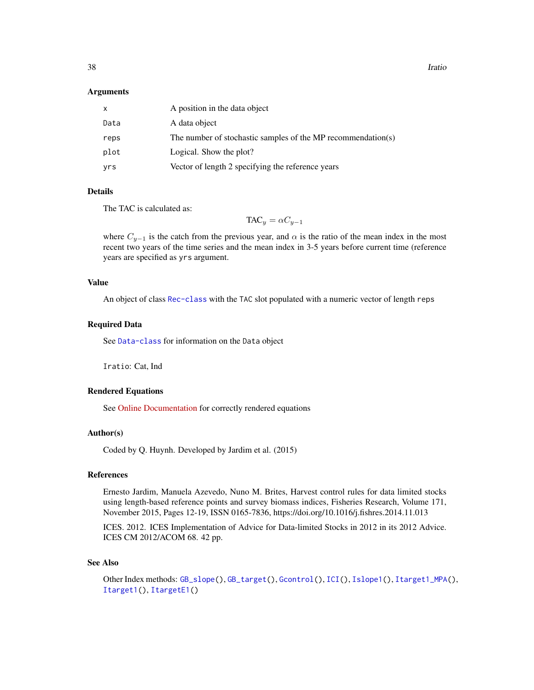**38** Iratio

#### Arguments

| x    | A position in the data object                                |
|------|--------------------------------------------------------------|
| Data | A data object                                                |
| reps | The number of stochastic samples of the MP recommendation(s) |
| plot | Logical. Show the plot?                                      |
| yrs  | Vector of length 2 specifying the reference years            |

# Details

The TAC is calculated as:

$$
\text{TAC}_y = \alpha C_{y-1}
$$

where  $C_{y-1}$  is the catch from the previous year, and  $\alpha$  is the ratio of the mean index in the most recent two years of the time series and the mean index in 3-5 years before current time (reference years are specified as yrs argument.

# Value

An object of class [Rec-class](#page-0-0) with the TAC slot populated with a numeric vector of length reps

#### Required Data

See [Data-class](#page-0-0) for information on the Data object

Iratio: Cat, Ind

## Rendered Equations

See [Online Documentation](https://dlmtool.openmse.com/reference/Iratio.html) for correctly rendered equations

#### Author(s)

Coded by Q. Huynh. Developed by Jardim et al. (2015)

# References

Ernesto Jardim, Manuela Azevedo, Nuno M. Brites, Harvest control rules for data limited stocks using length-based reference points and survey biomass indices, Fisheries Research, Volume 171, November 2015, Pages 12-19, ISSN 0165-7836, https://doi.org/10.1016/j.fishres.2014.11.013

ICES. 2012. ICES Implementation of Advice for Data-limited Stocks in 2012 in its 2012 Advice. ICES CM 2012/ACOM 68. 42 pp.

#### See Also

```
Other Index methods: GB_slope(), GB_target(), Gcontrol(), ICI(), Islope1(), Itarget1_MPA(),
Itarget1(), ItargetE1()
```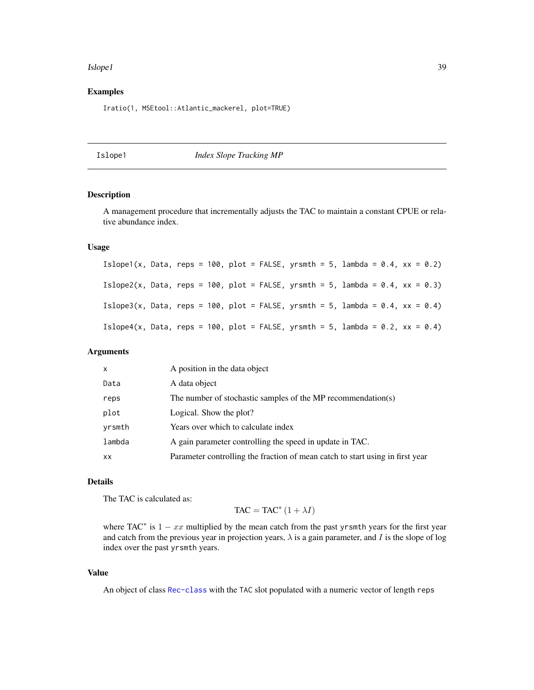#### Islope1 39

## Examples

Iratio(1, MSEtool::Atlantic\_mackerel, plot=TRUE)

## <span id="page-38-0"></span>Islope1 *Index Slope Tracking MP*

## Description

A management procedure that incrementally adjusts the TAC to maintain a constant CPUE or relative abundance index.

# Usage

Islope1(x, Data, reps = 100, plot = FALSE, yrsmth = 5, lambda =  $0.4$ , xx =  $0.2$ ) Islope2(x, Data, reps = 100, plot = FALSE, yrsmth = 5, lambda =  $0.4$ , xx =  $0.3$ ) Islope3(x, Data, reps = 100, plot = FALSE, yrsmth = 5, lambda =  $0.4$ , xx =  $0.4$ ) Islope4(x, Data, reps = 100, plot = FALSE, yrsmth = 5, lambda =  $0.2$ , xx =  $0.4$ )

## Arguments

| x      | A position in the data object                                                 |
|--------|-------------------------------------------------------------------------------|
| Data   | A data object                                                                 |
| reps   | The number of stochastic samples of the MP recommendation(s)                  |
| plot   | Logical. Show the plot?                                                       |
| yrsmth | Years over which to calculate index                                           |
| lambda | A gain parameter controlling the speed in update in TAC.                      |
| XX     | Parameter controlling the fraction of mean catch to start using in first year |

## Details

The TAC is calculated as:

 $TAC = TAC^*(1 + \lambda I)$ 

where TAC<sup>\*</sup> is  $1 - xx$  multiplied by the mean catch from the past yrsmth years for the first year and catch from the previous year in projection years,  $\lambda$  is a gain parameter, and I is the slope of log index over the past yrsmth years.

#### Value

An object of class [Rec-class](#page-0-0) with the TAC slot populated with a numeric vector of length reps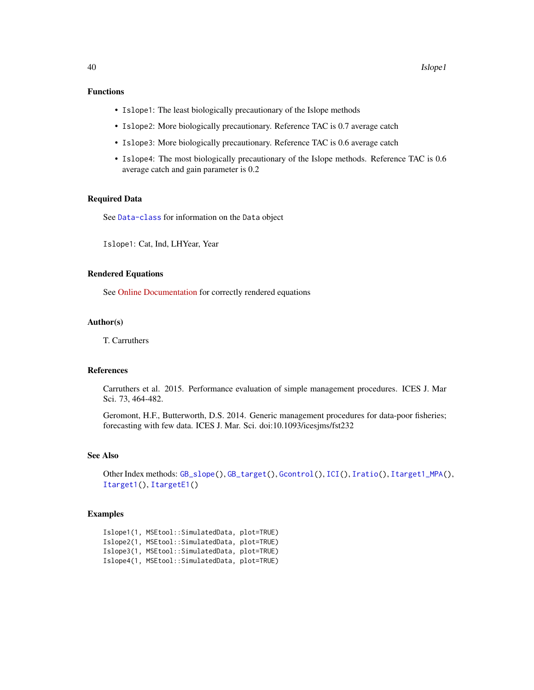# Functions

- Islope1: The least biologically precautionary of the Islope methods
- Islope2: More biologically precautionary. Reference TAC is 0.7 average catch
- Islope3: More biologically precautionary. Reference TAC is 0.6 average catch
- Islope4: The most biologically precautionary of the Islope methods. Reference TAC is 0.6 average catch and gain parameter is 0.2

## Required Data

See [Data-class](#page-0-0) for information on the Data object

Islope1: Cat, Ind, LHYear, Year

#### Rendered Equations

See [Online Documentation](https://dlmtool.openmse.com/reference/Islope1.html) for correctly rendered equations

## Author(s)

T. Carruthers

#### References

Carruthers et al. 2015. Performance evaluation of simple management procedures. ICES J. Mar Sci. 73, 464-482.

Geromont, H.F., Butterworth, D.S. 2014. Generic management procedures for data-poor fisheries; forecasting with few data. ICES J. Mar. Sci. doi:10.1093/icesjms/fst232

## See Also

```
Other Index methods: GB_slope(), GB_target(), Gcontrol(), ICI(), Iratio(), Itarget1_MPA(),
Itarget1(), ItargetE1()
```
#### Examples

```
Islope1(1, MSEtool::SimulatedData, plot=TRUE)
Islope2(1, MSEtool::SimulatedData, plot=TRUE)
Islope3(1, MSEtool::SimulatedData, plot=TRUE)
Islope4(1, MSEtool::SimulatedData, plot=TRUE)
```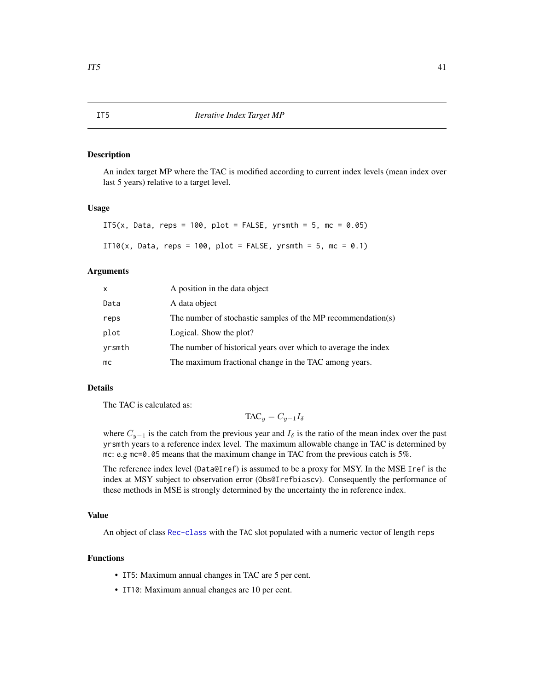## Description

An index target MP where the TAC is modified according to current index levels (mean index over last 5 years) relative to a target level.

#### Usage

```
IT5(x, Data, reps = 100, plot = FALSE, yrsmth = 5, mc = 0.05)
IT10(x, Data, reps = 100, plot = FALSE, yrsmth = 5, mc = 0.1)
```
## Arguments

| $\mathsf{x}$ | A position in the data object                                  |
|--------------|----------------------------------------------------------------|
| Data         | A data object                                                  |
| reps         | The number of stochastic samples of the MP recommendation(s)   |
| plot         | Logical. Show the plot?                                        |
| yrsmth       | The number of historical years over which to average the index |
| mc           | The maximum fractional change in the TAC among years.          |

# Details

The TAC is calculated as:

$$
\text{TAC}_y = C_{y-1} I_{\delta}
$$

where  $C_{y-1}$  is the catch from the previous year and  $I_\delta$  is the ratio of the mean index over the past yrsmth years to a reference index level. The maximum allowable change in TAC is determined by mc: e.g mc=0.05 means that the maximum change in TAC from the previous catch is 5%.

The reference index level (Data@Iref) is assumed to be a proxy for MSY. In the MSE Iref is the index at MSY subject to observation error (Obs@Irefbiascv). Consequently the performance of these methods in MSE is strongly determined by the uncertainty the in reference index.

#### Value

An object of class [Rec-class](#page-0-0) with the TAC slot populated with a numeric vector of length reps

# Functions

- IT5: Maximum annual changes in TAC are 5 per cent.
- IT10: Maximum annual changes are 10 per cent.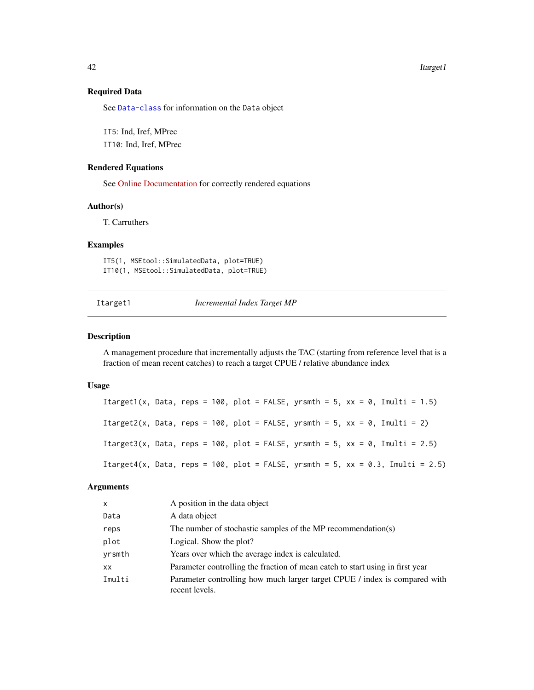42 Itarget1

# Required Data

See [Data-class](#page-0-0) for information on the Data object

IT5: Ind, Iref, MPrec IT10: Ind, Iref, MPrec

#### Rendered Equations

See [Online Documentation](https://dlmtool.openmse.com/reference/IT5.html) for correctly rendered equations

## Author(s)

T. Carruthers

## Examples

```
IT5(1, MSEtool::SimulatedData, plot=TRUE)
IT10(1, MSEtool::SimulatedData, plot=TRUE)
```
Itarget1 *Incremental Index Target MP*

## Description

A management procedure that incrementally adjusts the TAC (starting from reference level that is a fraction of mean recent catches) to reach a target CPUE / relative abundance index

#### Usage

Itarget1(x, Data, reps = 100, plot = FALSE, yrsmth = 5, xx = 0, Imulti = 1.5) Itarget2(x, Data, reps = 100, plot = FALSE, yrsmth = 5, xx = 0, Imulti = 2) Itarget3(x, Data, reps = 100, plot = FALSE, yrsmth = 5,  $xx = 0$ , Imulti = 2.5) Itarget4(x, Data, reps = 100, plot = FALSE, yrsmth = 5, xx = 0.3, Imulti = 2.5)

#### Arguments

| x      | A position in the data object                                                                |
|--------|----------------------------------------------------------------------------------------------|
| Data   | A data object                                                                                |
| reps   | The number of stochastic samples of the MP recommendation(s)                                 |
| plot   | Logical. Show the plot?                                                                      |
| yrsmth | Years over which the average index is calculated.                                            |
| XX     | Parameter controlling the fraction of mean catch to start using in first year                |
| Imulti | Parameter controlling how much larger target CPUE / index is compared with<br>recent levels. |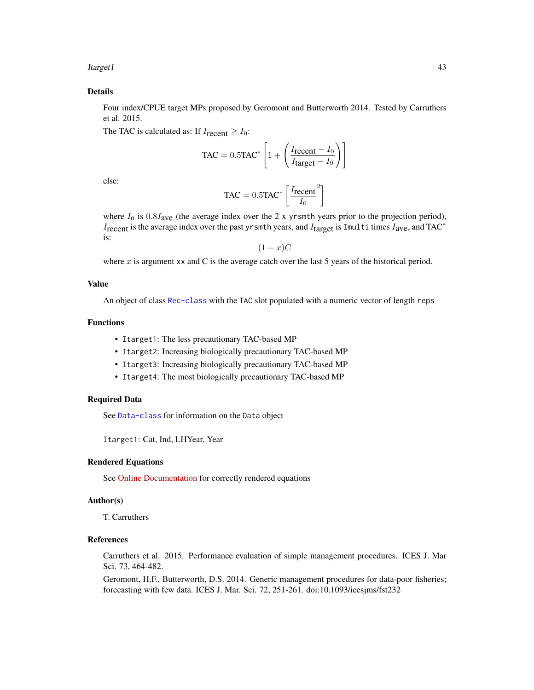Itarget1 43

## Details

Four index/CPUE target MPs proposed by Geromont and Butterworth 2014. Tested by Carruthers et al. 2015.

The TAC is calculated as: If  $I_{\text{recent}} \geq I_0$ :

$$
\text{TAC} = 0.5 \text{TAC}^* \left[ 1 + \left( \frac{I_{\text{recent}} - I_0}{I_{\text{target}} - I_0} \right) \right]
$$

else:

$$
TAC = 0.5TAC^* \left[ \frac{I_{recent}}{I_0}^2 \right]
$$

where  $I_0$  is  $0.8I_{ave}$  (the average index over the 2 x yrsmth years prior to the projection period), I<sub>recent</sub> is the average index over the past yrsmth years, and I<sub>target</sub> is Imulti times I<sub>ave</sub>, and TAC<sup>∗</sup> is:

 $(1-x)C$ 

where  $x$  is argument xx and C is the average catch over the last 5 years of the historical period.

# Value

An object of class [Rec-class](#page-0-0) with the TAC slot populated with a numeric vector of length reps

# Functions

- Itarget1: The less precautionary TAC-based MP
- Itarget2: Increasing biologically precautionary TAC-based MP
- Itarget3: Increasing biologically precautionary TAC-based MP
- Itarget4: The most biologically precautionary TAC-based MP

## Required Data

See [Data-class](#page-0-0) for information on the Data object

Itarget1: Cat, Ind, LHYear, Year

#### Rendered Equations

See [Online Documentation](https://dlmtool.openmse.com/reference/Itarget1.html) for correctly rendered equations

#### Author(s)

T. Carruthers

# References

Carruthers et al. 2015. Performance evaluation of simple management procedures. ICES J. Mar Sci. 73, 464-482.

Geromont, H.F., Butterworth, D.S. 2014. Generic management procedures for data-poor fisheries; forecasting with few data. ICES J. Mar. Sci. 72, 251-261. doi:10.1093/icesjms/fst232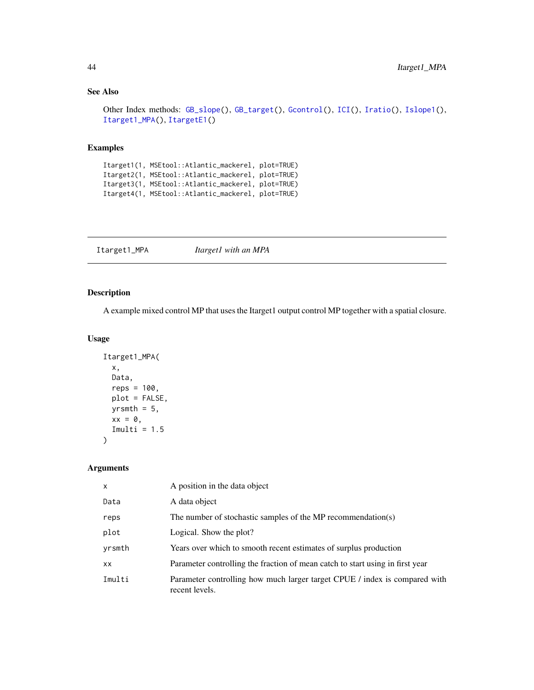# See Also

```
Other Index methods: GB_slope(), GB_target(), Gcontrol(), ICI(), Iratio(), Islope1(),
Itarget1_MPA(), ItargetE1()
```
## Examples

Itarget1(1, MSEtool::Atlantic\_mackerel, plot=TRUE) Itarget2(1, MSEtool::Atlantic\_mackerel, plot=TRUE) Itarget3(1, MSEtool::Atlantic\_mackerel, plot=TRUE) Itarget4(1, MSEtool::Atlantic\_mackerel, plot=TRUE)

<span id="page-43-0"></span>Itarget1\_MPA *Itarget1 with an MPA*

# Description

A example mixed control MP that uses the Itarget1 output control MP together with a spatial closure.

# Usage

```
Itarget1_MPA(
  x,
 Data,
  reps = 100,
 plot = FALSE,
 yrsmth = 5,
 xx = 0,
  Imulti = 1.5)
```
# Arguments

| x      | A position in the data object                                                                |
|--------|----------------------------------------------------------------------------------------------|
| Data   | A data object                                                                                |
| reps   | The number of stochastic samples of the MP recommendation(s)                                 |
| plot   | Logical. Show the plot?                                                                      |
| yrsmth | Years over which to smooth recent estimates of surplus production                            |
| XX     | Parameter controlling the fraction of mean catch to start using in first year                |
| Imulti | Parameter controlling how much larger target CPUE / index is compared with<br>recent levels. |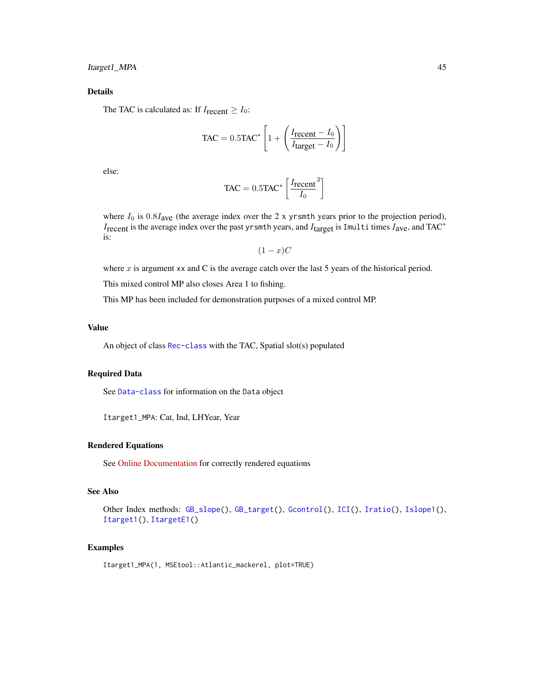# Details

The TAC is calculated as: If  $I_{\text{recent}} \geq I_0$ :

$$
\text{TAC} = 0.5 \text{TAC}^* \left[ 1 + \left( \frac{I_{\text{recent}} - I_0}{I_{\text{target}} - I_0} \right) \right]
$$

else:

$$
TAC = 0.5TAC^* \left[ \frac{I_{recent}}{I_0}^2 \right]
$$

where  $I_0$  is  $0.8I_{ave}$  (the average index over the 2 x yrsmth years prior to the projection period), Irecent is the average index over the past yrsmth years, and Itarget is Imulti times I<sub>ave</sub>, and TAC<sup>∗</sup> is:

 $(1-x)C$ 

where  $x$  is argument xx and C is the average catch over the last 5 years of the historical period.

This mixed control MP also closes Area 1 to fishing.

This MP has been included for demonstration purposes of a mixed control MP.

## Value

An object of class [Rec-class](#page-0-0) with the TAC, Spatial slot(s) populated

# Required Data

See [Data-class](#page-0-0) for information on the Data object

Itarget1\_MPA: Cat, Ind, LHYear, Year

# Rendered Equations

See [Online Documentation](https://dlmtool.openmse.com/reference/Itarget1_MPA.html) for correctly rendered equations

## See Also

Other Index methods: [GB\\_slope\(](#page-30-0)), [GB\\_target\(](#page-31-0)), [Gcontrol\(](#page-33-0)), [ICI\(](#page-35-0)), [Iratio\(](#page-36-0)), [Islope1\(](#page-38-0)), [Itarget1\(](#page-41-0)), [ItargetE1\(](#page-45-0))

#### Examples

Itarget1\_MPA(1, MSEtool::Atlantic\_mackerel, plot=TRUE)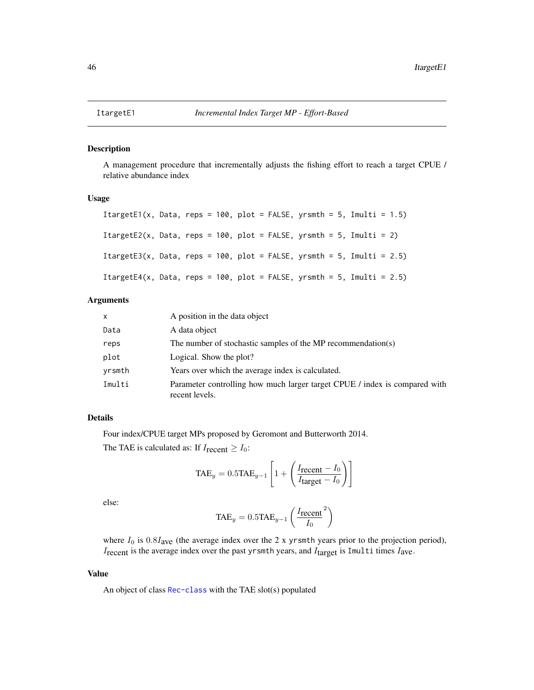<span id="page-45-0"></span>

#### Description

A management procedure that incrementally adjusts the fishing effort to reach a target CPUE / relative abundance index

#### Usage

```
ItargetE1(x, Data, reps = 100, plot = FALSE, yrsmth = 5, Imulti = 1.5)
ItargetE2(x, Data, reps = 100, plot = FALSE, yrsmth = 5, Imulti = 2)
ItargetE3(x, Data, reps = 100, plot = FALSE, yrsmth = 5, Imulti = 2.5)
ItargetE4(x, Data, reps = 100, plot = FALSE, yrsmth = 5, Imulti = 2.5)
```
## Arguments

| x      | A position in the data object                                                                |
|--------|----------------------------------------------------------------------------------------------|
| Data   | A data object                                                                                |
| reps   | The number of stochastic samples of the MP recommendation(s)                                 |
| plot   | Logical. Show the plot?                                                                      |
| yrsmth | Years over which the average index is calculated.                                            |
| Imulti | Parameter controlling how much larger target CPUE / index is compared with<br>recent levels. |

# Details

Four index/CPUE target MPs proposed by Geromont and Butterworth 2014.

The TAE is calculated as: If  $I_{\text{recent}} \geq I_0$ :

$$
TAE_y = 0.5TAE_{y-1} \left[ 1 + \left( \frac{I_{recent} - I_0}{I_{target} - I_0} \right) \right]
$$

else:

$$
\text{TAE}_{y} = 0.5 \text{TAE}_{y-1} \left( \frac{I_{\text{recent}}}{I_{0}}^{2} \right)
$$

where  $I_0$  is  $0.8I_{ave}$  (the average index over the 2 x yrsmth years prior to the projection period),  $I_{\text{recent}}$  is the average index over the past yrsmth years, and  $I_{\text{target}}$  is Imulti times  $I_{\text{ave}}$ .

#### Value

An object of class [Rec-class](#page-0-0) with the TAE slot(s) populated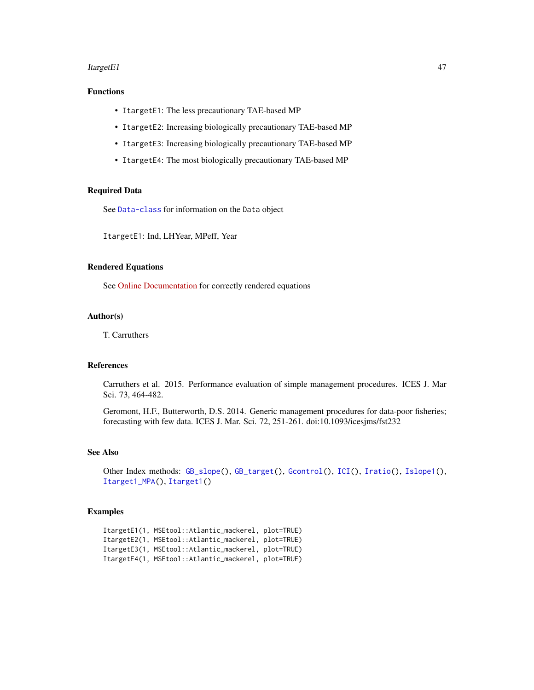#### ItargetE1 47

# Functions

- ItargetE1: The less precautionary TAE-based MP
- ItargetE2: Increasing biologically precautionary TAE-based MP
- ItargetE3: Increasing biologically precautionary TAE-based MP
- ItargetE4: The most biologically precautionary TAE-based MP

## Required Data

See [Data-class](#page-0-0) for information on the Data object

ItargetE1: Ind, LHYear, MPeff, Year

## Rendered Equations

See [Online Documentation](https://dlmtool.openmse.com/reference/ItargetE1.html) for correctly rendered equations

# Author(s)

T. Carruthers

#### References

Carruthers et al. 2015. Performance evaluation of simple management procedures. ICES J. Mar Sci. 73, 464-482.

Geromont, H.F., Butterworth, D.S. 2014. Generic management procedures for data-poor fisheries; forecasting with few data. ICES J. Mar. Sci. 72, 251-261. doi:10.1093/icesjms/fst232

## See Also

```
Other Index methods: GB_slope(), GB_target(), Gcontrol(), ICI(), Iratio(), Islope1(),
Itarget1_MPA(), Itarget1()
```
## Examples

```
ItargetE1(1, MSEtool::Atlantic_mackerel, plot=TRUE)
ItargetE2(1, MSEtool::Atlantic_mackerel, plot=TRUE)
ItargetE3(1, MSEtool::Atlantic_mackerel, plot=TRUE)
ItargetE4(1, MSEtool::Atlantic_mackerel, plot=TRUE)
```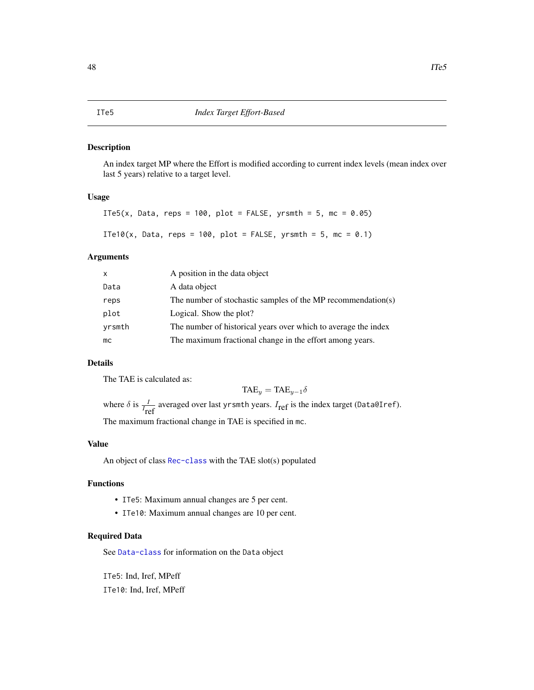#### Description

An index target MP where the Effort is modified according to current index levels (mean index over last 5 years) relative to a target level.

## Usage

ITe5(x, Data, reps = 100, plot = FALSE, yrsmth = 5, mc =  $0.05$ ) ITe10(x, Data, reps = 100, plot = FALSE, yrsmth = 5, mc = 0.1)

## Arguments

| X      | A position in the data object                                  |
|--------|----------------------------------------------------------------|
| Data   | A data object                                                  |
| reps   | The number of stochastic samples of the MP recommendation(s)   |
| plot   | Logical. Show the plot?                                        |
| yrsmth | The number of historical years over which to average the index |
| mc     | The maximum fractional change in the effort among years.       |

## Details

The TAE is calculated as:

$$
TAE_y = TAE_{y-1}\delta
$$

where  $\delta$  is  $\frac{I}{I_{ref}}$  averaged over last yrsmth years.  $I_{ref}$  is the index target (Data@Iref). The maximum fractional change in TAE is specified in mc.

## Value

An object of class [Rec-class](#page-0-0) with the TAE slot(s) populated

# Functions

- ITe5: Maximum annual changes are 5 per cent.
- ITe10: Maximum annual changes are 10 per cent.

# Required Data

See [Data-class](#page-0-0) for information on the Data object

ITe5: Ind, Iref, MPeff ITe10: Ind, Iref, MPeff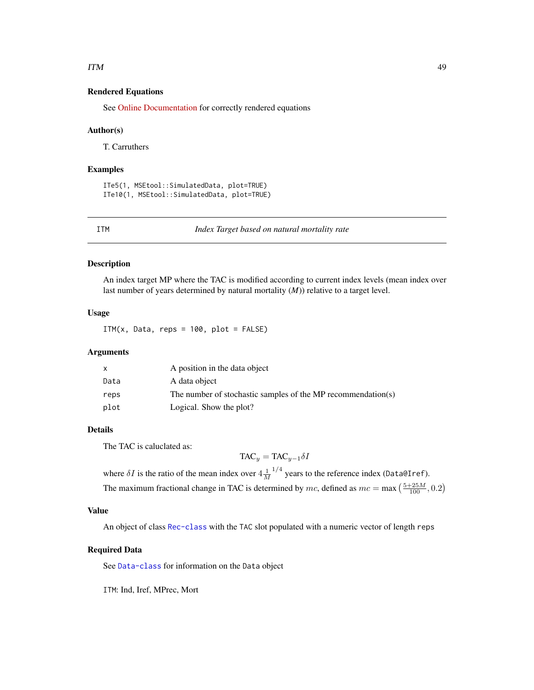#### ITM 49

## Rendered Equations

See [Online Documentation](https://dlmtool.openmse.com/reference/ITe5.html) for correctly rendered equations

#### Author(s)

T. Carruthers

## Examples

```
ITe5(1, MSEtool::SimulatedData, plot=TRUE)
ITe10(1, MSEtool::SimulatedData, plot=TRUE)
```
ITM *Index Target based on natural mortality rate*

# Description

An index target MP where the TAC is modified according to current index levels (mean index over last number of years determined by natural mortality (*M*)) relative to a target level.

## Usage

ITM $(x, \text{Data}, \text{reps} = 100, \text{plot} = \text{FALSE})$ 

#### Arguments

|      | A position in the data object                                |
|------|--------------------------------------------------------------|
| Data | A data object                                                |
| reps | The number of stochastic samples of the MP recommendation(s) |
| plot | Logical. Show the plot?                                      |

## Details

The TAC is caluclated as:

 $TAC_y = TAC_{y-1} \delta I$ 

where  $\delta I$  is the ratio of the mean index over  $4\frac{1}{M}$  $^{1/4}$  years to the reference index (Data@Iref). The maximum fractional change in TAC is determined by mc, defined as  $mc = \max\left(\frac{5+25M}{100}, 0.2\right)$ 

#### Value

An object of class [Rec-class](#page-0-0) with the TAC slot populated with a numeric vector of length reps

#### Required Data

See [Data-class](#page-0-0) for information on the Data object

ITM: Ind, Iref, MPrec, Mort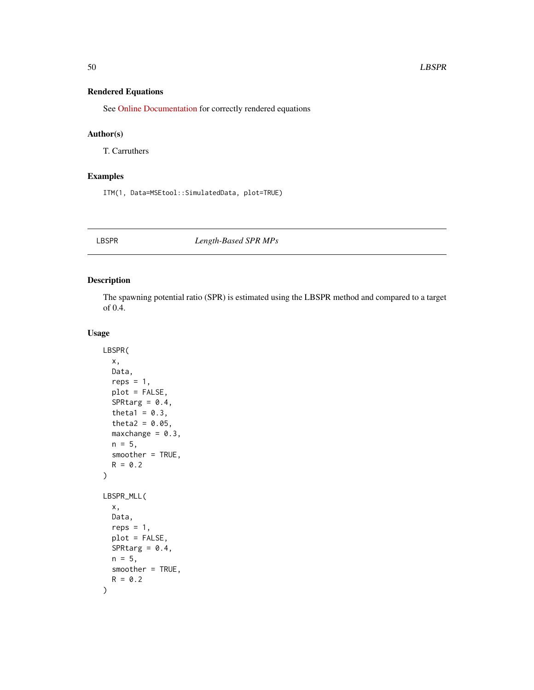# Rendered Equations

See [Online Documentation](https://dlmtool.openmse.com/reference/ITM.html) for correctly rendered equations

# Author(s)

T. Carruthers

# Examples

ITM(1, Data=MSEtool::SimulatedData, plot=TRUE)

## LBSPR *Length-Based SPR MPs*

# Description

The spawning potential ratio (SPR) is estimated using the LBSPR method and compared to a target of 0.4.

#### Usage

```
LBSPR(
  x,
  Data,
  reps = 1,
  plot = FALSE,
  SPRtarg = 0.4,
  theta1 = 0.3,
  theta2 = 0.05,
  maxchange = 0.3,
  n = 5,
  smoother = TRUE,
  R = 0.2)
LBSPR_MLL(
  x,
  Data,
  reps = 1,
  plot = FALSE,
  SPRtarg = 0.4,
  n = 5,
  smoother = TRUE,
  R = 0.2\mathcal{E}
```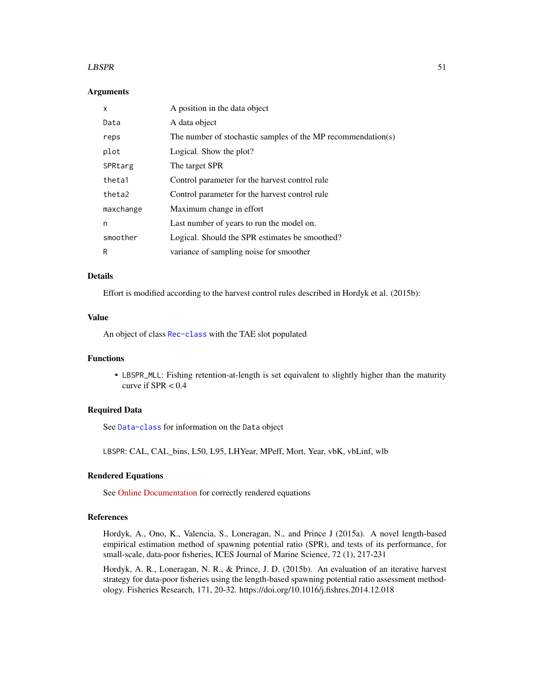#### $LBSPR$  51

## Arguments

| x         | A position in the data object                                |
|-----------|--------------------------------------------------------------|
| Data      | A data object                                                |
| reps      | The number of stochastic samples of the MP recommendation(s) |
| plot      | Logical. Show the plot?                                      |
| SPRtarg   | The target SPR                                               |
| theta1    | Control parameter for the harvest control rule               |
| theta2    | Control parameter for the harvest control rule               |
| maxchange | Maximum change in effort                                     |
| n         | Last number of years to run the model on.                    |
| smoother  | Logical. Should the SPR estimates be smoothed?               |
| R         | variance of sampling noise for smoother                      |

## Details

Effort is modified according to the harvest control rules described in Hordyk et al. (2015b):

#### Value

An object of class [Rec-class](#page-0-0) with the TAE slot populated

## Functions

• LBSPR\_MLL: Fishing retention-at-length is set equivalent to slightly higher than the maturity curve if  $SPR < 0.4$ 

## Required Data

See [Data-class](#page-0-0) for information on the Data object

LBSPR: CAL, CAL\_bins, L50, L95, LHYear, MPeff, Mort, Year, vbK, vbLinf, wlb

#### Rendered Equations

See [Online Documentation](https://dlmtool.openmse.com/reference/LBSPR.html) for correctly rendered equations

#### References

Hordyk, A., Ono, K., Valencia, S., Loneragan, N., and Prince J (2015a). A novel length-based empirical estimation method of spawning potential ratio (SPR), and tests of its performance, for small-scale, data-poor fisheries, ICES Journal of Marine Science, 72 (1), 217-231

Hordyk, A. R., Loneragan, N. R., & Prince, J. D. (2015b). An evaluation of an iterative harvest strategy for data-poor fisheries using the length-based spawning potential ratio assessment methodology. Fisheries Research, 171, 20-32. https://doi.org/10.1016/j.fishres.2014.12.018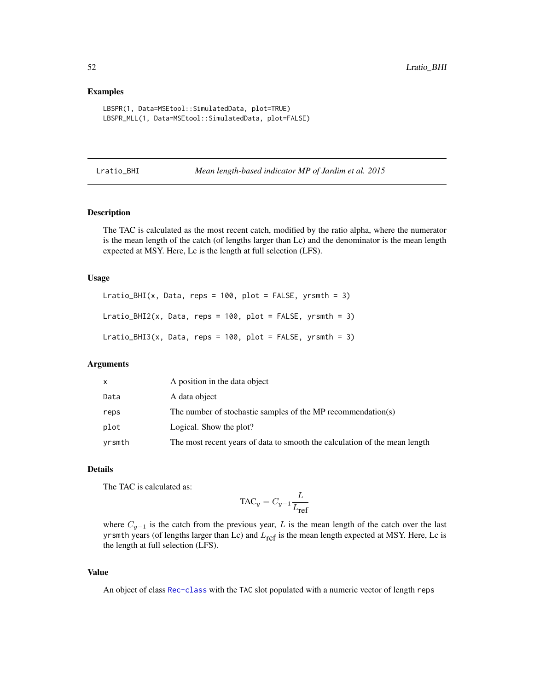## Examples

```
LBSPR(1, Data=MSEtool::SimulatedData, plot=TRUE)
LBSPR_MLL(1, Data=MSEtool::SimulatedData, plot=FALSE)
```
<span id="page-51-0"></span>Lratio\_BHI *Mean length-based indicator MP of Jardim et al. 2015*

## Description

The TAC is calculated as the most recent catch, modified by the ratio alpha, where the numerator is the mean length of the catch (of lengths larger than Lc) and the denominator is the mean length expected at MSY. Here, Lc is the length at full selection (LFS).

#### Usage

Lratio\_BHI(x, Data, reps = 100, plot = FALSE, yrsmth = 3) Lratio\_BHI2(x, Data, reps =  $100$ , plot =  $FALSE$ , yrsmth = 3) Lratio\_BHI3(x, Data, reps =  $100$ , plot = FALSE, yrsmth = 3)

# Arguments

| x      | A position in the data object                                              |
|--------|----------------------------------------------------------------------------|
| Data   | A data object                                                              |
| reps   | The number of stochastic samples of the MP recommendation(s)               |
| plot   | Logical. Show the plot?                                                    |
| yrsmth | The most recent years of data to smooth the calculation of the mean length |

## Details

The TAC is calculated as:

$$
\text{TAC}_y = C_{y-1} \frac{L}{L_{\text{ref}}}
$$

where  $C_{y-1}$  is the catch from the previous year, L is the mean length of the catch over the last yrsmth years (of lengths larger than Lc) and  $L_{ref}$  is the mean length expected at MSY. Here, Lc is the length at full selection (LFS).

#### Value

An object of class [Rec-class](#page-0-0) with the TAC slot populated with a numeric vector of length reps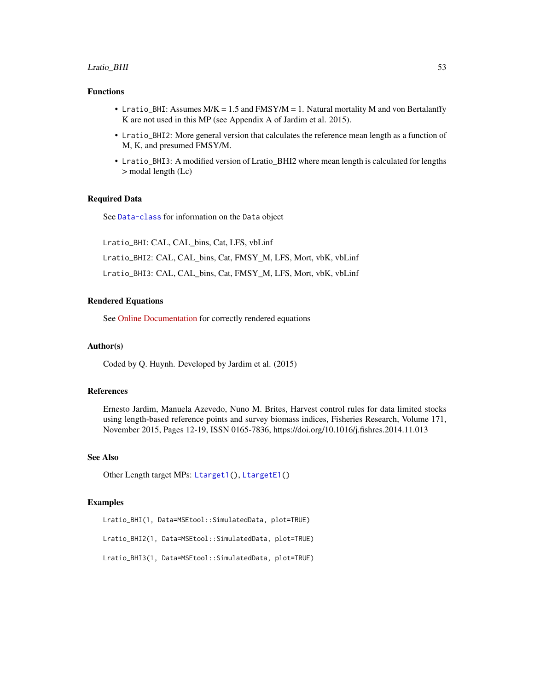## Lratio\_BHI 53

## Functions

- Lratio\_BHI: Assumes M/K = 1.5 and FMSY/M = 1. Natural mortality M and von Bertalanffy K are not used in this MP (see Appendix A of Jardim et al. 2015).
- Lratio\_BHI2: More general version that calculates the reference mean length as a function of M, K, and presumed FMSY/M.
- Lratio\_BHI3: A modified version of Lratio\_BHI2 where mean length is calculated for lengths > modal length (Lc)

#### Required Data

See [Data-class](#page-0-0) for information on the Data object

Lratio\_BHI: CAL, CAL\_bins, Cat, LFS, vbLinf

Lratio\_BHI2: CAL, CAL\_bins, Cat, FMSY\_M, LFS, Mort, vbK, vbLinf

Lratio\_BHI3: CAL, CAL\_bins, Cat, FMSY\_M, LFS, Mort, vbK, vbLinf

#### Rendered Equations

See [Online Documentation](https://dlmtool.openmse.com/reference/Lratio_BHI.html) for correctly rendered equations

#### Author(s)

Coded by Q. Huynh. Developed by Jardim et al. (2015)

#### References

Ernesto Jardim, Manuela Azevedo, Nuno M. Brites, Harvest control rules for data limited stocks using length-based reference points and survey biomass indices, Fisheries Research, Volume 171, November 2015, Pages 12-19, ISSN 0165-7836, https://doi.org/10.1016/j.fishres.2014.11.013

## See Also

Other Length target MPs: [Ltarget1\(](#page-57-0)), [LtargetE1\(](#page-60-0))

# Examples

Lratio\_BHI(1, Data=MSEtool::SimulatedData, plot=TRUE) Lratio\_BHI2(1, Data=MSEtool::SimulatedData, plot=TRUE) Lratio\_BHI3(1, Data=MSEtool::SimulatedData, plot=TRUE)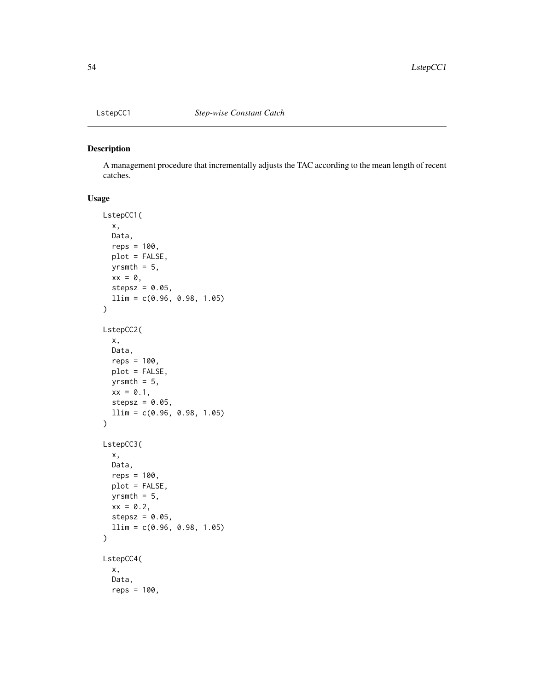# Description

A management procedure that incrementally adjusts the TAC according to the mean length of recent catches.

# Usage

```
LstepCC1(
  x,
  Data,
  reps = 100,
  plot = FALSE,
  yrsmth = 5,
  xx = 0,
  stepsz = 0.05,
  llim = c(0.96, 0.98, 1.05)
)
LstepCC2(
  x,
  Data,
  reps = 100.
  plot = FALSE,
  yrsmth = 5,
  xx = 0.1,
  stepsz = 0.05,
  llim = c(0.96, 0.98, 1.05)\mathcal{L}LstepCC3(
  x,
  Data,
  reps = 100,
  plot = FALSE,
  yrsmth = 5,
  xx = 0.2,
  stepsz = 0.05,
  llim = c(0.96, 0.98, 1.05)
\mathcal{L}LstepCC4(
  x,
  Data,
  reps = 100,
```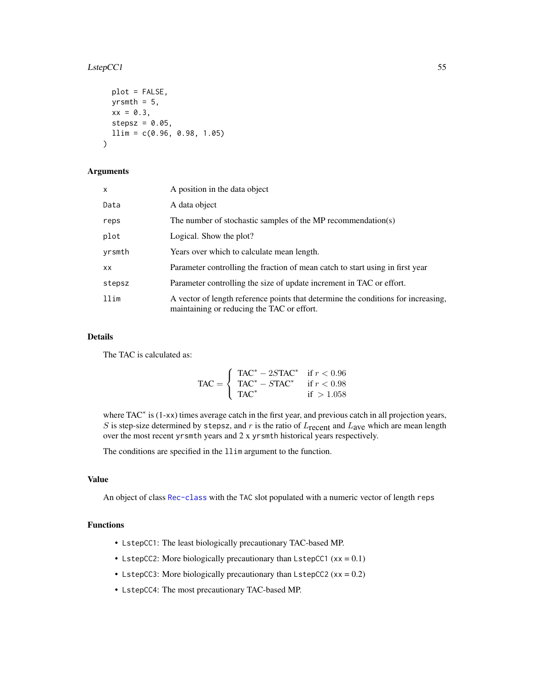## $LstepCC1$  55

```
plot = FALSE,
 yrsmth = 5,
 xx = 0.3,
  stepsz = 0.05,
 llim = c(0.96, 0.98, 1.05)
)
```
# Arguments

| $\mathsf{x}$ | A position in the data object                                                                                                   |
|--------------|---------------------------------------------------------------------------------------------------------------------------------|
| Data         | A data object                                                                                                                   |
| reps         | The number of stochastic samples of the MP recommendation(s)                                                                    |
| plot         | Logical. Show the plot?                                                                                                         |
| yrsmth       | Years over which to calculate mean length.                                                                                      |
| XX.          | Parameter controlling the fraction of mean catch to start using in first year                                                   |
| stepsz       | Parameter controlling the size of update increment in TAC or effort.                                                            |
| llim         | A vector of length reference points that determine the conditions for increasing,<br>maintaining or reducing the TAC or effort. |

# Details

The TAC is calculated as:

$$
\text{TAC} = \begin{cases} \text{TAC}^* - 2S\text{TAC}^* & \text{if } r < 0.96\\ \text{TAC}^* - STAC^* & \text{if } r < 0.98\\ \text{TAC}^* & \text{if } > 1.058 \end{cases}
$$

where TAC<sup>\*</sup> is (1-xx) times average catch in the first year, and previous catch in all projection years, S is step-size determined by stepsz, and  $r$  is the ratio of  $L_{recent}$  and  $L_{ave}$  which are mean length over the most recent yrsmth years and 2 x yrsmth historical years respectively.

The conditions are specified in the llim argument to the function.

# Value

An object of class [Rec-class](#page-0-0) with the TAC slot populated with a numeric vector of length reps

## Functions

- LstepCC1: The least biologically precautionary TAC-based MP.
- LstepCC2: More biologically precautionary than LstepCC1  $(xx = 0.1)$
- LstepCC3: More biologically precautionary than  $LstepCC2$  (xx = 0.2)
- LstepCC4: The most precautionary TAC-based MP.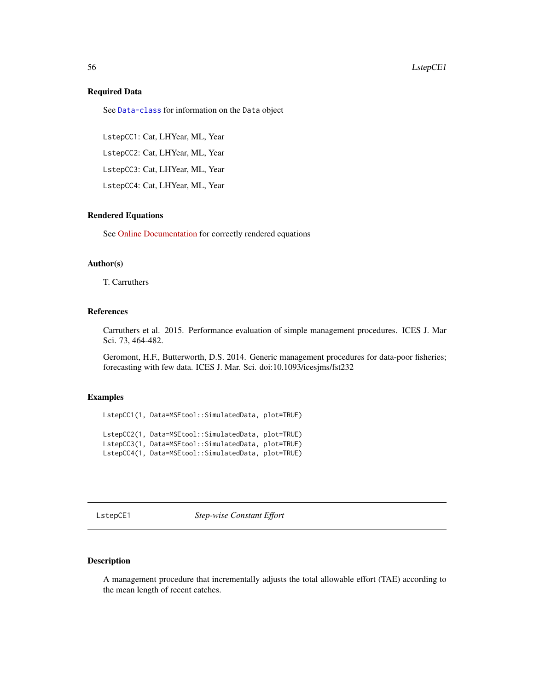#### 56 LstepCE1

## Required Data

See [Data-class](#page-0-0) for information on the Data object

LstepCC1: Cat, LHYear, ML, Year

LstepCC2: Cat, LHYear, ML, Year

LstepCC3: Cat, LHYear, ML, Year

LstepCC4: Cat, LHYear, ML, Year

## Rendered Equations

See [Online Documentation](https://dlmtool.openmse.com/reference/LstepCC1.html) for correctly rendered equations

# Author(s)

T. Carruthers

# References

Carruthers et al. 2015. Performance evaluation of simple management procedures. ICES J. Mar Sci. 73, 464-482.

Geromont, H.F., Butterworth, D.S. 2014. Generic management procedures for data-poor fisheries; forecasting with few data. ICES J. Mar. Sci. doi:10.1093/icesjms/fst232

# Examples

LstepCC1(1, Data=MSEtool::SimulatedData, plot=TRUE) LstepCC2(1, Data=MSEtool::SimulatedData, plot=TRUE) LstepCC3(1, Data=MSEtool::SimulatedData, plot=TRUE) LstepCC4(1, Data=MSEtool::SimulatedData, plot=TRUE)

LstepCE1 *Step-wise Constant Effort*

# Description

A management procedure that incrementally adjusts the total allowable effort (TAE) according to the mean length of recent catches.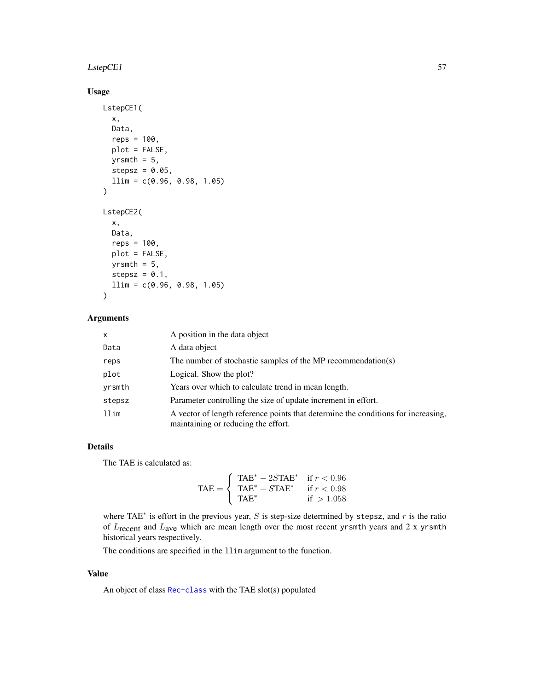#### $LstepCE1$  57

# Usage

```
LstepCE1(
  x,
 Data,
  reps = 100,plot = FALSE,
 yrsmth = 5,
  stepsz = 0.05,
  llim = c(0.96, 0.98, 1.05)
\mathcal{L}LstepCE2(
  x,
 Data,
  reps = 100,
 plot = FALSE,
 yrsmth = 5,
 stepsz = 0.1,
  llim = c(0.96, 0.98, 1.05)
)
```
# Arguments

| $\mathsf{x}$ | A position in the data object                                                                                            |
|--------------|--------------------------------------------------------------------------------------------------------------------------|
| Data         | A data object                                                                                                            |
| reps         | The number of stochastic samples of the MP recommendation(s)                                                             |
| plot         | Logical. Show the plot?                                                                                                  |
| yrsmth       | Years over which to calculate trend in mean length.                                                                      |
| stepsz       | Parameter controlling the size of update increment in effort.                                                            |
| llim         | A vector of length reference points that determine the conditions for increasing,<br>maintaining or reducing the effort. |

# Details

The TAE is calculated as:

$$
\text{TAE} = \left\{ \begin{array}{ll} \text{TAE}^* - 2S\text{TAE}^* & \text{if } r < 0.96\\ \text{TAE}^* - STAE^* & \text{if } r < 0.98\\ \text{TAE}^* & \text{if } > 1.058 \end{array} \right.
$$

where TAE<sup> $*$ </sup> is effort in the previous year, S is step-size determined by stepsz, and r is the ratio of  $L_{\text{recent}}$  and  $L_{\text{ave}}$  which are mean length over the most recent yrsmth years and 2 x yrsmth historical years respectively.

The conditions are specified in the llim argument to the function.

# Value

An object of class [Rec-class](#page-0-0) with the TAE slot(s) populated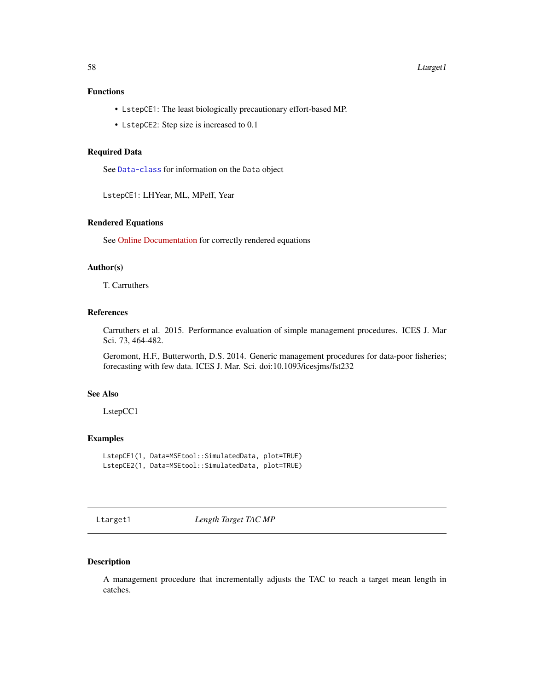# Functions

- LstepCE1: The least biologically precautionary effort-based MP.
- LstepCE2: Step size is increased to 0.1

## Required Data

See [Data-class](#page-0-0) for information on the Data object

LstepCE1: LHYear, ML, MPeff, Year

#### Rendered Equations

See [Online Documentation](https://dlmtool.openmse.com/reference/LstepCE1.html) for correctly rendered equations

# Author(s)

T. Carruthers

# References

Carruthers et al. 2015. Performance evaluation of simple management procedures. ICES J. Mar Sci. 73, 464-482.

Geromont, H.F., Butterworth, D.S. 2014. Generic management procedures for data-poor fisheries; forecasting with few data. ICES J. Mar. Sci. doi:10.1093/icesjms/fst232

## See Also

LstepCC1

## Examples

```
LstepCE1(1, Data=MSEtool::SimulatedData, plot=TRUE)
LstepCE2(1, Data=MSEtool::SimulatedData, plot=TRUE)
```
<span id="page-57-0"></span>Ltarget1 *Length Target TAC MP*

# Description

A management procedure that incrementally adjusts the TAC to reach a target mean length in catches.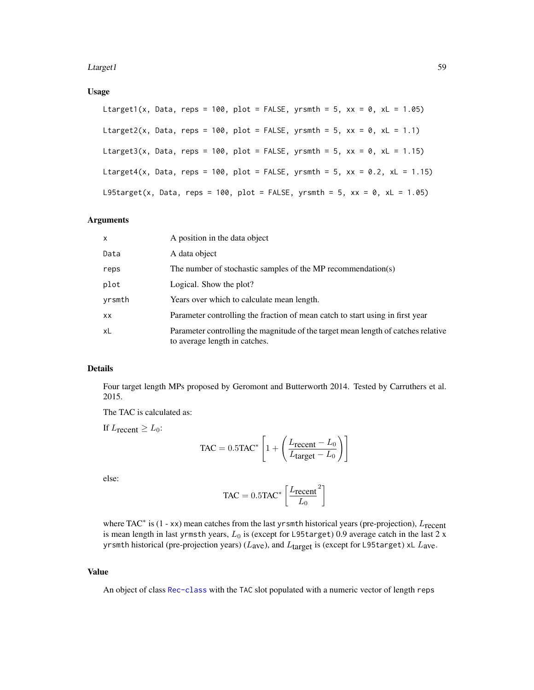#### Ltarget 1 59

# Usage

Ltarget1(x, Data, reps = 100, plot = FALSE, yrsmth = 5, xx = 0, xL = 1.05) Ltarget2(x, Data, reps = 100, plot = FALSE, yrsmth = 5, xx = 0, xL = 1.1) Ltarget3(x, Data, reps = 100, plot = FALSE, yrsmth = 5, xx = 0, xL = 1.15) Ltarget4(x, Data, reps = 100, plot = FALSE, yrsmth = 5,  $xx = 0.2$ ,  $xL = 1.15$ ) L95target(x, Data, reps = 100, plot = FALSE, yrsmth = 5, xx = 0, xL = 1.05)

#### Arguments

| X      | A position in the data object                                                                                      |
|--------|--------------------------------------------------------------------------------------------------------------------|
| Data   | A data object                                                                                                      |
| reps   | The number of stochastic samples of the MP recommendation(s)                                                       |
| plot   | Logical. Show the plot?                                                                                            |
| yrsmth | Years over which to calculate mean length.                                                                         |
| XX     | Parameter controlling the fraction of mean catch to start using in first year                                      |
| xL     | Parameter controlling the magnitude of the target mean length of catches relative<br>to average length in catches. |

# Details

Four target length MPs proposed by Geromont and Butterworth 2014. Tested by Carruthers et al. 2015.

The TAC is calculated as:

If  $L_{\text{recent}} \geq L_0$ :

$$
\text{TAC} = 0.5 \text{TAC}^* \left[ 1 + \left( \frac{L_{\text{recent}} - L_0}{L_{\text{target}} - L_0} \right) \right]
$$

else:

$$
TAC = 0.5TAC^* \left[ \frac{L_{\text{recent}}}{L_0}^2 \right]
$$

where TAC<sup>\*</sup> is (1 - xx) mean catches from the last yr smth historical years (pre-projection),  $L_{\text{recent}}$ is mean length in last yrmsth years,  $L_0$  is (except for L95target) 0.9 average catch in the last 2 x yrsmth historical (pre-projection years) ( $L$ <sub>ave</sub>), and  $L$ <sub>target</sub> is (except for L95target) xL  $L$ <sub>ave</sub>.

#### Value

An object of class [Rec-class](#page-0-0) with the TAC slot populated with a numeric vector of length reps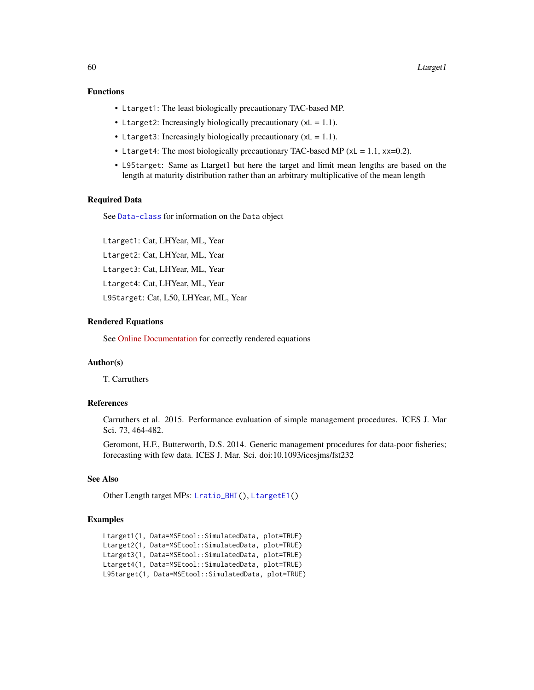# Functions

- Ltarget1: The least biologically precautionary TAC-based MP.
- Ltarget2: Increasingly biologically precautionary  $(xL = 1.1)$ .
- Ltarget3: Increasingly biologically precautionary  $(xL = 1.1)$ .
- Ltarget4: The most biologically precautionary TAC-based MP ( $xL = 1.1$ ,  $xx=0.2$ ).
- L95target: Same as Ltarget1 but here the target and limit mean lengths are based on the length at maturity distribution rather than an arbitrary multiplicative of the mean length

## Required Data

See [Data-class](#page-0-0) for information on the Data object

Ltarget1: Cat, LHYear, ML, Year Ltarget2: Cat, LHYear, ML, Year Ltarget3: Cat, LHYear, ML, Year Ltarget4: Cat, LHYear, ML, Year L95target: Cat, L50, LHYear, ML, Year

## Rendered Equations

See [Online Documentation](https://dlmtool.openmse.com/reference/Ltarget1.html) for correctly rendered equations

## Author(s)

T. Carruthers

# References

Carruthers et al. 2015. Performance evaluation of simple management procedures. ICES J. Mar Sci. 73, 464-482.

Geromont, H.F., Butterworth, D.S. 2014. Generic management procedures for data-poor fisheries; forecasting with few data. ICES J. Mar. Sci. doi:10.1093/icesjms/fst232

# See Also

Other Length target MPs: [Lratio\\_BHI\(](#page-51-0)), [LtargetE1\(](#page-60-0))

## Examples

```
Ltarget1(1, Data=MSEtool::SimulatedData, plot=TRUE)
Ltarget2(1, Data=MSEtool::SimulatedData, plot=TRUE)
Ltarget3(1, Data=MSEtool::SimulatedData, plot=TRUE)
Ltarget4(1, Data=MSEtool::SimulatedData, plot=TRUE)
L95target(1, Data=MSEtool::SimulatedData, plot=TRUE)
```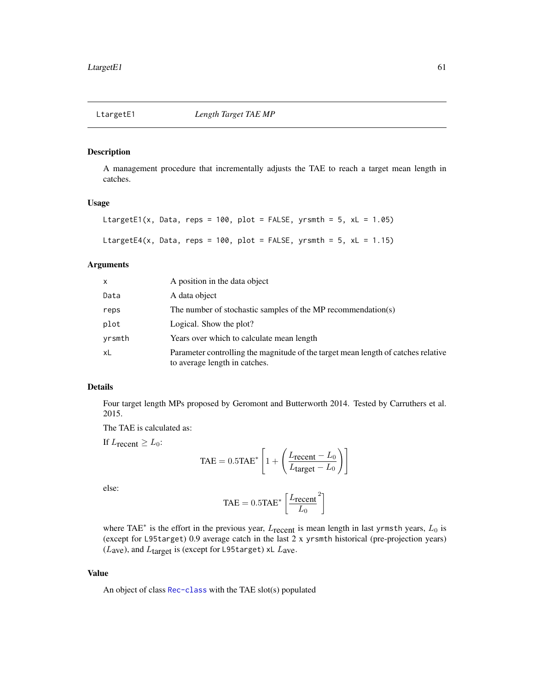<span id="page-60-0"></span>

## Description

A management procedure that incrementally adjusts the TAE to reach a target mean length in catches.

# Usage

```
LtargetE1(x, Data, reps = 100, plot = FALSE, yrsmth = 5, xL = 1.05)
LtargetE4(x, Data, reps = 100, plot = FALSE, yrsmth = 5, xL = 1.15)
```
## Arguments

| x      | A position in the data object                                                                                      |
|--------|--------------------------------------------------------------------------------------------------------------------|
| Data   | A data object                                                                                                      |
| reps   | The number of stochastic samples of the MP recommendation(s)                                                       |
| plot   | Logical. Show the plot?                                                                                            |
| yrsmth | Years over which to calculate mean length                                                                          |
| xL     | Parameter controlling the magnitude of the target mean length of catches relative<br>to average length in catches. |

#### Details

Four target length MPs proposed by Geromont and Butterworth 2014. Tested by Carruthers et al. 2015.

The TAE is calculated as:

If  $L_{\text{recent}} \geq L_0$ :

$$
\text{TAE} = 0.5 \text{TAE}^* \left[ 1 + \left( \frac{L_{\text{recent}} - L_0}{L_{\text{target}} - L_0} \right) \right]
$$

else:

$$
TAE = 0.5TAE^* \left[ \frac{L_{\text{recent}}}{L_0}^2 \right]
$$

where TAE<sup>\*</sup> is the effort in the previous year,  $L_{\text{recent}}$  is mean length in last yrmsth years,  $L_0$  is (except for L95target) 0.9 average catch in the last 2 x yrsmth historical (pre-projection years)  $(L<sub>ave</sub>)$ , and  $L<sub>target</sub>$  is (except for L95target) xL  $L<sub>ave</sub>$ .

# Value

An object of class [Rec-class](#page-0-0) with the TAE slot(s) populated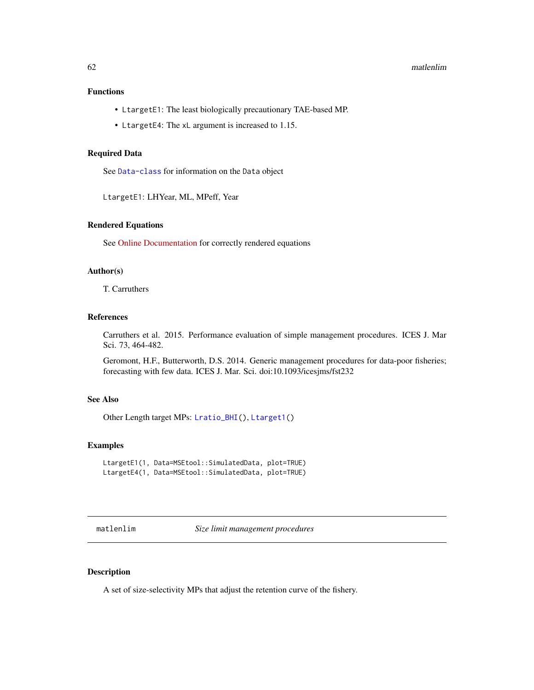# Functions

- LtargetE1: The least biologically precautionary TAE-based MP.
- LtargetE4: The xL argument is increased to 1.15.

# Required Data

See [Data-class](#page-0-0) for information on the Data object

LtargetE1: LHYear, ML, MPeff, Year

# Rendered Equations

See [Online Documentation](https://dlmtool.openmse.com/reference/LtargetE1.html) for correctly rendered equations

## Author(s)

T. Carruthers

# References

Carruthers et al. 2015. Performance evaluation of simple management procedures. ICES J. Mar Sci. 73, 464-482.

Geromont, H.F., Butterworth, D.S. 2014. Generic management procedures for data-poor fisheries; forecasting with few data. ICES J. Mar. Sci. doi:10.1093/icesjms/fst232

# See Also

Other Length target MPs: [Lratio\\_BHI\(](#page-51-0)), [Ltarget1\(](#page-57-0))

# Examples

```
LtargetE1(1, Data=MSEtool::SimulatedData, plot=TRUE)
LtargetE4(1, Data=MSEtool::SimulatedData, plot=TRUE)
```
matlenlim *Size limit management procedures*

#### Description

A set of size-selectivity MPs that adjust the retention curve of the fishery.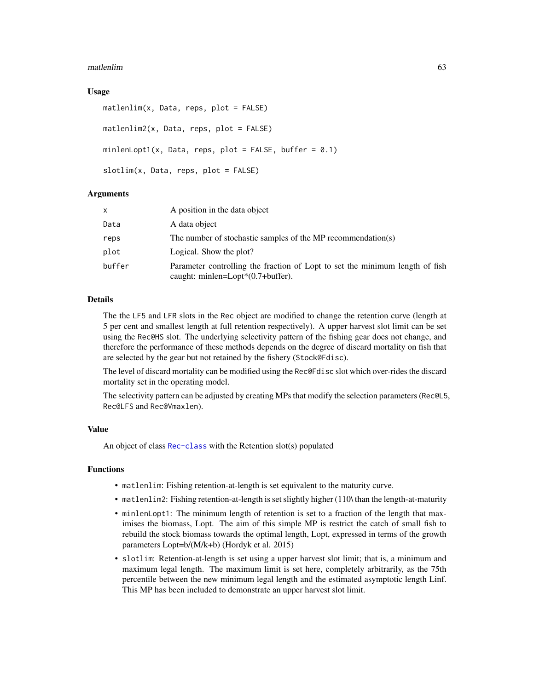#### matlenlim 63

## Usage

```
matlenlim(x, Data, reps, plot = FALSE)
matlenlim2(x, Data, reps, plot = FALSE)
minlenLopt1(x, Data, reps, plot = FALSE, buffer = 0.1)slotlim(x, Data, reps, plot = FALSE)
```
## Arguments

| x      | A position in the data object                                                                                         |
|--------|-----------------------------------------------------------------------------------------------------------------------|
| Data   | A data object                                                                                                         |
| reps   | The number of stochastic samples of the MP recommendation(s)                                                          |
| plot   | Logical. Show the plot?                                                                                               |
| buffer | Parameter controlling the fraction of Lopt to set the minimum length of fish<br>caught: minlen=Lopt $*(0.7+buffer)$ . |

# Details

The the LF5 and LFR slots in the Rec object are modified to change the retention curve (length at 5 per cent and smallest length at full retention respectively). A upper harvest slot limit can be set using the Rec@HS slot. The underlying selectivity pattern of the fishing gear does not change, and therefore the performance of these methods depends on the degree of discard mortality on fish that are selected by the gear but not retained by the fishery (Stock@Fdisc).

The level of discard mortality can be modified using the Rec@Fdisc slot which over-rides the discard mortality set in the operating model.

The selectivity pattern can be adjusted by creating MPs that modify the selection parameters (Rec@L5, Rec@LFS and Rec@Vmaxlen).

#### Value

An object of class [Rec-class](#page-0-0) with the Retention slot(s) populated

#### Functions

- matlenlim: Fishing retention-at-length is set equivalent to the maturity curve.
- matlenlim2: Fishing retention-at-length is set slightly higher (110\ than the length-at-maturity
- minlenLopt1: The minimum length of retention is set to a fraction of the length that maximises the biomass, Lopt. The aim of this simple MP is restrict the catch of small fish to rebuild the stock biomass towards the optimal length, Lopt, expressed in terms of the growth parameters Lopt=b/(M/k+b) (Hordyk et al. 2015)
- slotlim: Retention-at-length is set using a upper harvest slot limit; that is, a minimum and maximum legal length. The maximum limit is set here, completely arbitrarily, as the 75th percentile between the new minimum legal length and the estimated asymptotic length Linf. This MP has been included to demonstrate an upper harvest slot limit.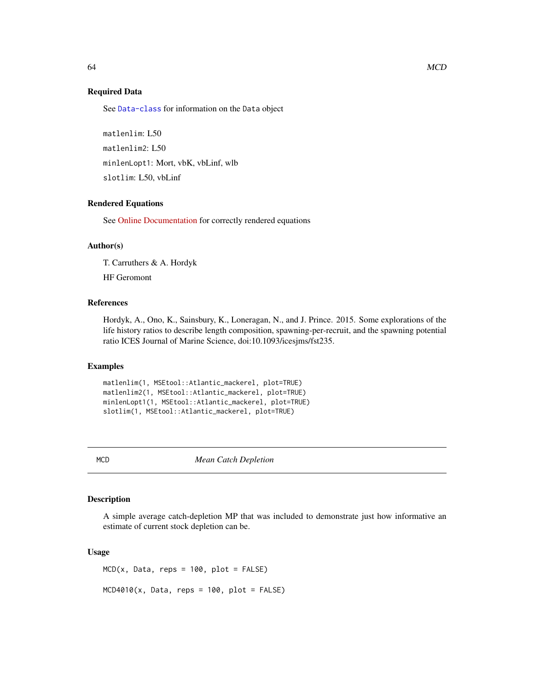See [Data-class](#page-0-0) for information on the Data object

matlenlim: L50 matlenlim2: L50 minlenLopt1: Mort, vbK, vbLinf, wlb slotlim: L50, vbLinf

# Rendered Equations

See [Online Documentation](https://dlmtool.openmse.com/reference/matlenlim.html) for correctly rendered equations

#### Author(s)

T. Carruthers & A. Hordyk

HF Geromont

## References

Hordyk, A., Ono, K., Sainsbury, K., Loneragan, N., and J. Prince. 2015. Some explorations of the life history ratios to describe length composition, spawning-per-recruit, and the spawning potential ratio ICES Journal of Marine Science, doi:10.1093/icesjms/fst235.

#### Examples

```
matlenlim(1, MSEtool::Atlantic_mackerel, plot=TRUE)
matlenlim2(1, MSEtool::Atlantic_mackerel, plot=TRUE)
minlenLopt1(1, MSEtool::Atlantic_mackerel, plot=TRUE)
slotlim(1, MSEtool::Atlantic_mackerel, plot=TRUE)
```
MCD *Mean Catch Depletion*

## Description

A simple average catch-depletion MP that was included to demonstrate just how informative an estimate of current stock depletion can be.

#### Usage

 $MCD(x, Data, reps = 100, plot = FALSE)$  $MCD4010(x, Data, reps = 100, plot = FALSE)$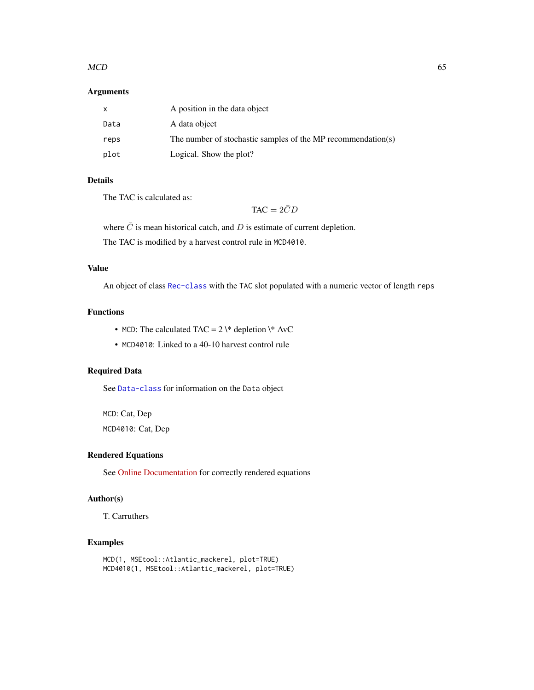#### $MCD$  65

# Arguments

|      | A position in the data object                                |
|------|--------------------------------------------------------------|
| Data | A data object                                                |
| reps | The number of stochastic samples of the MP recommendation(s) |
| plot | Logical. Show the plot?                                      |

# Details

The TAC is calculated as:

 $TAC = 2\overline{C}D$ 

where  $\overline{C}$  is mean historical catch, and D is estimate of current depletion.

The TAC is modified by a harvest control rule in MCD4010.

# Value

An object of class [Rec-class](#page-0-0) with the TAC slot populated with a numeric vector of length reps

# Functions

- MCD: The calculated TAC =  $2 \times$  depletion  $\forall$  AvC
- MCD4010: Linked to a 40-10 harvest control rule

# Required Data

See [Data-class](#page-0-0) for information on the Data object

MCD: Cat, Dep MCD4010: Cat, Dep

# Rendered Equations

See [Online Documentation](https://dlmtool.openmse.com/reference/MCD.html) for correctly rendered equations

# Author(s)

T. Carruthers

# Examples

```
MCD(1, MSEtool::Atlantic_mackerel, plot=TRUE)
MCD4010(1, MSEtool::Atlantic_mackerel, plot=TRUE)
```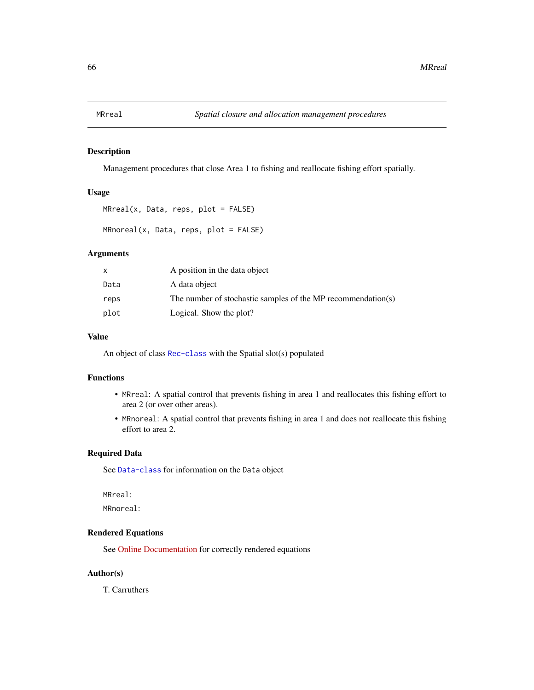## Description

Management procedures that close Area 1 to fishing and reallocate fishing effort spatially.

# Usage

```
MRreal(x, Data, reps, plot = FALSE)
```

```
MRnoreal(x, Data, reps, plot = FALSE)
```
# Arguments

| $\mathsf{x}$ | A position in the data object                                |
|--------------|--------------------------------------------------------------|
| Data         | A data object                                                |
| reps         | The number of stochastic samples of the MP recommendation(s) |
| plot         | Logical. Show the plot?                                      |

# Value

An object of class [Rec-class](#page-0-0) with the Spatial slot(s) populated

## Functions

- MRreal: A spatial control that prevents fishing in area 1 and reallocates this fishing effort to area 2 (or over other areas).
- MRnoreal: A spatial control that prevents fishing in area 1 and does not reallocate this fishing effort to area 2.

## Required Data

See [Data-class](#page-0-0) for information on the Data object

MRreal:

MRnoreal:

# Rendered Equations

See [Online Documentation](https://dlmtool.openmse.com/reference/MRreal.html) for correctly rendered equations

# Author(s)

T. Carruthers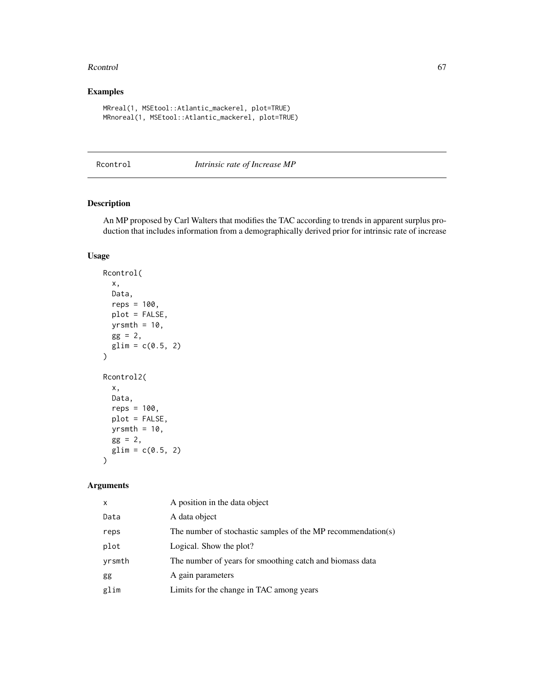#### Rcontrol 67

# Examples

```
MRreal(1, MSEtool::Atlantic_mackerel, plot=TRUE)
MRnoreal(1, MSEtool::Atlantic_mackerel, plot=TRUE)
```
<span id="page-66-0"></span>Rcontrol *Intrinsic rate of Increase MP*

# Description

An MP proposed by Carl Walters that modifies the TAC according to trends in apparent surplus production that includes information from a demographically derived prior for intrinsic rate of increase

# Usage

```
Rcontrol(
  x,
  Data,
  reps = 100,
  plot = FALSE,
  yrsmth = 10,
  gg = 2,
  glim = c(0.5, 2)\mathcal{L}Rcontrol2(
  x,
  Data,
  reps = 100,
  plot = FALSE,
  yrsmth = 10,
  gg = 2,
  glim = c(0.5, 2)\mathcal{L}
```
# Arguments

| $\mathsf{x}$ | A position in the data object                                |
|--------------|--------------------------------------------------------------|
| Data         | A data object                                                |
| reps         | The number of stochastic samples of the MP recommendation(s) |
| plot         | Logical. Show the plot?                                      |
| yrsmth       | The number of years for smoothing catch and biomass data     |
| gg           | A gain parameters                                            |
| glim         | Limits for the change in TAC among years                     |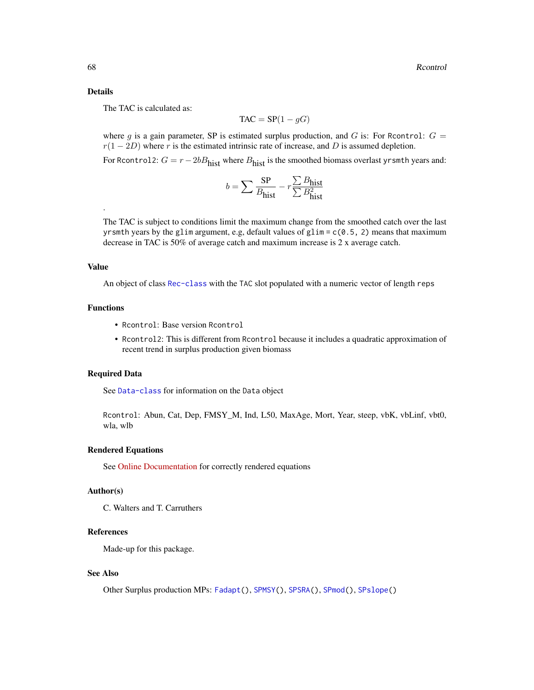#### Details

The TAC is calculated as:

$$
\text{TAC} = \text{SP}(1 - gG)
$$

where g is a gain parameter, SP is estimated surplus production, and G is: For Rcontrol:  $G =$  $r(1 - 2D)$  where r is the estimated intrinsic rate of increase, and D is assumed depletion.

For Rcontrol2:  $G = r - 2bB<sub>hist</sub>$  where  $B<sub>hist</sub>$  is the smoothed biomass overlast yrsmth years and:

$$
b = \sum \frac{\text{SP}}{B_{\text{hist}}} - r \frac{\sum B_{\text{hist}}}{\sum B_{\text{hist}}^2}
$$

The TAC is subject to conditions limit the maximum change from the smoothed catch over the last yrsmth years by the glim argument, e.g, default values of glim =  $c(0.5, 2)$  means that maximum decrease in TAC is 50% of average catch and maximum increase is 2 x average catch.

#### Value

.

An object of class [Rec-class](#page-0-0) with the TAC slot populated with a numeric vector of length reps

#### Functions

- Rcontrol: Base version Rcontrol
- Rcontrol2: This is different from Rcontrol because it includes a quadratic approximation of recent trend in surplus production given biomass

# Required Data

See [Data-class](#page-0-0) for information on the Data object

Rcontrol: Abun, Cat, Dep, FMSY\_M, Ind, L50, MaxAge, Mort, Year, steep, vbK, vbLinf, vbt0, wla, wlb

#### Rendered Equations

See [Online Documentation](https://dlmtool.openmse.com/reference/Rcontrol.html) for correctly rendered equations

#### Author(s)

C. Walters and T. Carruthers

# References

Made-up for this package.

## See Also

Other Surplus production MPs: [Fadapt\(](#page-23-0)), [SPMSY\(](#page-71-0)), [SPSRA\(](#page-74-0)), [SPmod\(](#page-70-0)), [SPslope\(](#page-73-0))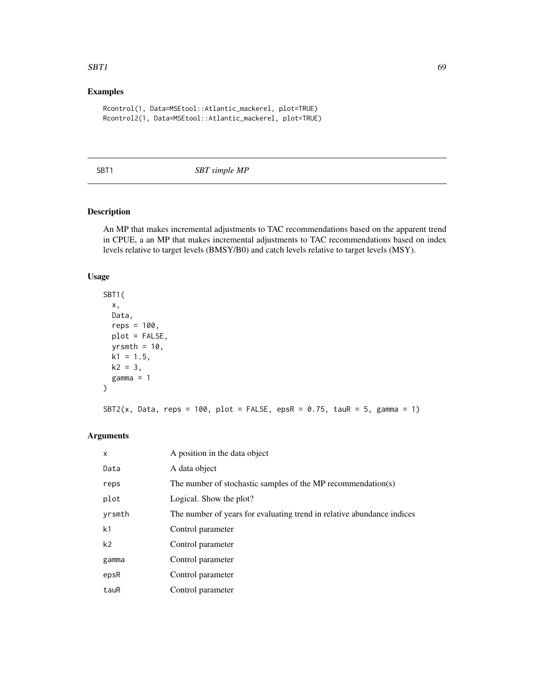#### $SBT1$  69

# Examples

```
Rcontrol(1, Data=MSEtool::Atlantic_mackerel, plot=TRUE)
Rcontrol2(1, Data=MSEtool::Atlantic_mackerel, plot=TRUE)
```
## SBT1 *SBT simple MP*

# Description

An MP that makes incremental adjustments to TAC recommendations based on the apparent trend in CPUE, a an MP that makes incremental adjustments to TAC recommendations based on index levels relative to target levels (BMSY/B0) and catch levels relative to target levels (MSY).

## Usage

```
SBT1(
  x,
 Data,
 reps = 100,
 plot = FALSE,
 yrsmth = 10,
 k1 = 1.5,
 k2 = 3,
 gamma = 1
)
SBT2(x, Data, reps = 100, plot = FALSE, epsR = 0.75, tauR = 5, gamma = 1)
```
# Arguments

| $\mathsf{x}$   | A position in the data object                                          |
|----------------|------------------------------------------------------------------------|
| Data           | A data object                                                          |
| reps           | The number of stochastic samples of the MP recommendation(s)           |
| plot           | Logical. Show the plot?                                                |
| yrsmth         | The number of years for evaluating trend in relative abundance indices |
| k <sub>1</sub> | Control parameter                                                      |
| k <sub>2</sub> | Control parameter                                                      |
| gamma          | Control parameter                                                      |
| epsR           | Control parameter                                                      |
| tauR           | Control parameter                                                      |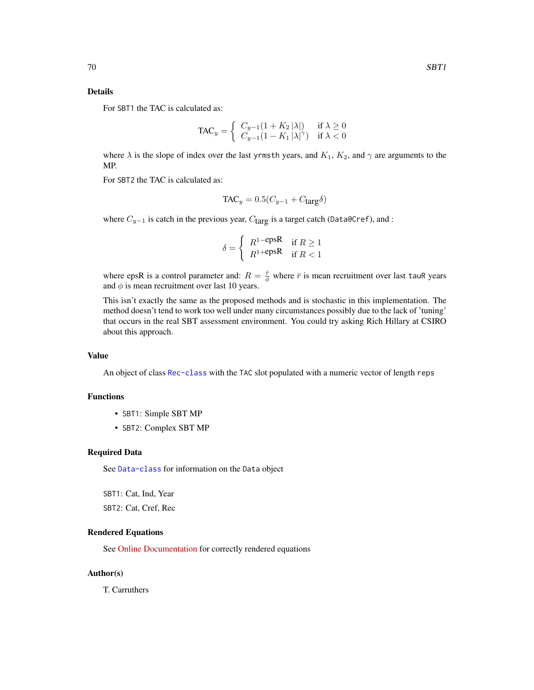## Details

For SBT1 the TAC is calculated as:

$$
\text{TAC}_y = \begin{cases} C_{y-1}(1 + K_2 |\lambda|) & \text{if } \lambda \ge 0\\ C_{y-1}(1 - K_1 |\lambda|^\gamma) & \text{if } \lambda < 0 \end{cases}
$$

where  $\lambda$  is the slope of index over the last yrmsth years, and  $K_1$ ,  $K_2$ , and  $\gamma$  are arguments to the MP.

For SBT2 the TAC is calculated as:

$$
TAC_y = 0.5(C_{y-1} + C_{\text{targ}}\delta)
$$

where  $C_{y-1}$  is catch in the previous year,  $C_{\text{targ}}$  is a target catch (Data@Cref), and :

$$
\delta = \begin{cases} R^{1-\text{epsR}} & \text{if } R \ge 1\\ R^{1+\text{epsR}} & \text{if } R < 1 \end{cases}
$$

where epsR is a control parameter and:  $R = \frac{\bar{r}}{\phi}$  where  $\bar{r}$  is mean recruitment over last tauR years and  $\phi$  is mean recruitment over last 10 years.

This isn't exactly the same as the proposed methods and is stochastic in this implementation. The method doesn't tend to work too well under many circumstances possibly due to the lack of 'tuning' that occurs in the real SBT assessment environment. You could try asking Rich Hillary at CSIRO about this approach.

# Value

An object of class [Rec-class](#page-0-0) with the TAC slot populated with a numeric vector of length reps

#### Functions

- SBT1: Simple SBT MP
- SBT2: Complex SBT MP

#### Required Data

See [Data-class](#page-0-0) for information on the Data object

SBT1: Cat, Ind, Year SBT2: Cat, Cref, Rec

#### Rendered Equations

See [Online Documentation](https://dlmtool.openmse.com/reference/SBT1.html) for correctly rendered equations

## Author(s)

T. Carruthers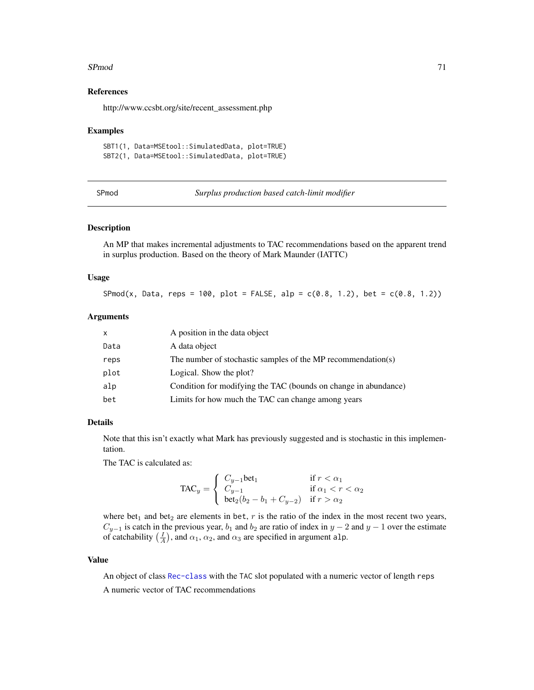#### $S\text{Pmod}$   $71$

## References

http://www.ccsbt.org/site/recent\_assessment.php

#### Examples

```
SBT1(1, Data=MSEtool::SimulatedData, plot=TRUE)
SBT2(1, Data=MSEtool::SimulatedData, plot=TRUE)
```
<span id="page-70-0"></span>SPmod *Surplus production based catch-limit modifier*

## Description

An MP that makes incremental adjustments to TAC recommendations based on the apparent trend in surplus production. Based on the theory of Mark Maunder (IATTC)

## Usage

 $SPmod(x, Data, reps = 100, plot = FALSE, alp = c(0.8, 1.2), bet = c(0.8, 1.2))$ 

## Arguments

| x    | A position in the data object                                   |
|------|-----------------------------------------------------------------|
| Data | A data object                                                   |
| reps | The number of stochastic samples of the MP recommendation(s)    |
| plot | Logical. Show the plot?                                         |
| alp  | Condition for modifying the TAC (bounds on change in abundance) |
| bet  | Limits for how much the TAC can change among years              |

# Details

Note that this isn't exactly what Mark has previously suggested and is stochastic in this implementation.

The TAC is calculated as:

$$
TAC_y = \begin{cases} C_{y-1} \text{bet}_1 & \text{if } r < \alpha_1 \\ C_{y-1} & \text{if } \alpha_1 < r < \alpha_2 \\ \text{bet}_2(b_2 - b_1 + C_{y-2}) & \text{if } r > \alpha_2 \end{cases}
$$

where bet<sub>1</sub> and bet<sub>2</sub> are elements in bet,  $r$  is the ratio of the index in the most recent two years,  $C_{y-1}$  is catch in the previous year,  $b_1$  and  $b_2$  are ratio of index in  $y-2$  and  $y-1$  over the estimate of catchability  $(\frac{I}{A})$ , and  $\alpha_1$ ,  $\alpha_2$ , and  $\alpha_3$  are specified in argument alp.

# Value

An object of class [Rec-class](#page-0-0) with the TAC slot populated with a numeric vector of length reps A numeric vector of TAC recommendations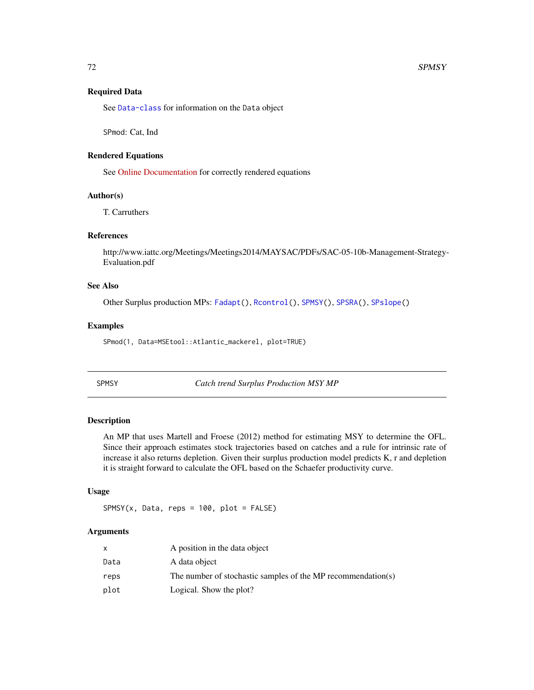#### Required Data

See [Data-class](#page-0-0) for information on the Data object

SPmod: Cat, Ind

## Rendered Equations

See [Online Documentation](https://dlmtool.openmse.com/reference/SPmod.html) for correctly rendered equations

# Author(s)

T. Carruthers

# References

http://www.iattc.org/Meetings/Meetings2014/MAYSAC/PDFs/SAC-05-10b-Management-Strategy-Evaluation.pdf

## See Also

Other Surplus production MPs: [Fadapt\(](#page-23-0)), [Rcontrol\(](#page-66-0)), [SPMSY\(](#page-71-0)), [SPSRA\(](#page-74-0)), [SPslope\(](#page-73-0))

## Examples

SPmod(1, Data=MSEtool::Atlantic\_mackerel, plot=TRUE)

<span id="page-71-0"></span>

SPMSY *Catch trend Surplus Production MSY MP*

#### Description

An MP that uses Martell and Froese (2012) method for estimating MSY to determine the OFL. Since their approach estimates stock trajectories based on catches and a rule for intrinsic rate of increase it also returns depletion. Given their surplus production model predicts K, r and depletion it is straight forward to calculate the OFL based on the Schaefer productivity curve.

#### Usage

 $SPMSY(x, Data, reps = 100, plot = FALSE)$ 

# Arguments

|      | A position in the data object                                |
|------|--------------------------------------------------------------|
| Data | A data object                                                |
| reps | The number of stochastic samples of the MP recommendation(s) |
| plot | Logical. Show the plot?                                      |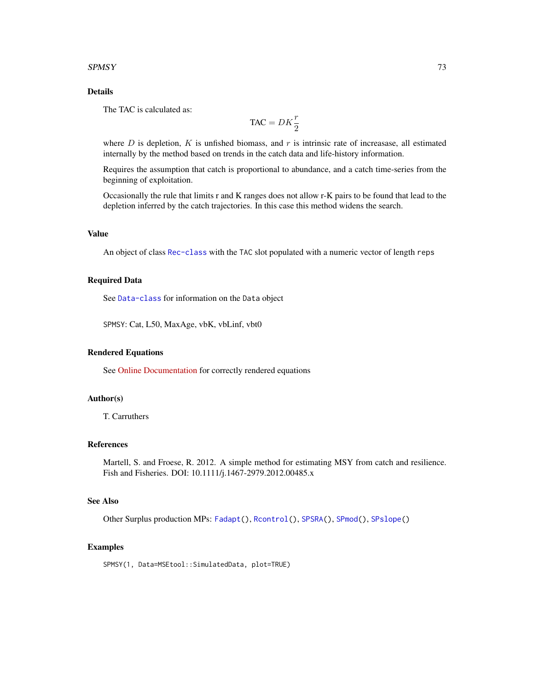#### <span id="page-72-0"></span> $SPMSY$  73

# Details

The TAC is calculated as:

$$
\text{TAC} = DK \frac{r}{2}
$$

where  $D$  is depletion,  $K$  is unfished biomass, and  $r$  is intrinsic rate of increasase, all estimated internally by the method based on trends in the catch data and life-history information.

Requires the assumption that catch is proportional to abundance, and a catch time-series from the beginning of exploitation.

Occasionally the rule that limits r and K ranges does not allow r-K pairs to be found that lead to the depletion inferred by the catch trajectories. In this case this method widens the search.

#### Value

An object of class [Rec-class](#page-0-0) with the TAC slot populated with a numeric vector of length reps

#### Required Data

See [Data-class](#page-0-0) for information on the Data object

SPMSY: Cat, L50, MaxAge, vbK, vbLinf, vbt0

#### Rendered Equations

See [Online Documentation](https://dlmtool.openmse.com/reference/SPMSY.html) for correctly rendered equations

# Author(s)

T. Carruthers

# References

Martell, S. and Froese, R. 2012. A simple method for estimating MSY from catch and resilience. Fish and Fisheries. DOI: 10.1111/j.1467-2979.2012.00485.x

# See Also

Other Surplus production MPs: [Fadapt\(](#page-23-0)), [Rcontrol\(](#page-66-0)), [SPSRA\(](#page-74-0)), [SPmod\(](#page-70-0)), [SPslope\(](#page-73-0))

#### Examples

SPMSY(1, Data=MSEtool::SimulatedData, plot=TRUE)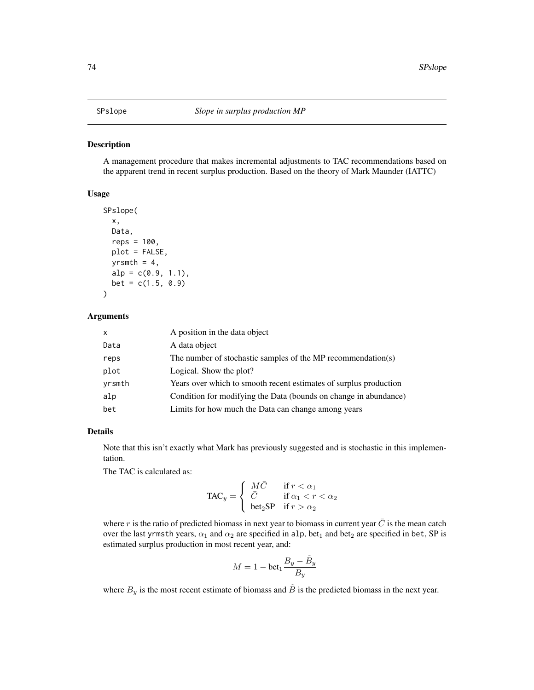#### <span id="page-73-1"></span><span id="page-73-0"></span>Description

A management procedure that makes incremental adjustments to TAC recommendations based on the apparent trend in recent surplus production. Based on the theory of Mark Maunder (IATTC)

#### Usage

```
SPslope(
  x,
 Data,
  reps = 100,
 plot = FALSE,
 yrsmth = 4,
 alp = c(0.9, 1.1),bet = c(1.5, 0.9))
```
#### Arguments

| X      | A position in the data object                                     |
|--------|-------------------------------------------------------------------|
| Data   | A data object                                                     |
| reps   | The number of stochastic samples of the MP recommendation(s)      |
| plot   | Logical. Show the plot?                                           |
| yrsmth | Years over which to smooth recent estimates of surplus production |
| alp    | Condition for modifying the Data (bounds on change in abundance)  |
| bet    | Limits for how much the Data can change among years               |

# Details

Note that this isn't exactly what Mark has previously suggested and is stochastic in this implementation.

The TAC is calculated as:

$$
\text{TAC}_y = \left\{ \begin{array}{ll} M\bar{C} & \text{if } r < \alpha_1 \\ \bar{C} & \text{if } \alpha_1 < r < \alpha_2 \\ \text{beta}_2\text{SP} & \text{if } r > \alpha_2 \end{array} \right.
$$

where r is the ratio of predicted biomass in next year to biomass in current year  $\bar{C}$  is the mean catch over the last yrmsth years,  $\alpha_1$  and  $\alpha_2$  are specified in alp, bet<sub>1</sub> and bet<sub>2</sub> are specified in bet, SP is estimated surplus production in most recent year, and:

$$
M = 1 - \text{bet}_1 \frac{B_y - \tilde{B}_y}{B_y}
$$

where  $B_y$  is the most recent estimate of biomass and  $\tilde{B}$  is the predicted biomass in the next year.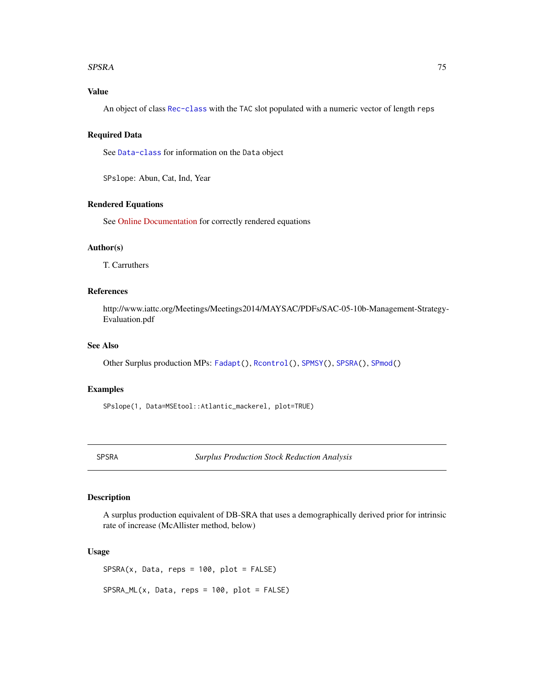#### <span id="page-74-1"></span>SPSRA 75

# Value

An object of class [Rec-class](#page-0-0) with the TAC slot populated with a numeric vector of length reps

# Required Data

See [Data-class](#page-0-0) for information on the Data object

SPslope: Abun, Cat, Ind, Year

#### Rendered Equations

See [Online Documentation](https://dlmtool.openmse.com/reference/SPslope.html) for correctly rendered equations

#### Author(s)

T. Carruthers

# References

http://www.iattc.org/Meetings/Meetings2014/MAYSAC/PDFs/SAC-05-10b-Management-Strategy-Evaluation.pdf

# See Also

Other Surplus production MPs: [Fadapt\(](#page-23-0)), [Rcontrol\(](#page-66-0)), [SPMSY\(](#page-71-0)), [SPSRA\(](#page-74-0)), [SPmod\(](#page-70-0))

# Examples

SPslope(1, Data=MSEtool::Atlantic\_mackerel, plot=TRUE)

<span id="page-74-0"></span>SPSRA *Surplus Production Stock Reduction Analysis*

# Description

A surplus production equivalent of DB-SRA that uses a demographically derived prior for intrinsic rate of increase (McAllister method, below)

#### Usage

 $SPSRA(x, Data, reps = 100, plot = FALSE)$ 

SPSRA\_ML(x, Data, reps = 100, plot = FALSE)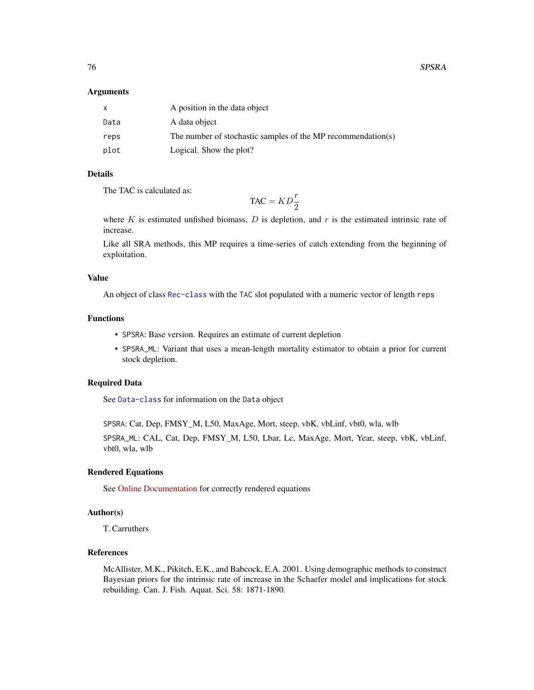#### Arguments

|      | A position in the data object                                |
|------|--------------------------------------------------------------|
| Data | A data object                                                |
| reps | The number of stochastic samples of the MP recommendation(s) |
| plot | Logical. Show the plot?                                      |

# Details

The TAC is calculated as:

 $TAC = KD\frac{r}{2}$ 

where  $K$  is estimated unfished biomass,  $D$  is depletion, and  $r$  is the estimated intrinsic rate of increase.

Like all SRA methods, this MP requires a time-series of catch extending from the beginning of exploitation.

#### Value

An object of class [Rec-class](#page-0-0) with the TAC slot populated with a numeric vector of length reps

### Functions

- SPSRA: Base version. Requires an estimate of current depletion
- SPSRA\_ML: Variant that uses a mean-length mortality estimator to obtain a prior for current stock depletion.

#### Required Data

See [Data-class](#page-0-0) for information on the Data object

SPSRA: Cat, Dep, FMSY\_M, L50, MaxAge, Mort, steep, vbK, vbLinf, vbt0, wla, wlb

SPSRA\_ML: CAL, Cat, Dep, FMSY\_M, L50, Lbar, Lc, MaxAge, Mort, Year, steep, vbK, vbLinf, vbt0, wla, wlb

#### Rendered Equations

See [Online Documentation](https://dlmtool.openmse.com/reference/SPSRA.html) for correctly rendered equations

#### Author(s)

T. Carruthers

# References

McAllister, M.K., Pikitch, E.K., and Babcock, E.A. 2001. Using demographic methods to construct Bayesian priors for the intrinsic rate of increase in the Schaefer model and implications for stock rebuilding. Can. J. Fish. Aquat. Sci. 58: 1871-1890.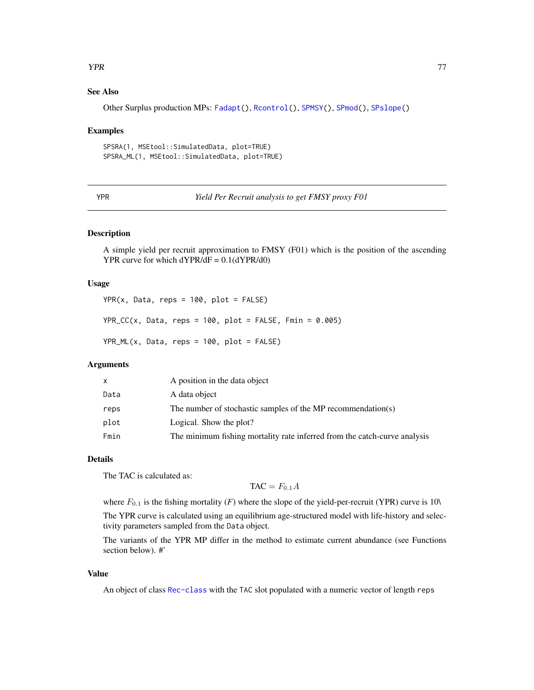#### <span id="page-76-0"></span>**The STAR STAR STAR STAR STARS IN THE STARS STARS IN THE STARS STARS IN THE STARS STARS IN THE STARS STARS STARS STARS IN THE STARS STARS IN THE STARS IN THE STARS.**

### See Also

Other Surplus production MPs: [Fadapt\(](#page-23-0)), [Rcontrol\(](#page-66-0)), [SPMSY\(](#page-71-0)), [SPmod\(](#page-70-0)), [SPslope\(](#page-73-0))

#### Examples

```
SPSRA(1, MSEtool::SimulatedData, plot=TRUE)
SPSRA_ML(1, MSEtool::SimulatedData, plot=TRUE)
```
YPR *Yield Per Recruit analysis to get FMSY proxy F01*

#### Description

A simple yield per recruit approximation to FMSY (F01) which is the position of the ascending YPR curve for which  $dYPR/dF = 0.1(dYPR/d0)$ 

# Usage

 $YPR(x, Data, reps = 100, plot = FALSE)$  $YPR\_CC(x, Data, reps = 100, plot = FALSE, Fmin = 0.005)$  $YPR_ML(x, Data, reps = 100, plot = FALSE)$ 

# Arguments

|      | A position in the data object                                             |
|------|---------------------------------------------------------------------------|
| Data | A data object                                                             |
| reps | The number of stochastic samples of the MP recommendation(s)              |
| plot | Logical. Show the plot?                                                   |
| Fmin | The minimum fishing mortality rate inferred from the catch-curve analysis |

# Details

The TAC is calculated as:

 $TAC = F_{0.1}A$ 

where  $F_{0,1}$  is the fishing mortality  $(F)$  where the slope of the yield-per-recruit (YPR) curve is 10\

The YPR curve is calculated using an equilibrium age-structured model with life-history and selectivity parameters sampled from the Data object.

The variants of the YPR MP differ in the method to estimate current abundance (see Functions section below). #'

#### Value

An object of class [Rec-class](#page-0-0) with the TAC slot populated with a numeric vector of length reps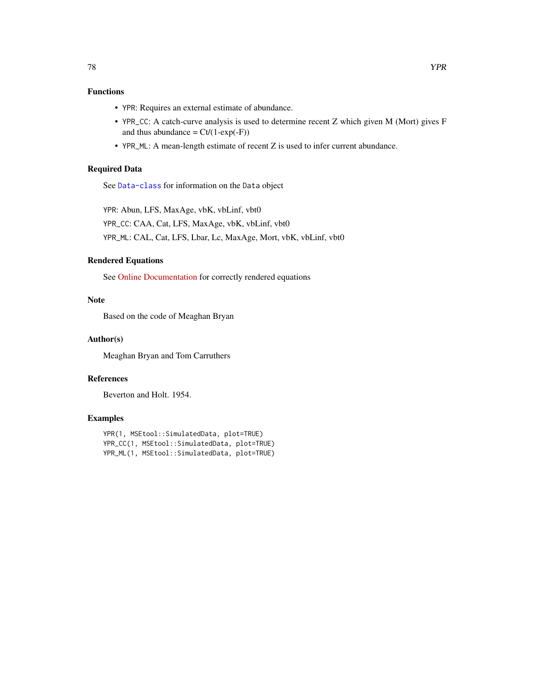# Functions

- YPR: Requires an external estimate of abundance.
- YPR\_CC: A catch-curve analysis is used to determine recent Z which given M (Mort) gives F and thus abundance =  $Ct/(1-exp(-F))$
- YPR\_ML: A mean-length estimate of recent Z is used to infer current abundance.

### Required Data

See [Data-class](#page-0-0) for information on the Data object

YPR: Abun, LFS, MaxAge, vbK, vbLinf, vbt0 YPR\_CC: CAA, Cat, LFS, MaxAge, vbK, vbLinf, vbt0 YPR\_ML: CAL, Cat, LFS, Lbar, Lc, MaxAge, Mort, vbK, vbLinf, vbt0

#### Rendered Equations

See [Online Documentation](https://dlmtool.openmse.com/reference/YPR.html) for correctly rendered equations

# Note

Based on the code of Meaghan Bryan

### Author(s)

Meaghan Bryan and Tom Carruthers

# References

Beverton and Holt. 1954.

#### Examples

```
YPR(1, MSEtool::SimulatedData, plot=TRUE)
YPR_CC(1, MSEtool::SimulatedData, plot=TRUE)
YPR_ML(1, MSEtool::SimulatedData, plot=TRUE)
```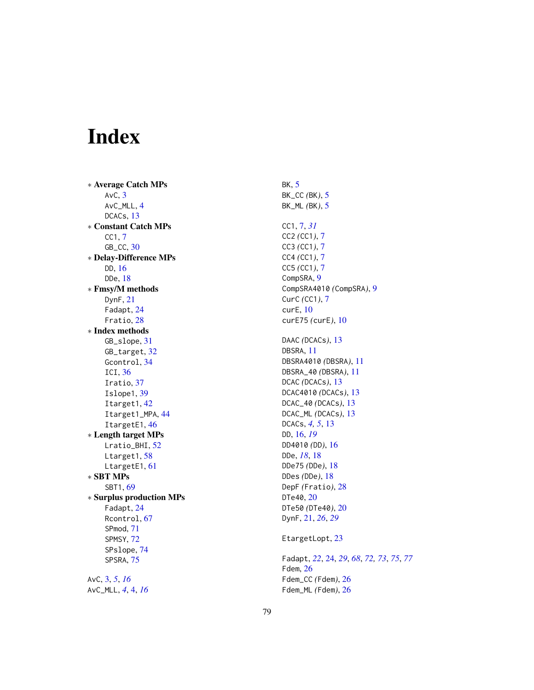# Index

∗ Average Catch MPs AvC, [3](#page-2-0) AvC\_MLL, [4](#page-3-0) DCACs, [13](#page-12-0) ∗ Constant Catch MPs CC1, [7](#page-6-0) GB\_CC, [30](#page-29-0) ∗ Delay-Difference MPs DD, [16](#page-15-0) DDe, [18](#page-17-0) ∗ Fmsy/M methods DynF, [21](#page-20-0) Fadapt, [24](#page-23-1) Fratio, [28](#page-27-0) ∗ Index methods GB\_slope, [31](#page-30-0) GB\_target, [32](#page-31-0) Gcontrol, [34](#page-33-0) ICI, [36](#page-35-0) Iratio, [37](#page-36-0) Islope1, [39](#page-38-0) Itarget1, [42](#page-41-0) Itarget1\_MPA, [44](#page-43-0) ItargetE1, [46](#page-45-0) ∗ Length target MPs Lratio\_BHI, [52](#page-51-0) Ltarget1, [58](#page-57-0) LtargetE1, [61](#page-60-0) ∗ SBT MPs SBT1, [69](#page-68-0) ∗ Surplus production MPs Fadapt, [24](#page-23-1) Rcontrol, [67](#page-66-1) SPmod, [71](#page-70-1) SPMSY, [72](#page-71-1) SPslope, [74](#page-73-1) SPSRA, [75](#page-74-1) AvC, [3,](#page-2-0) *[5](#page-4-0)*, *[16](#page-15-0)* AvC\_MLL, *[4](#page-3-0)*, [4,](#page-3-0) *[16](#page-15-0)*

BK, [5](#page-4-0) BK\_CC *(*BK*)*, [5](#page-4-0) BK\_ML *(*BK*)*, [5](#page-4-0) CC1, [7,](#page-6-0) *[31](#page-30-0)* CC2 *(*CC1*)*, [7](#page-6-0) CC3 *(*CC1*)*, [7](#page-6-0) CC4 *(*CC1*)*, [7](#page-6-0) CC5 *(*CC1*)*, [7](#page-6-0) CompSRA, [9](#page-8-0) CompSRA4010 *(*CompSRA*)*, [9](#page-8-0) CurC *(*CC1*)*, [7](#page-6-0) curE, [10](#page-9-0) curE75 *(*curE*)*, [10](#page-9-0) DAAC *(*DCACs*)*, [13](#page-12-0) DBSRA, [11](#page-10-0) DBSRA4010 *(*DBSRA*)*, [11](#page-10-0) DBSRA\_40 *(*DBSRA*)*, [11](#page-10-0) DCAC *(*DCACs*)*, [13](#page-12-0) DCAC4010 *(*DCACs*)*, [13](#page-12-0) DCAC\_40 *(*DCACs*)*, [13](#page-12-0) DCAC\_ML *(*DCACs*)*, [13](#page-12-0) DCACs, *[4,](#page-3-0) [5](#page-4-0)*, [13](#page-12-0) DD, [16,](#page-15-0) *[19](#page-18-0)* DD4010 *(*DD*)*, [16](#page-15-0) DDe, *[18](#page-17-0)*, [18](#page-17-0) DDe75 *(*DDe*)*, [18](#page-17-0) DDes *(*DDe*)*, [18](#page-17-0) DepF *(*Fratio*)*, [28](#page-27-0) DTe40, [20](#page-19-0) DTe50 *(*DTe40*)*, [20](#page-19-0) DynF, [21,](#page-20-0) *[26](#page-25-0)*, *[29](#page-28-0)* EtargetLopt, [23](#page-22-0) Fadapt, *[22](#page-21-0)*, [24,](#page-23-1) *[29](#page-28-0)*, *[68](#page-67-0)*, *[72,](#page-71-1) [73](#page-72-0)*, *[75](#page-74-1)*, *[77](#page-76-0)* Fdem, [26](#page-25-0) Fdem\_CC *(*Fdem*)*, [26](#page-25-0) Fdem\_ML *(*Fdem*)*, [26](#page-25-0)